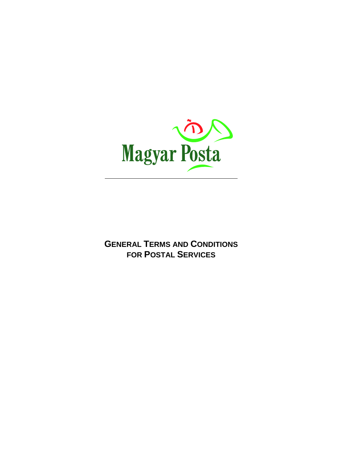

**GENERAL TERMS AND CONDITIONS FOR POSTAL SERVICES**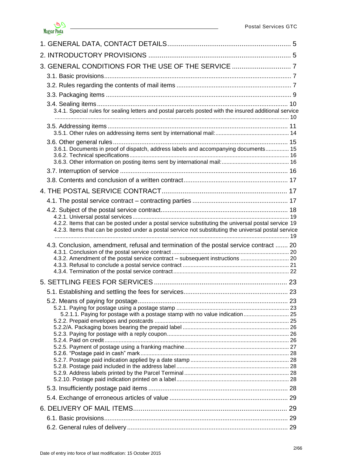

| 3. GENERAL CONDITIONS FOR THE USE OF THE SERVICE  7                                                    |  |
|--------------------------------------------------------------------------------------------------------|--|
|                                                                                                        |  |
|                                                                                                        |  |
|                                                                                                        |  |
|                                                                                                        |  |
| 3.4.1. Special rules for sealing letters and postal parcels posted with the insured additional service |  |
|                                                                                                        |  |
|                                                                                                        |  |
| 3.6.1. Documents in proof of dispatch, address labels and accompanying documents 15                    |  |
|                                                                                                        |  |
|                                                                                                        |  |
|                                                                                                        |  |
|                                                                                                        |  |
|                                                                                                        |  |
|                                                                                                        |  |
|                                                                                                        |  |
| 4.2.2. Items that can be posted under a postal service substituting the universal postal service 19    |  |
| 4.2.3. Items that can be posted under a postal service not substituting the universal postal service   |  |
|                                                                                                        |  |
| 4.3. Conclusion, amendment, refusal and termination of the postal service contract  20                 |  |
| 4.3.2. Amendment of the postal service contract - subsequent instructions  20                          |  |
|                                                                                                        |  |
|                                                                                                        |  |
|                                                                                                        |  |
|                                                                                                        |  |
|                                                                                                        |  |
| 5.2.1.1. Paying for postage with a postage stamp with no value indication  25                          |  |
|                                                                                                        |  |
|                                                                                                        |  |
|                                                                                                        |  |
|                                                                                                        |  |
|                                                                                                        |  |
|                                                                                                        |  |
|                                                                                                        |  |
|                                                                                                        |  |
|                                                                                                        |  |
|                                                                                                        |  |
|                                                                                                        |  |
|                                                                                                        |  |
|                                                                                                        |  |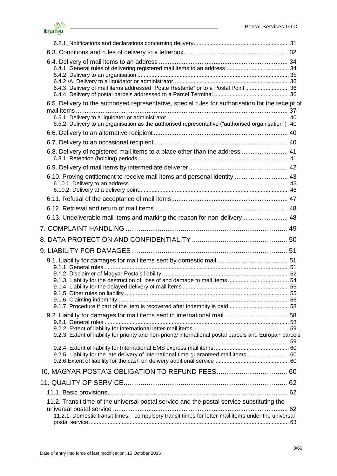| 6.4.3. Delivery of mail items addressed "Poste Restante" or to a Postal Point 36                                                                                                                          |    |
|-----------------------------------------------------------------------------------------------------------------------------------------------------------------------------------------------------------|----|
| 6.5. Delivery to the authorised representative, special rules for authorisation for the receipt of<br>6.5.2. Delivery to an organisation as the authorised representative ("authorised organisation"). 40 |    |
|                                                                                                                                                                                                           |    |
|                                                                                                                                                                                                           |    |
| 6.8. Delivery of registered mail items to a place other than the address  41                                                                                                                              |    |
|                                                                                                                                                                                                           |    |
| 6.10. Proving entitlement to receive mail items and personal identity  43                                                                                                                                 |    |
|                                                                                                                                                                                                           |    |
|                                                                                                                                                                                                           |    |
| 6.13. Undeliverable mail items and marking the reason for non-delivery  48                                                                                                                                |    |
|                                                                                                                                                                                                           |    |
|                                                                                                                                                                                                           |    |
|                                                                                                                                                                                                           |    |
|                                                                                                                                                                                                           |    |
|                                                                                                                                                                                                           |    |
|                                                                                                                                                                                                           |    |
|                                                                                                                                                                                                           |    |
|                                                                                                                                                                                                           | 55 |
|                                                                                                                                                                                                           |    |
|                                                                                                                                                                                                           |    |
|                                                                                                                                                                                                           |    |
| 9.2.3. Extent of liability for priority and non-priority international postal parcels and Europa+ parcels                                                                                                 |    |
|                                                                                                                                                                                                           |    |
|                                                                                                                                                                                                           |    |
| 9.2.5. Liability for the late delivery of international time-guaranteed mail items 60                                                                                                                     |    |
|                                                                                                                                                                                                           |    |
|                                                                                                                                                                                                           |    |
|                                                                                                                                                                                                           |    |
| 11.2. Transit time of the universal postal service and the postal service substituting the                                                                                                                |    |
|                                                                                                                                                                                                           |    |
| 11.2.1. Domestic transit times - compulsory transit times for letter-mail items under the universal                                                                                                       |    |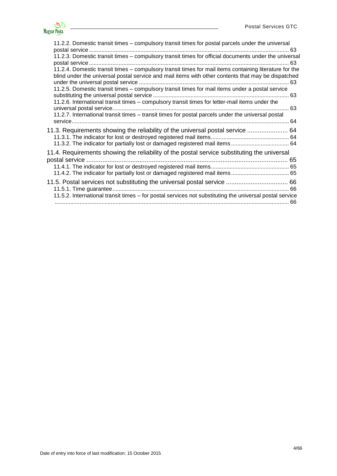

| 11.2.2. Domestic transit times - compulsory transit times for postal parcels under the universal                                                                                                                                                                                                                | 63 |
|-----------------------------------------------------------------------------------------------------------------------------------------------------------------------------------------------------------------------------------------------------------------------------------------------------------------|----|
| 11.2.3. Domestic transit times - compulsory transit times for official documents under the universal                                                                                                                                                                                                            |    |
| 11.2.4. Domestic transit times - compulsory transit times for mail items containing literature for the<br>blind under the universal postal service and mail items with other contents that may be dispatched<br>11.2.5. Domestic transit times - compulsory transit times for mail items under a postal service |    |
| 11.2.6. International transit times – compulsory transit times for letter-mail items under the                                                                                                                                                                                                                  |    |
| 11.2.7. International transit times - transit times for postal parcels under the universal postal                                                                                                                                                                                                               |    |
| 11.3. Requirements showing the reliability of the universal postal service  64<br>11.3.2. The indicator for partially lost or damaged registered mail items 64                                                                                                                                                  |    |
| 11.4. Requirements showing the reliability of the postal service substituting the universal                                                                                                                                                                                                                     |    |
|                                                                                                                                                                                                                                                                                                                 |    |
| 11.5.2. International transit times - for postal services not substituting the universal postal service                                                                                                                                                                                                         |    |
|                                                                                                                                                                                                                                                                                                                 |    |

<u> 1990 - Johann Barbara, martxa</u>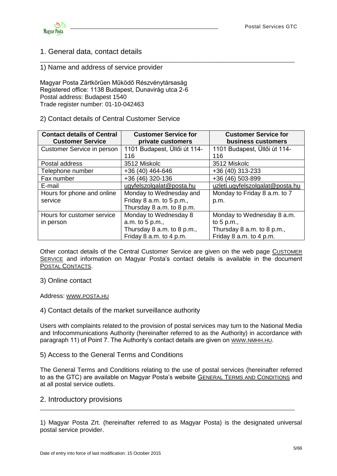

# <span id="page-4-0"></span>1. General data, contact details

### 1) Name and address of service provider

Magyar Posta Zártkörűen Működő Részvénytársaság Registered office: 1138 Budapest, Dunavirág utca 2-6 Postal address: Budapest 1540 Trade register number: 01-10-042463

### 2) Contact details of Central Customer Service

| <b>Contact details of Central</b><br><b>Customer Service</b> | <b>Customer Service for</b><br>private customers | <b>Customer Service for</b><br>business customers |
|--------------------------------------------------------------|--------------------------------------------------|---------------------------------------------------|
| Customer Service in person                                   | 1101 Budapest, Üllői út 114-                     | 1101 Budapest, Üllői út 114-                      |
|                                                              | 116                                              | 116                                               |
| Postal address                                               | 3512 Miskolc                                     | 3512 Miskolc                                      |
| Telephone number                                             | +36 (40) 464-646                                 | +36 (40) 313-233                                  |
| Fax number                                                   | +36 (46) 320-136                                 | +36 (46) 503-899                                  |
| E-mail                                                       | ugyfelszolgalat@posta.hu                         | uzleti.ugyfelszolgalat@posta.hu                   |
| Hours for phone and online                                   | Monday to Wednesday and                          | Monday to Friday 8 a.m. to 7                      |
| service                                                      | Friday 8 a.m. to 5 p.m.,                         | p.m.                                              |
|                                                              | Thursday 8 a.m. to 8 p.m.                        |                                                   |
| Hours for customer service                                   | Monday to Wednesday 8                            | Monday to Wednesday 8 a.m.                        |
| in person                                                    | a.m. to 5 p.m.,                                  | to $5 p.m.,$                                      |
|                                                              | Thursday 8 a.m. to 8 p.m.,                       | Thursday 8 a.m. to 8 p.m.,                        |
|                                                              | Friday 8 a.m. to 4 p.m.                          | Friday 8 a.m. to 4 p.m.                           |

\_\_\_\_\_\_\_\_\_\_\_\_\_\_\_\_\_\_\_\_\_\_\_\_\_\_\_\_\_\_\_\_\_\_\_\_\_\_\_\_\_\_\_\_\_\_\_\_\_\_\_\_\_\_\_\_\_\_\_\_\_\_\_\_\_\_\_\_\_\_\_\_\_\_\_

Other contact details of the Central Customer Service are given on the web page C[USTOMER](http://www.posta.hu/ugyfelszolgalat)  S[ERVICE](http://www.posta.hu/ugyfelszolgalat) and information on Magyar Posta's contact details is available in the document POSTAL C[ONTACTS](http://www.posta.hu/static/internet/download/PASZF_KI14_Postai_elerhetosegek_20140301.pdf).

### 3) Online contact

Address: WWW.[POSTA](http://www.posta.hu/).HU

### 4) Contact details of the market surveillance authority

Users with complaints related to the provision of postal services may turn to the National Media and Infocommunications Authority (hereinafter referred to as the Authority) in accordance with paragraph 11) of Point 7. The Authority's contact details are given on WWW.[NMHH](http://www.nmhh.hu/).HU.

#### 5) Access to the General Terms and Conditions

The General Terms and Conditions relating to the use of postal services (hereinafter referred to as the GTC) are available on Magyar Posta's website GENERAL T[ERMS AND](http://www.posta.hu/ugyfelszolgalat/aszf) CONDITIONS and at all postal service outlets.

### <span id="page-4-1"></span>2. Introductory provisions

\_\_\_\_\_\_\_\_\_\_\_\_\_\_\_\_\_\_\_\_\_\_\_\_\_\_\_\_\_\_\_\_\_\_\_\_\_\_\_\_\_\_\_\_\_\_\_\_\_\_\_\_\_\_\_\_\_\_\_\_\_\_\_\_\_\_\_\_\_\_\_\_\_\_\_

<sup>1)</sup> Magyar Posta Zrt. (hereinafter referred to as Magyar Posta) is the designated universal postal service provider.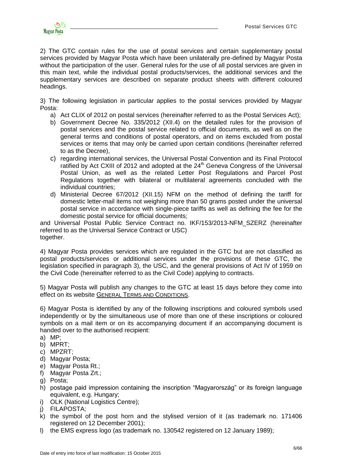

2) The GTC contain rules for the use of postal services and certain supplementary postal services provided by Magyar Posta which have been unilaterally pre-defined by Magyar Posta without the participation of the user. General rules for the use of all postal services are given in this main text, while the individual postal products/services, the additional services and the supplementary services are described on separate product sheets with different coloured headings.

3) The following legislation in particular applies to the postal services provided by Magyar Posta:

- a) Act CLIX of 2012 on postal services (hereinafter referred to as the Postal Services Act);
- b) Government Decree No. 335/2012 (XII.4) on the detailed rules for the provision of postal services and the postal service related to official documents, as well as on the general terms and conditions of postal operators, and on items excluded from postal services or items that may only be carried upon certain conditions (hereinafter referred to as the Decree),
- c) regarding international services, the Universal Postal Convention and its Final Protocol ratified by Act CXIII of 2012 and adopted at the 24<sup>th</sup> Geneva Congress of the Universal Postal Union, as well as the related Letter Post Regulations and Parcel Post Regulations together with bilateral or multilateral agreements concluded with the individual countries;
- d) Ministerial Decree 67/2012 (XII.15) NFM on the method of defining the tariff for domestic letter-mail items not weighing more than 50 grams posted under the universal postal service in accordance with single-piece tariffs as well as defining the fee for the domestic postal service for official documents;

and Universal Postal Public Service Contract no. IKF/153/2013-NFM\_SZERZ (hereinafter referred to as the Universal Service Contract or USC) together.

4) Magyar Posta provides services which are regulated in the GTC but are not classified as postal products/services or additional services under the provisions of these GTC, the legislation specified in paragraph 3), the USC, and the general provisions of Act IV of 1959 on the Civil Code (hereinafter referred to as the Civil Code) applying to contracts.

5) Magyar Posta will publish any changes to the GTC at least 15 days before they come into effect on its website GENERAL TERMS AND C[ONDITIONS](http://www.posta.hu/ugyfelszolgalat/aszf).

6) Magyar Posta is identified by any of the following inscriptions and coloured symbols used independently or by the simultaneous use of more than one of these inscriptions or coloured symbols on a mail item or on its accompanying document if an accompanying document is handed over to the authorised recipient:

- a) MP;
- b) MPRT;
- c) MPZRT;
- d) Magyar Posta;
- e) Magyar Posta Rt.;
- f) Magyar Posta Zrt.;
- g) Posta;
- h) postage paid impression containing the inscription "Magyarország" or its foreign language equivalent, e.g. Hungary;
- i) OLK (National Logistics Centre);
- j) FILAPOSTA;
- k) the symbol of the post horn and the stylised version of it (as trademark no. 171406 registered on 12 December 2001);
- l) the EMS express logo (as trademark no. 130542 registered on 12 January 1989);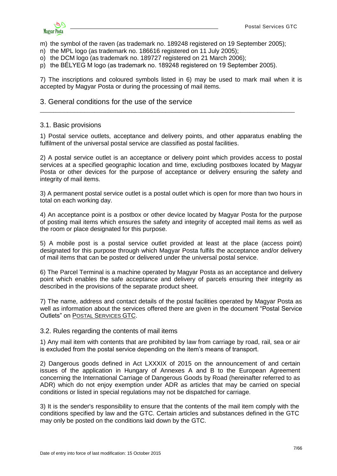

m) the symbol of the raven (as trademark no. 189248 registered on 19 September 2005);

- n) the MPL logo (as trademark no. 186616 registered on 11 July 2005);
- o) the DCM logo (as trademark no. 189727 registered on 21 March 2006);
- p) the BÉLYEG M logo (as trademark no. 189248 registered on 19 September 2005).

7) The inscriptions and coloured symbols listed in 6) may be used to mark mail when it is accepted by Magyar Posta or during the processing of mail items.

\_\_\_\_\_\_\_\_\_\_\_\_\_\_\_\_\_\_\_\_\_\_\_\_\_\_\_\_\_\_\_\_\_\_\_\_\_\_\_\_\_\_\_\_\_\_\_\_\_\_\_\_\_\_\_\_\_\_\_\_\_\_\_\_\_\_\_\_\_\_\_\_\_\_\_

#### <span id="page-6-0"></span>3. General conditions for the use of the service

#### <span id="page-6-1"></span>3.1. Basic provisions

1) Postal service outlets, acceptance and delivery points, and other apparatus enabling the fulfilment of the universal postal service are classified as postal facilities.

2) A postal service outlet is an acceptance or delivery point which provides access to postal services at a specified geographic location and time, excluding postboxes located by Magyar Posta or other devices for the purpose of acceptance or delivery ensuring the safety and integrity of mail items.

3) A permanent postal service outlet is a postal outlet which is open for more than two hours in total on each working day.

4) An acceptance point is a postbox or other device located by Magyar Posta for the purpose of posting mail items which ensures the safety and integrity of accepted mail items as well as the room or place designated for this purpose.

5) A mobile post is a postal service outlet provided at least at the place (access point) designated for this purpose through which Magyar Posta fulfils the acceptance and/or delivery of mail items that can be posted or delivered under the universal postal service.

6) The Parcel Terminal is a machine operated by Magyar Posta as an acceptance and delivery point which enables the safe acceptance and delivery of parcels ensuring their integrity as described in the provisions of the separate product sheet.

7) The name, address and contact details of the postal facilities operated by Magyar Posta as well as information about the services offered there are given in the document "Postal Service Outlets" on POSTAL S[ERVICES](http://www.posta.hu/ugyfelszolgalat/aszf/postai_aszf) GTC.

#### <span id="page-6-2"></span>3.2. Rules regarding the contents of mail items

1) Any mail item with contents that are prohibited by law from carriage by road, rail, sea or air is excluded from the postal service depending on the item's means of transport.

2) Dangerous goods defined in Act LXXXIX of 2015 on the announcement of and certain issues of the application in Hungary of Annexes A and B to the European Agreement concerning the International Carriage of Dangerous Goods by Road (hereinafter referred to as ADR) which do not enjoy exemption under ADR as articles that may be carried on special conditions or listed in special regulations may not be dispatched for carriage.

3) It is the sender's responsibility to ensure that the contents of the mail item comply with the conditions specified by law and the GTC. Certain articles and substances defined in the GTC may only be posted on the conditions laid down by the GTC.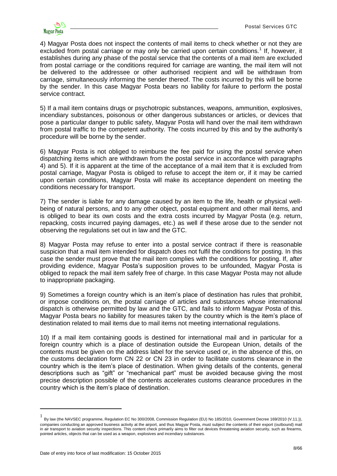4) Magyar Posta does not inspect the contents of mail items to check whether or not they are excluded from postal carriage or may only be carried upon certain conditions.<sup>1</sup> If, however, it establishes during any phase of the postal service that the contents of a mail item are excluded from postal carriage or the conditions required for carriage are wanting, the mail item will not be delivered to the addressee or other authorised recipient and will be withdrawn from carriage, simultaneously informing the sender thereof. The costs incurred by this will be borne by the sender. In this case Magyar Posta bears no liability for failure to perform the postal service contract.

5) If a mail item contains drugs or psychotropic substances, weapons, ammunition, explosives, incendiary substances, poisonous or other dangerous substances or articles, or devices that pose a particular danger to public safety, Magyar Posta will hand over the mail item withdrawn from postal traffic to the competent authority. The costs incurred by this and by the authority's procedure will be borne by the sender.

6) Magyar Posta is not obliged to reimburse the fee paid for using the postal service when dispatching items which are withdrawn from the postal service in accordance with paragraphs 4) and 5). If it is apparent at the time of the acceptance of a mail item that it is excluded from postal carriage, Magyar Posta is obliged to refuse to accept the item or, if it may be carried upon certain conditions, Magyar Posta will make its acceptance dependent on meeting the conditions necessary for transport.

7) The sender is liable for any damage caused by an item to the life, health or physical wellbeing of natural persons, and to any other object, postal equipment and other mail items, and is obliged to bear its own costs and the extra costs incurred by Magyar Posta (e.g. return, repacking, costs incurred paying damages, etc.) as well if these arose due to the sender not observing the regulations set out in law and the GTC.

8) Magyar Posta may refuse to enter into a postal service contract if there is reasonable suspicion that a mail item intended for dispatch does not fulfil the conditions for posting. In this case the sender must prove that the mail item complies with the conditions for posting. If, after providing evidence, Magyar Posta's supposition proves to be unfounded, Magyar Posta is obliged to repack the mail item safely free of charge. In this case Magyar Posta may not allude to inappropriate packaging.

9) Sometimes a foreign country which is an item's place of destination has rules that prohibit, or impose conditions on, the postal carriage of articles and substances whose international dispatch is otherwise permitted by law and the GTC, and fails to inform Magyar Posta of this. Magyar Posta bears no liability for measures taken by the country which is the item's place of destination related to mail items due to mail items not meeting international regulations.

10) If a mail item containing goods is destined for international mail and in particular for a foreign country which is a place of destination outside the European Union, details of the contents must be given on the address label for the service used or, in the absence of this, on the customs declaration form CN 22 or CN 23 in order to facilitate customs clearance in the country which is the item's place of destination. When giving details of the contents, general descriptions such as "gift" or "mechanical part" must be avoided because giving the most precise description possible of the contents accelerates customs clearance procedures in the country which is the item's place of destination.

1

<sup>1</sup> By law (the NAVSEC programme, Regulation EC No 300/2008, Commission Regulation (EU) No 185/2010, Government Decree 169/2010 (V.11.)), companies conducting an approved business activity at the airport, and thus Magyar Posta, must subject the contents of their export (outbound) mail in air transport to aviation security inspections. This content check primarily aims to filter out devices threatening aviation security, such as firearms, pointed articles, objects that can be used as a weapon, explosives and incendiary substances.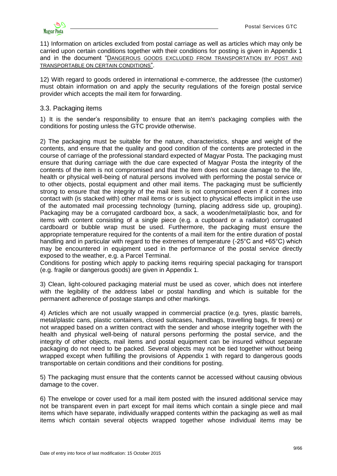

11) Information on articles excluded from postal carriage as well as articles which may only be carried upon certain conditions together with their conditions for posting is given in Appendix 1 and in the document "D[ANGEROUS](http://www.posta.hu/static/internet/download/PASZF_KI05_Szallitasbol_kizart_veszelyes_aruk_20130614_elozetes.pdf) GOODS EXCLUDED FROM TRANSPORTATION BY POST AND TRANSPORTABLE ON CERTAIN CONDITIONS".

12) With regard to goods ordered in international e-commerce, the addressee (the customer) must obtain information on and apply the security regulations of the foreign postal service provider which accepts the mail item for forwarding.

### <span id="page-8-0"></span>3.3. Packaging items

1) It is the sender's responsibility to ensure that an item's packaging complies with the conditions for posting unless the GTC provide otherwise.

2) The packaging must be suitable for the nature, characteristics, shape and weight of the contents, and ensure that the quality and good condition of the contents are protected in the course of carriage of the professional standard expected of Magyar Posta. The packaging must ensure that during carriage with the due care expected of Magyar Posta the integrity of the contents of the item is not compromised and that the item does not cause damage to the life, health or physical well-being of natural persons involved with performing the postal service or to other objects, postal equipment and other mail items. The packaging must be sufficiently strong to ensure that the integrity of the mail item is not compromised even if it comes into contact with (is stacked with) other mail items or is subject to physical effects implicit in the use of the automated mail processing technology (turning, placing address side up, grouping). Packaging may be a corrugated cardboard box, a sack, a wooden/metal/plastic box, and for items with content consisting of a single piece (e.g. a cupboard or a radiator) corrugated cardboard or bubble wrap must be used. Furthermore, the packaging must ensure the appropriate temperature required for the contents of a mail item for the entire duration of postal handling and in particular with regard to the extremes of temperature (-25°C and +65°C) which may be encountered in equipment used in the performance of the postal service directly exposed to the weather, e.g. a Parcel Terminal.

Conditions for posting which apply to packing items requiring special packaging for transport (e.g. fragile or dangerous goods) are given in Appendix 1.

3) Clean, light-coloured packaging material must be used as cover, which does not interfere with the legibility of the address label or postal handling and which is suitable for the permanent adherence of postage stamps and other markings.

4) Articles which are not usually wrapped in commercial practice (e.g. tyres, plastic barrels, metal/plastic cans, plastic containers, closed suitcases, handbags, travelling bags, fir trees) or not wrapped based on a written contract with the sender and whose integrity together with the health and physical well-being of natural persons performing the postal service, and the integrity of other objects, mail items and postal equipment can be insured without separate packaging do not need to be packed. Several objects may not be tied together without being wrapped except when fulfilling the provisions of Appendix 1 with regard to dangerous goods transportable on certain conditions and their conditions for posting.

5) The packaging must ensure that the contents cannot be accessed without causing obvious damage to the cover.

6) The envelope or cover used for a mail item posted with the insured additional service may not be transparent even in part except for mail items which contain a single piece and mail items which have separate, individually wrapped contents within the packaging as well as mail items which contain several objects wrapped together whose individual items may be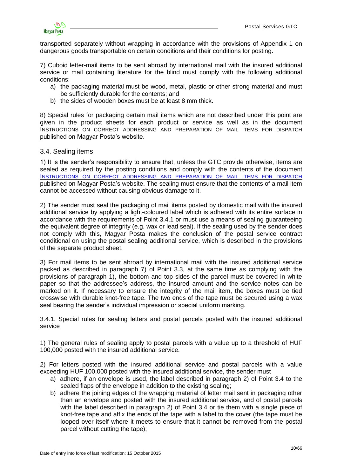

transported separately without wrapping in accordance with the provisions of Appendix 1 on dangerous goods transportable on certain conditions and their conditions for posting.

7) Cuboid letter-mail items to be sent abroad by international mail with the insured additional service or mail containing literature for the blind must comply with the following additional conditions:

- a) the packaging material must be wood, metal, plastic or other strong material and must be sufficiently durable for the contents; and
- b) the sides of wooden boxes must be at least 8 mm thick.

8) Special rules for packaging certain mail items which are not described under this point are given in the product sheets for each product or service as well as in the document INSTRUCTIONS ON CORRECT ADDRESSING AND PREPARATION OF MAIL ITEMS FOR DISPATCH published on Magyar Posta's website.

### <span id="page-9-0"></span>3.4. Sealing items

1) It is the sender's responsibility to ensure that, unless the GTC provide otherwise, items are sealed as required by the posting conditions and comply with the contents of the document I[NSTRUCTIONS ON CORRECT ADDRESSING AND PREPARATION OF MAIL ITEMS FOR DISPATCH](http://www.posta.hu/ugyfelszolgalat/helyes_cimzes)  published on Magyar Posta's website. The sealing must ensure that the contents of a mail item cannot be accessed without causing obvious damage to it.

2) The sender must seal the packaging of mail items posted by domestic mail with the insured additional service by applying a light-coloured label which is adhered with its entire surface in accordance with the requirements of Point 3.4.1 or must use a means of sealing guaranteeing the equivalent degree of integrity (e.g. wax or lead seal). If the sealing used by the sender does not comply with this, Magyar Posta makes the conclusion of the postal service contract conditional on using the postal sealing additional service, which is described in the provisions of the separate product sheet.

3) For mail items to be sent abroad by international mail with the insured additional service packed as described in paragraph 7) of Point 3.3, at the same time as complying with the provisions of paragraph 1), the bottom and top sides of the parcel must be covered in white paper so that the addressee's address, the insured amount and the service notes can be marked on it. If necessary to ensure the integrity of the mail item, the boxes must be tied crosswise with durable knot-free tape. The two ends of the tape must be secured using a wax seal bearing the sender's individual impression or special uniform marking.

<span id="page-9-1"></span>3.4.1. Special rules for sealing letters and postal parcels posted with the insured additional service

1) The general rules of sealing apply to postal parcels with a value up to a threshold of HUF 100,000 posted with the insured additional service.

2) For letters posted with the insured additional service and postal parcels with a value exceeding HUF 100,000 posted with the insured additional service, the sender must

- a) adhere, if an envelope is used, the label described in paragraph 2) of Point 3.4 to the sealed flaps of the envelope in addition to the existing sealing;
- b) adhere the joining edges of the wrapping material of letter mail sent in packaging other than an envelope and posted with the insured additional service, and of postal parcels with the label described in paragraph 2) of Point 3.4 or tie them with a single piece of knot-free tape and affix the ends of the tape with a label to the cover (the tape must be looped over itself where it meets to ensure that it cannot be removed from the postal parcel without cutting the tape);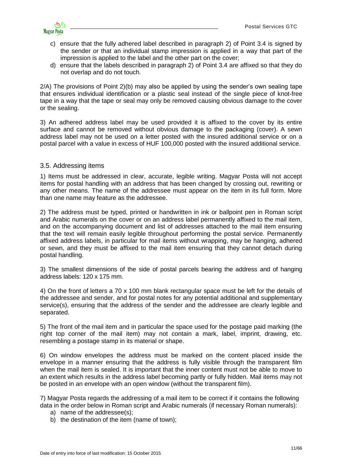

- c) ensure that the fully adhered label described in paragraph 2) of Point 3.4 is signed by the sender or that an individual stamp impression is applied in a way that part of the impression is applied to the label and the other part on the cover;
- d) ensure that the labels described in paragraph 2) of Point 3.4 are affixed so that they do not overlap and do not touch.

2/A) The provisions of Point 2)(b) may also be applied by using the sender's own sealing tape that ensures individual identification or a plastic seal instead of the single piece of knot-free tape in a way that the tape or seal may only be removed causing obvious damage to the cover or the sealing.

3) An adhered address label may be used provided it is affixed to the cover by its entire surface and cannot be removed without obvious damage to the packaging (cover). A sewn address label may not be used on a letter posted with the insured additional service or on a postal parcel with a value in excess of HUF 100,000 posted with the insured additional service.

### <span id="page-10-0"></span>3.5. Addressing items

1) Items must be addressed in clear, accurate, legible writing. Magyar Posta will not accept items for postal handling with an address that has been changed by crossing out, rewriting or any other means. The name of the addressee must appear on the item in its full form. More than one name may feature as the addressee.

2) The address must be typed, printed or handwritten in ink or ballpoint pen in Roman script and Arabic numerals on the cover or on an address label permanently affixed to the mail item, and on the accompanying document and list of addresses attached to the mail item ensuring that the text will remain easily legible throughout performing the postal service. Permanently affixed address labels, in particular for mail items without wrapping, may be hanging, adhered or sewn, and they must be affixed to the mail item ensuring that they cannot detach during postal handling.

3) The smallest dimensions of the side of postal parcels bearing the address and of hanging address labels: 120 x 175 mm.

4) On the front of letters a 70 x 100 mm blank rectangular space must be left for the details of the addressee and sender, and for postal notes for any potential additional and supplementary service(s), ensuring that the address of the sender and the addressee are clearly legible and separated.

5) The front of the mail item and in particular the space used for the postage paid marking (the right top corner of the mail item) may not contain a mark, label, imprint, drawing, etc. resembling a postage stamp in its material or shape.

6) On window envelopes the address must be marked on the content placed inside the envelope in a manner ensuring that the address is fully visible through the transparent film when the mail item is sealed. It is important that the inner content must not be able to move to an extent which results in the address label becoming partly or fully hidden. Mail items may not be posted in an envelope with an open window (without the transparent film).

7) Magyar Posta regards the addressing of a mail item to be correct if it contains the following data in the order below in Roman script and Arabic numerals (if necessary Roman numerals):

- a) name of the addressee(s);
- b) the destination of the item (name of town);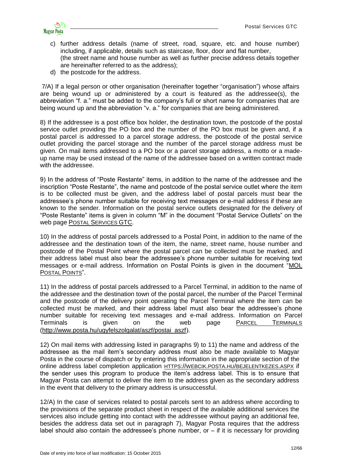

- c) further address details (name of street, road, square, etc. and house number) including, if applicable, details such as staircase, floor, door and flat number, (the street name and house number as well as further precise address details together are hereinafter referred to as the address);
- d) the postcode for the address.

7/A) If a legal person or other organisation (hereinafter together "organisation") whose affairs are being wound up or administered by a court is featured as the addressee(s), the abbreviation "f. a." must be added to the company's full or short name for companies that are being wound up and the abbreviation "v. a." for companies that are being administered.

8) If the addressee is a post office box holder, the destination town, the postcode of the postal service outlet providing the PO box and the number of the PO box must be given and, if a postal parcel is addressed to a parcel storage address, the postcode of the postal service outlet providing the parcel storage and the number of the parcel storage address must be given. On mail items addressed to a PO box or a parcel storage address, a motto or a madeup name may be used instead of the name of the addressee based on a written contract made with the addressee.

9) In the address of "Poste Restante" items, in addition to the name of the addressee and the inscription "Poste Restante", the name and postcode of the postal service outlet where the item is to be collected must be given, and the address label of postal parcels must bear the addressee's phone number suitable for receiving text messages or e-mail address if these are known to the sender. Information on the postal service outlets designated for the delivery of "Poste Restante" items is given in column "M" in the document "Postal Service Outlets" on the web page POSTAL S[ERVICES](http://www.posta.hu/ugyfelszolgalat/aszf/postai_aszf) GTC.

10) In the address of postal parcels addressed to a Postal Point, in addition to the name of the addressee and the destination town of the item, the name, street name, house number and postcode of the Postal Point where the postal parcel can be collected must be marked, and their address label must also bear the addressee's phone number suitable for receiving text messages or e-mail address. Information on Postal Points is given in the document ["MOL](http://www.posta.hu/static/internet/download/PASZF_KI03_MOL_PostaPontok_20130828.pdf)  P[OSTAL](http://www.posta.hu/static/internet/download/PASZF_KI03_MOL_PostaPontok_20130828.pdf) POINTS".

11) In the address of postal parcels addressed to a Parcel Terminal, in addition to the name of the addressee and the destination town of the postal parcel, the number of the Parcel Terminal and the postcode of the delivery point operating the Parcel Terminal where the item can be collected must be marked, and their address label must also bear the addressee's phone number suitable for receiving text messages and e-mail address. Information on Parcel Terminals is given on the web page <u>PARCEL T[ERMINALS](http://www.posta.hu/static/internet/download/PASZF_KI15_Csomagautomatak.pdf)</u> [\(http://www.posta.hu/ugyfelszolgalat/aszf/postai\\_aszf](http://www.posta.hu/ugyfelszolgalat/aszf/postai_aszf)).

12) On mail items with addressing listed in paragraphs 9) to 11) the name and address of the addressee as the mail item's secondary address must also be made available to Magyar Posta in the course of dispatch or by entering this information in the appropriate section of the online address label completion application HTTPS://WEBCIK.POSTA.HU/[BEJELENTKEZES](https://webcik.posta.hu/bejelentkezes.aspx).ASPX if the sender uses this program to produce the item's address label. This is to ensure that Magyar Posta can attempt to deliver the item to the address given as the secondary address in the event that delivery to the primary address is unsuccessful.

12/A) In the case of services related to postal parcels sent to an address where according to the provisions of the separate product sheet in respect of the available additional services the services also include getting into contact with the addressee without paying an additional fee, besides the address data set out in paragraph 7), Magyar Posta requires that the address label should also contain the addressee's phone number, or  $-$  if it is necessary for providing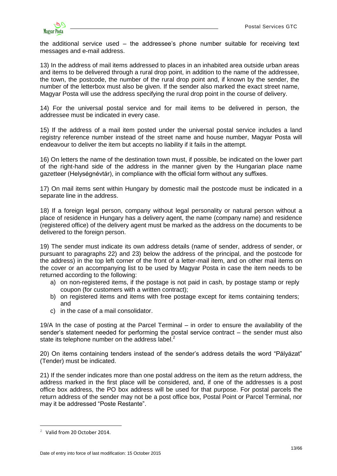

the additional service used – the addressee's phone number suitable for receiving text messages and e-mail address.

13) In the address of mail items addressed to places in an inhabited area outside urban areas and items to be delivered through a rural drop point, in addition to the name of the addressee, the town, the postcode, the number of the rural drop point and, if known by the sender, the number of the letterbox must also be given. If the sender also marked the exact street name, Magyar Posta will use the address specifying the rural drop point in the course of delivery.

14) For the universal postal service and for mail items to be delivered in person, the addressee must be indicated in every case.

15) If the address of a mail item posted under the universal postal service includes a land registry reference number instead of the street name and house number, Magyar Posta will endeavour to deliver the item but accepts no liability if it fails in the attempt.

16) On letters the name of the destination town must, if possible, be indicated on the lower part of the right-hand side of the address in the manner given by the Hungarian place name gazetteer (Helységnévtár), in compliance with the official form without any suffixes.

17) On mail items sent within Hungary by domestic mail the postcode must be indicated in a separate line in the address.

18) If a foreign legal person, company without legal personality or natural person without a place of residence in Hungary has a delivery agent, the name (company name) and residence (registered office) of the delivery agent must be marked as the address on the documents to be delivered to the foreign person.

19) The sender must indicate its own address details (name of sender, address of sender, or pursuant to paragraphs 22) and 23) below the address of the principal, and the postcode for the address) in the top left corner of the front of a letter-mail item, and on other mail items on the cover or an accompanying list to be used by Magyar Posta in case the item needs to be returned according to the following:

- a) on non-registered items, if the postage is not paid in cash, by postage stamp or reply coupon (for customers with a written contract);
- b) on registered items and items with free postage except for items containing tenders; and
- c) in the case of a mail consolidator.

19/A In the case of posting at the Parcel Terminal – in order to ensure the availability of the sender's statement needed for performing the postal service contract – the sender must also state its telephone number on the address label.<sup>2</sup>

20) On items containing tenders instead of the sender's address details the word "Pályázat" (Tender) must be indicated.

21) If the sender indicates more than one postal address on the item as the return address, the address marked in the first place will be considered, and, if one of the addresses is a post office box address, the PO box address will be used for that purpose. For postal parcels the return address of the sender may not be a post office box, Postal Point or Parcel Terminal, nor may it be addressed "Poste Restante".

<u>.</u>

<sup>2</sup> Valid from 20 October 2014.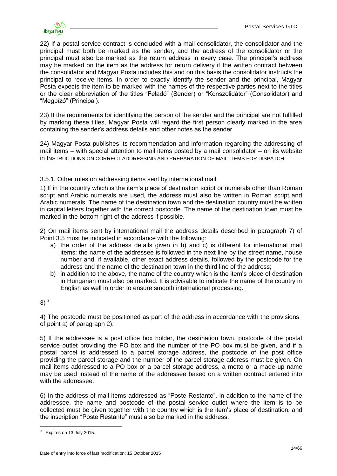

22) If a postal service contract is concluded with a mail consolidator, the consolidator and the principal must both be marked as the sender, and the address of the consolidator or the principal must also be marked as the return address in every case. The principal's address may be marked on the item as the address for return delivery if the written contract between the consolidator and Magyar Posta includes this and on this basis the consolidator instructs the principal to receive items. In order to exactly identify the sender and the principal, Magyar Posta expects the item to be marked with the names of the respective parties next to the titles or the clear abbreviation of the titles "Feladó" (Sender) or "Konszolidátor" (Consolidator) and "Megbízó" (Principal).

23) If the requirements for identifying the person of the sender and the principal are not fulfilled by marking these titles, Magyar Posta will regard the first person clearly marked in the area containing the sender's address details and other notes as the sender.

24) Magyar Posta publishes its recommendation and information regarding the addressing of mail items – with special attention to mail items posted by a mail consolidator – on its website in INSTRUCTIONS ON CORRECT ADDRESSING AND PREPARATION OF MAIL ITEMS FOR DISPATCH.

<span id="page-13-0"></span>3.5.1. Other rules on addressing items sent by international mail:

1) If in the country which is the item's place of destination script or numerals other than Roman script and Arabic numerals are used, the address must also be written in Roman script and Arabic numerals. The name of the destination town and the destination country must be written in capital letters together with the correct postcode. The name of the destination town must be marked in the bottom right of the address if possible.

2) On mail items sent by international mail the address details described in paragraph 7) of Point 3.5 must be indicated in accordance with the following:

- a) the order of the address details given in b) and c) is different for international mail items: the name of the addressee is followed in the next line by the street name, house number and, if available, other exact address details, followed by the postcode for the address and the name of the destination town in the third line of the address;
- b) in addition to the above, the name of the country which is the item's place of destination in Hungarian must also be marked. It is advisable to indicate the name of the country in English as well in order to ensure smooth international processing.

 $3)$ <sup>3</sup>

4) The postcode must be positioned as part of the address in accordance with the provisions of point a) of paragraph 2).

5) If the addressee is a post office box holder, the destination town, postcode of the postal service outlet providing the PO box and the number of the PO box must be given, and if a postal parcel is addressed to a parcel storage address, the postcode of the post office providing the parcel storage and the number of the parcel storage address must be given. On mail items addressed to a PO box or a parcel storage address, a motto or a made-up name may be used instead of the name of the addressee based on a written contract entered into with the addressee.

6) In the address of mail items addressed as "Poste Restante", in addition to the name of the addressee, the name and postcode of the postal service outlet where the item is to be collected must be given together with the country which is the item's place of destination, and the inscription "Poste Restante" must also be marked in the address.

1

Expires on 13 July 2015.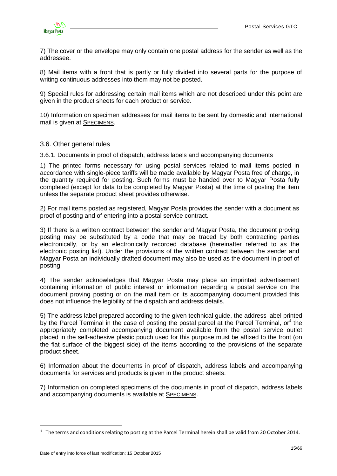

7) The cover or the envelope may only contain one postal address for the sender as well as the addressee.

8) Mail items with a front that is partly or fully divided into several parts for the purpose of writing continuous addresses into them may not be posted.

9) Special rules for addressing certain mail items which are not described under this point are given in the product sheets for each product or service.

10) Information on specimen addresses for mail items to be sent by domestic and international mail is given at S[PECIMENS](http://www.posta.hu/ugyfelszolgalat/aszf/postai_aszf/mintak).

### <span id="page-14-0"></span>3.6. Other general rules

<span id="page-14-1"></span>3.6.1. Documents in proof of dispatch, address labels and accompanying documents

1) The printed forms necessary for using postal services related to mail items posted in accordance with single-piece tariffs will be made available by Magyar Posta free of charge, in the quantity required for posting. Such forms must be handed over to Magyar Posta fully completed (except for data to be completed by Magyar Posta) at the time of posting the item unless the separate product sheet provides otherwise.

2) For mail items posted as registered, Magyar Posta provides the sender with a document as proof of posting and of entering into a postal service contract.

3) If there is a written contract between the sender and Magyar Posta, the document proving posting may be substituted by a code that may be traced by both contracting parties electronically, or by an electronically recorded database (hereinafter referred to as the electronic posting list). Under the provisions of the written contract between the sender and Magyar Posta an individually drafted document may also be used as the document in proof of posting.

4) The sender acknowledges that Magyar Posta may place an imprinted advertisement containing information of public interest or information regarding a postal service on the document proving posting or on the mail item or its accompanying document provided this does not influence the legibility of the dispatch and address details.

5) The address label prepared according to the given technical guide, the address label printed by the Parcel Terminal in the case of posting the postal parcel at the Parcel Terminal, or<sup>4</sup> the appropriately completed accompanying document available from the postal service outlet placed in the self-adhesive plastic pouch used for this purpose must be affixed to the front (on the flat surface of the biggest side) of the items according to the provisions of the separate product sheet.

6) Information about the documents in proof of dispatch, address labels and accompanying documents for services and products is given in the product sheets.

7) Information on completed specimens of the documents in proof of dispatch, address labels and accompanying documents is available at S[PECIMENS](http://www.posta.hu/ugyfelszolgalat/aszf/postai_aszf/mintak).

<u>.</u>

 $4$  The terms and conditions relating to posting at the Parcel Terminal herein shall be valid from 20 October 2014.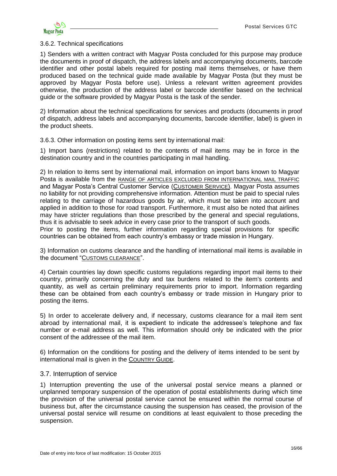#### <span id="page-15-0"></span>3.6.2. Technical specifications

1) Senders with a written contract with Magyar Posta concluded for this purpose may produce the documents in proof of dispatch, the address labels and accompanying documents, barcode identifier and other postal labels required for posting mail items themselves, or have them produced based on the technical guide made available by Magyar Posta (but they must be approved by Magyar Posta before use). Unless a relevant written agreement provides otherwise, the production of the address label or barcode identifier based on the technical guide or the software provided by Magyar Posta is the task of the sender.

2) Information about the technical specifications for services and products (documents in proof of dispatch, address labels and accompanying documents, barcode identifier, label) is given in the product sheets.

<span id="page-15-1"></span>3.6.3. Other information on posting items sent by international mail:

1) Import bans (restrictions) related to the contents of mail items may be in force in the destination country and in the countries participating in mail handling.

2) In relation to items sent by international mail, information on import bans known to Magyar Posta is available from the [RANGE OF ARTICLES EXCLUDED FROM INTERNATIONAL MAIL](http://www.posta.hu/level/level_kulfoldre/nemzetkozi_postai_forgalombol_kizart_targyak_kore) TRAFFIC and Magyar Posta's Central Customer Service (C[USTOMER](http://www.posta.hu/ugyfelszolgalat) SERVICE). Magyar Posta assumes no liability for not providing comprehensive information. Attention must be paid to special rules relating to the carriage of hazardous goods by air, which must be taken into account and applied in addition to those for road transport. Furthermore, it must also be noted that airlines may have stricter regulations than those prescribed by the general and special regulations, thus it is advisable to seek advice in every case prior to the transport of such goods. Prior to posting the items, further information regarding special provisions for specific

countries can be obtained from each country's embassy or trade mission in Hungary.

3) Information on customs clearance and the handling of international mail items is available in the document "C[USTOMS CLEARANCE](http://www.posta.hu/static/internet/download/PASZF_KI08_Vamkezeles_20130614_elozetes.pdf)".

4) Certain countries lay down specific customs regulations regarding import mail items to their country, primarily concerning the duty and tax burdens related to the item's contents and quantity, as well as certain preliminary requirements prior to import. Information regarding these can be obtained from each country's embassy or trade mission in Hungary prior to posting the items.

5) In order to accelerate delivery and, if necessary, customs clearance for a mail item sent abroad by international mail, it is expedient to indicate the addressee's telephone and fax number or e-mail address as well. This information should only be indicated with the prior consent of the addressee of the mail item.

6) Information on the conditions for posting and the delivery of items intended to be sent by international mail is given in the C[OUNTRY](http://www.posta.hu/level/level_kulfoldre/orszaglapok) GUIDE.

#### <span id="page-15-2"></span>3.7. Interruption of service

1) Interruption preventing the use of the universal postal service means a planned or unplanned temporary suspension of the operation of postal establishments during which time the provision of the universal postal service cannot be ensured within the normal course of business but, after the circumstance causing the suspension has ceased, the provision of the universal postal service will resume on conditions at least equivalent to those preceding the suspension.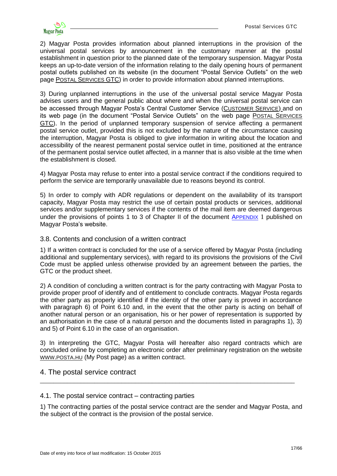

2) Magyar Posta provides information about planned interruptions in the provision of the universal postal services by announcement in the customary manner at the postal establishment in question prior to the planned date of the temporary suspension. Magyar Posta keeps an up-to-date version of the information relating to the daily opening hours of permanent postal outlets published on its website (in the document "Postal Service Outlets" on the web page POSTAL S[ERVICES](http://www.posta.hu/ugyfelszolgalat/aszf/postai_aszf) GTC) in order to provide information about planned interruptions.

3) During unplanned interruptions in the use of the universal postal service Magyar Posta advises users and the general public about where and when the universal postal service can be accessed through Magyar Posta's Central Customer Service (C[USTOMER](http://www.posta.hu/ugyfelszolgalat) SERVICE) and on its web page (in the document "Postal Service Outlets" on the web page POSTAL S[ERVICES](http://www.posta.hu/ugyfelszolgalat/aszf/postai_aszf)  [GTC\)](http://www.posta.hu/ugyfelszolgalat/aszf/postai_aszf). In the period of unplanned temporary suspension of service affecting a permanent postal service outlet, provided this is not excluded by the nature of the circumstance causing the interruption, Magyar Posta is obliged to give information in writing about the location and accessibility of the nearest permanent postal service outlet in time, positioned at the entrance of the permanent postal service outlet affected, in a manner that is also visible at the time when the establishment is closed.

4) Magyar Posta may refuse to enter into a postal service contract if the conditions required to perform the service are temporarily unavailable due to reasons beyond its control.

5) In order to comply with ADR regulations or dependent on the availability of its transport capacity, Magyar Posta may restrict the use of certain postal products or services, additional services and/or supplementary services if the contents of the mail item are deemed dangerous under the provisions of points 1 to 3 of Chapter II of the document A[PPENDIX](http://www.posta.hu/static/internet/download/PASZF_ASZF03_1_es_fuggelek.pdf) 1 published on Magyar Posta's website.

#### <span id="page-16-0"></span>3.8. Contents and conclusion of a written contract

1) If a written contract is concluded for the use of a service offered by Magyar Posta (including additional and supplementary services), with regard to its provisions the provisions of the Civil Code must be applied unless otherwise provided by an agreement between the parties, the GTC or the product sheet.

2) A condition of concluding a written contract is for the party contracting with Magyar Posta to provide proper proof of identify and of entitlement to conclude contracts. Magyar Posta regards the other party as properly identified if the identity of the other party is proved in accordance with paragraph 6) of Point 6.10 and, in the event that the other party is acting on behalf of another natural person or an organisation, his or her power of representation is supported by an authorisation in the case of a natural person and the documents listed in paragraphs 1), 3) and 5) of Point 6.10 in the case of an organisation.

3) In interpreting the GTC, Magyar Posta will hereafter also regard contracts which are concluded online by completing an electronic order after preliminary registration on the website WWW.[POSTA](http://www.posta.hu/).HU (My Post page) as a written contract.

\_\_\_\_\_\_\_\_\_\_\_\_\_\_\_\_\_\_\_\_\_\_\_\_\_\_\_\_\_\_\_\_\_\_\_\_\_\_\_\_\_\_\_\_\_\_\_\_\_\_\_\_\_\_\_\_\_\_\_\_\_\_\_\_\_\_\_\_\_\_\_\_\_\_\_

# <span id="page-16-1"></span>4. The postal service contract

#### <span id="page-16-2"></span>4.1. The postal service contract – contracting parties

1) The contracting parties of the postal service contract are the sender and Magyar Posta, and the subject of the contract is the provision of the postal service.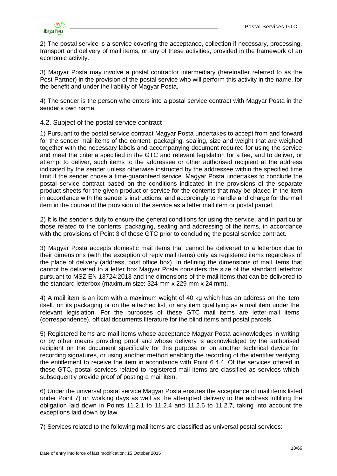

2) The postal service is a service covering the acceptance, collection if necessary, processing, transport and delivery of mail items, or any of these activities, provided in the framework of an economic activity.

3) Magyar Posta may involve a postal contractor intermediary (hereinafter referred to as the Post Partner) in the provision of the postal service who will perform this activity in the name, for the benefit and under the liability of Magyar Posta.

4) The sender is the person who enters into a postal service contract with Magyar Posta in the sender's own name.

### <span id="page-17-0"></span>4.2. Subject of the postal service contract

1) Pursuant to the postal service contract Magyar Posta undertakes to accept from and forward for the sender mail items of the content, packaging, sealing, size and weight that are weighed together with the necessary labels and accompanying document required for using the service and meet the criteria specified in the GTC and relevant legislation for a fee, and to deliver, or attempt to deliver, such items to the addressee or other authorised recipient at the address indicated by the sender unless otherwise instructed by the addressee within the specified time limit if the sender chose a time-guaranteed service. Magyar Posta undertakes to conclude the postal service contract based on the conditions indicated in the provisions of the separate product sheets for the given product or service for the contents that may be placed in the item in accordance with the sender's instructions, and accordingly to handle and charge for the mail item in the course of the provision of the service as a letter mail item or postal parcel.

2) It is the sender's duty to ensure the general conditions for using the service, and in particular those related to the contents, packaging, sealing and addressing of the items, in accordance with the provisions of Point 3 of these GTC prior to concluding the postal service contract.

3) Magyar Posta accepts domestic mail items that cannot be delivered to a letterbox due to their dimensions (with the exception of reply mail items) only as registered items regardless of the place of delivery (address, post office box). In defining the dimensions of mail items that cannot be delivered to a letter box Magyar Posta considers the size of the standard letterbox pursuant to MSZ EN 13724:2013 and the dimensions of the mail items that can be delivered to the standard letterbox (maximum size: 324 mm x 229 mm x 24 mm).

4) A mail item is an item with a maximum weight of 40 kg which has an address on the item itself, on its packaging or on the attached list, or any item qualifying as a mail item under the relevant legislation. For the purposes of these GTC mail items are letter-mail items (correspondence), official documents literature for the blind items and postal parcels.

5) Registered items are mail items whose acceptance Magyar Posta acknowledges in writing or by other means providing proof and whose delivery is acknowledged by the authorised recipient on the document specifically for this purpose or on another technical device for recording signatures, or using another method enabling the recording of the identifier verifying the entitlement to receive the item in accordance with Point 6.4.4. Of the services offered in these GTC, postal services related to registered mail items are classified as services which subsequently provide proof of posting a mail item.

6) Under the universal postal service Magyar Posta ensures the acceptance of mail items listed under Point 7) on working days as well as the attempted delivery to the address fulfilling the obligation laid down in Points 11.2.1 to 11.2.4 and 11.2.6 to 11.2.7, taking into account the exceptions laid down by law.

7) Services related to the following mail items are classified as universal postal services: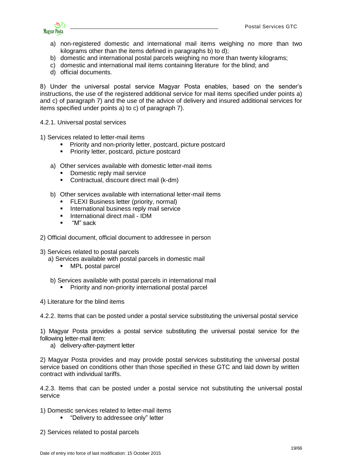

- a) non-registered domestic and international mail items weighing no more than two kilograms other than the items defined in paragraphs b) to d);
- b) domestic and international postal parcels weighing no more than twenty kilograms;
- c) domestic and international mail items containing literature for the blind; and
- d) official documents.

8) Under the universal postal service Magyar Posta enables, based on the sender's instructions, the use of the registered additional service for mail items specified under points a) and c) of paragraph 7) and the use of the advice of delivery and insured additional services for items specified under points a) to c) of paragraph 7).

- <span id="page-18-0"></span>4.2.1. Universal postal services
- 1) Services related to letter-mail items
	- Priority and non-priority letter, postcard, picture postcard
	- Priority letter, postcard, picture postcard
	- a) Other services available with domestic letter-mail items
		- Domestic reply mail service
		- Contractual, discount direct mail (k-dm)
	- b) Other services available with international letter-mail items
		- FLEXI Business letter (priority, normal)
		- **International business reply mail service**
		- **International direct mail IDM**
		- "M" sack
- 2) Official document, official document to addressee in person
- 3) Services related to postal parcels
	- a) Services available with postal parcels in domestic mail
		- MPL postal parcel
	- b) Services available with postal parcels in international mail
		- Priority and non-priority international postal parcel
- 4) Literature for the blind items

<span id="page-18-1"></span>4.2.2. Items that can be posted under a postal service substituting the universal postal service

1) Magyar Posta provides a postal service substituting the universal postal service for the following letter-mail item:

a) delivery-after-payment letter

2) Magyar Posta provides and may provide postal services substituting the universal postal service based on conditions other than those specified in these GTC and laid down by written contract with individual tariffs.

<span id="page-18-2"></span>4.2.3. Items that can be posted under a postal service not substituting the universal postal service

- 1) Domestic services related to letter-mail items
	- "Delivery to addressee only" letter
- 2) Services related to postal parcels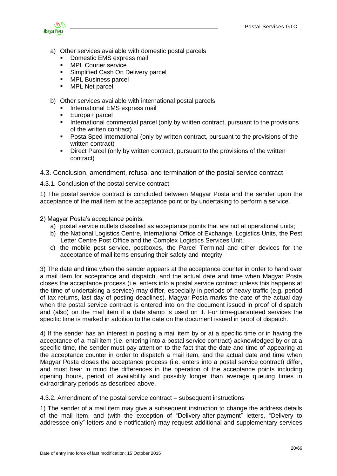

- a) Other services available with domestic postal parcels
	- Domestic EMS express mail
	- **MPL Courier service**
	- **Simplified Cash On Delivery parcel**
	- **MPL Business parcel**
	- **NPL Net parcel**
- b) Other services available with international postal parcels
	- International EMS express mail
	- Europa+ parcel
	- **International commercial parcel (only by written contract, pursuant to the provisions** of the written contract)
	- Posta Sped International (only by written contract, pursuant to the provisions of the written contract)
	- **Direct Parcel (only by written contract, pursuant to the provisions of the written** contract)

<span id="page-19-0"></span>4.3. Conclusion, amendment, refusal and termination of the postal service contract

<span id="page-19-1"></span>4.3.1. Conclusion of the postal service contract

1) The postal service contract is concluded between Magyar Posta and the sender upon the acceptance of the mail item at the acceptance point or by undertaking to perform a service.

2) Magyar Posta's acceptance points:

- a) postal service outlets classified as acceptance points that are not at operational units;
- b) the National Logistics Centre, International Office of Exchange, Logistics Units, the Pest Letter Centre Post Office and the Complex Logistics Services Unit:
- c) the mobile post service, postboxes, the Parcel Terminal and other devices for the acceptance of mail items ensuring their safety and integrity.

3) The date and time when the sender appears at the acceptance counter in order to hand over a mail item for acceptance and dispatch, and the actual date and time when Magyar Posta closes the acceptance process (i.e. enters into a postal service contract unless this happens at the time of undertaking a service) may differ, especially in periods of heavy traffic (e.g. period of tax returns, last day of posting deadlines). Magyar Posta marks the date of the actual day when the postal service contract is entered into on the document issued in proof of dispatch and (also) on the mail item if a date stamp is used on it. For time-guaranteed services the specific time is marked in addition to the date on the document issued in proof of dispatch.

4) If the sender has an interest in posting a mail item by or at a specific time or in having the acceptance of a mail item (i.e. entering into a postal service contract) acknowledged by or at a specific time, the sender must pay attention to the fact that the date and time of appearing at the acceptance counter in order to dispatch a mail item, and the actual date and time when Magyar Posta closes the acceptance process (i.e. enters into a postal service contract) differ, and must bear in mind the differences in the operation of the acceptance points including opening hours, period of availability and possibly longer than average queuing times in extraordinary periods as described above.

<span id="page-19-2"></span>4.3.2. Amendment of the postal service contract – subsequent instructions

1) The sender of a mail item may give a subsequent instruction to change the address details of the mail item, and (with the exception of "Delivery-after-payment" letters, "Delivery to addressee only" letters and e-notification) may request additional and supplementary services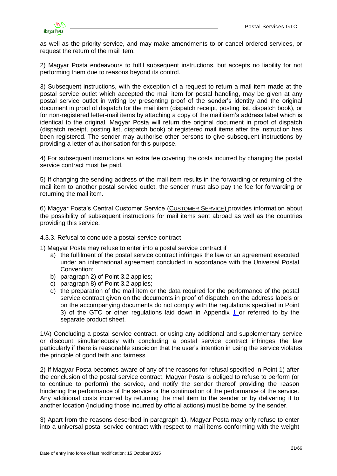as well as the priority service, and may make amendments to or cancel ordered services, or request the return of the mail item.

2) Magyar Posta endeavours to fulfil subsequent instructions, but accepts no liability for not performing them due to reasons beyond its control.

3) Subsequent instructions, with the exception of a request to return a mail item made at the postal service outlet which accepted the mail item for postal handling, may be given at any postal service outlet in writing by presenting proof of the sender's identity and the original document in proof of dispatch for the mail item (dispatch receipt, posting list, dispatch book), or for non-registered letter-mail items by attaching a copy of the mail item's address label which is identical to the original. Magyar Posta will return the original document in proof of dispatch (dispatch receipt, posting list, dispatch book) of registered mail items after the instruction has been registered. The sender may authorise other persons to give subsequent instructions by providing a letter of authorisation for this purpose.

4) For subsequent instructions an extra fee covering the costs incurred by changing the postal service contract must be paid.

5) If changing the sending address of the mail item results in the forwarding or returning of the mail item to another postal service outlet, the sender must also pay the fee for forwarding or returning the mail item.

6) Magyar Posta's Central Customer Service (C[USTOMER](http://www.posta.hu/ugyfelszolgalat) SERVICE) provides information about the possibility of subsequent instructions for mail items sent abroad as well as the countries providing this service.

<span id="page-20-0"></span>4.3.3. Refusal to conclude a postal service contract

1) Magyar Posta may refuse to enter into a postal service contract if

- a) the fulfilment of the postal service contract infringes the law or an agreement executed under an international agreement concluded in accordance with the Universal Postal Convention;
- b) paragraph 2) of Point 3.2 applies;
- c) paragraph 8) of Point 3.2 applies;
- d) the preparation of the mail item or the data required for the performance of the postal service contract given on the documents in proof of dispatch, on the address labels or on the accompanying documents do not comply with the regulations specified in Point 3) of the GTC or other regulations laid down in Appendix [1](http://www.posta.hu/static/internet/download/PASZF_ASZF03_1_es_fuggelek.pdf) or referred to by the separate product sheet.

1/A) Concluding a postal service contract, or using any additional and supplementary service or discount simultaneously with concluding a postal service contract infringes the law particularly if there is reasonable suspicion that the user's intention in using the service violates the principle of good faith and fairness.

2) If Magyar Posta becomes aware of any of the reasons for refusal specified in Point 1) after the conclusion of the postal service contract, Magyar Posta is obliged to refuse to perform (or to continue to perform) the service, and notify the sender thereof providing the reason hindering the performance of the service or the continuation of the performance of the service. Any additional costs incurred by returning the mail item to the sender or by delivering it to another location (including those incurred by official actions) must be borne by the sender.

3) Apart from the reasons described in paragraph 1), Magyar Posta may only refuse to enter into a universal postal service contract with respect to mail items conforming with the weight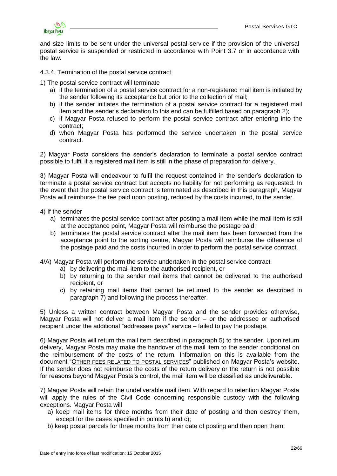

and size limits to be sent under the universal postal service if the provision of the universal postal service is suspended or restricted in accordance with Point 3.7 or in accordance with the law.

<span id="page-21-0"></span>4.3.4. Termination of the postal service contract

1) The postal service contract will terminate

- a) if the termination of a postal service contract for a non-registered mail item is initiated by the sender following its acceptance but prior to the collection of mail;
- b) if the sender initiates the termination of a postal service contract for a registered mail item and the sender's declaration to this end can be fulfilled based on paragraph 2);
- c) if Magyar Posta refused to perform the postal service contract after entering into the contract;
- d) when Magyar Posta has performed the service undertaken in the postal service contract.

2) Magyar Posta considers the sender's declaration to terminate a postal service contract possible to fulfil if a registered mail item is still in the phase of preparation for delivery.

3) Magyar Posta will endeavour to fulfil the request contained in the sender's declaration to terminate a postal service contract but accepts no liability for not performing as requested. In the event that the postal service contract is terminated as described in this paragraph, Magyar Posta will reimburse the fee paid upon posting, reduced by the costs incurred, to the sender.

#### 4) If the sender

- a) terminates the postal service contract after posting a mail item while the mail item is still at the acceptance point, Magyar Posta will reimburse the postage paid;
- b) terminates the postal service contract after the mail item has been forwarded from the acceptance point to the sorting centre, Magyar Posta will reimburse the difference of the postage paid and the costs incurred in order to perform the postal service contract.

4/A) Magyar Posta will perform the service undertaken in the postal service contract

- a) by delivering the mail item to the authorised recipient, or
- b) by returning to the sender mail items that cannot be delivered to the authorised recipient, or
- c) by retaining mail items that cannot be returned to the sender as described in paragraph 7) and following the process thereafter.

5) Unless a written contract between Magyar Posta and the sender provides otherwise, Magyar Posta will not deliver a mail item if the sender – or the addressee or authorised recipient under the additional "addressee pays" service – failed to pay the postage.

6) Magyar Posta will return the mail item described in paragraph 5) to the sender. Upon return delivery, Magyar Posta may make the handover of the mail item to the sender conditional on the reimbursement of the costs of the return. Information on this is available from the document "O[THER FEES RELATED TO](http://www.posta.hu/static/internet/download/PASZF_KI09_Postai_egyeb_dijak_20130614_elozetes.pdf) POSTAL SERVICES" published on Magyar Posta's website. If the sender does not reimburse the costs of the return delivery or the return is not possible for reasons beyond Magyar Posta's control, the mail item will be classified as undeliverable.

7) Magyar Posta will retain the undeliverable mail item. With regard to retention Magyar Posta will apply the rules of the Civil Code concerning responsible custody with the following exceptions. Magyar Posta will

- a) keep mail items for three months from their date of posting and then destroy them, except for the cases specified in points b) and c);
- b) keep postal parcels for three months from their date of posting and then open them;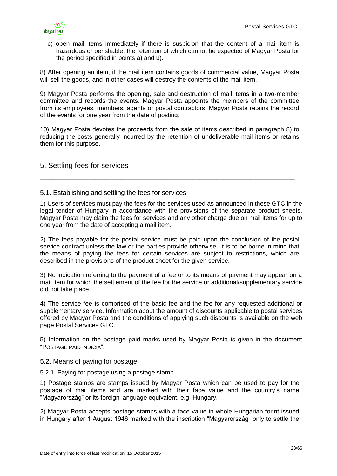

c) open mail items immediately if there is suspicion that the content of a mail item is hazardous or perishable, the retention of which cannot be expected of Magyar Posta for the period specified in points a) and b).

8) After opening an item, if the mail item contains goods of commercial value, Magyar Posta will sell the goods, and in other cases will destroy the contents of the mail item.

9) Magyar Posta performs the opening, sale and destruction of mail items in a two-member committee and records the events. Magyar Posta appoints the members of the committee from its employees, members, agents or postal contractors. Magyar Posta retains the record of the events for one year from the date of posting.

10) Magyar Posta devotes the proceeds from the sale of items described in paragraph 8) to reducing the costs generally incurred by the retention of undeliverable mail items or retains them for this purpose.

\_\_\_\_\_\_\_\_\_\_\_\_\_\_\_\_\_\_\_\_\_\_\_\_\_\_\_\_\_\_\_\_\_\_\_\_\_\_\_\_\_\_\_\_\_\_\_\_\_\_\_\_\_\_\_\_\_\_\_\_\_\_\_\_\_\_\_\_\_\_\_\_\_\_\_

# <span id="page-22-0"></span>5. Settling fees for services

#### <span id="page-22-1"></span>5.1. Establishing and settling the fees for services

1) Users of services must pay the fees for the services used as announced in these GTC in the legal tender of Hungary in accordance with the provisions of the separate product sheets. Magyar Posta may claim the fees for services and any other charge due on mail items for up to one year from the date of accepting a mail item.

2) The fees payable for the postal service must be paid upon the conclusion of the postal service contract unless the law or the parties provide otherwise. It is to be borne in mind that the means of paying the fees for certain services are subject to restrictions, which are described in the provisions of the product sheet for the given service.

3) No indication referring to the payment of a fee or to its means of payment may appear on a mail item for which the settlement of the fee for the service or additional/supplementary service did not take place.

4) The service fee is comprised of the basic fee and the fee for any requested additional or supplementary service. Information about the amount of discounts applicable to postal services offered by Magyar Posta and the conditions of applying such discounts is available on the web page [Postal Services GTC.](http://www.posta.hu/ugyfelszolgalat/aszf/postai_aszf)

5) Information on the postage paid marks used by Magyar Posta is given in the document "P[OSTAGE PAID INDICIA](http://www.posta.hu/static/internet/download/PASZF_KI12_Bermentesetesi_jelzesek_20130614_elozetes.pdf)".

### <span id="page-22-2"></span>5.2. Means of paying for postage

#### <span id="page-22-3"></span>5.2.1. Paying for postage using a postage stamp

1) Postage stamps are stamps issued by Magyar Posta which can be used to pay for the postage of mail items and are marked with their face value and the country's name "Magyarország" or its foreign language equivalent, e.g. Hungary.

2) Magyar Posta accepts postage stamps with a face value in whole Hungarian forint issued in Hungary after 1 August 1946 marked with the inscription "Magyarország" only to settle the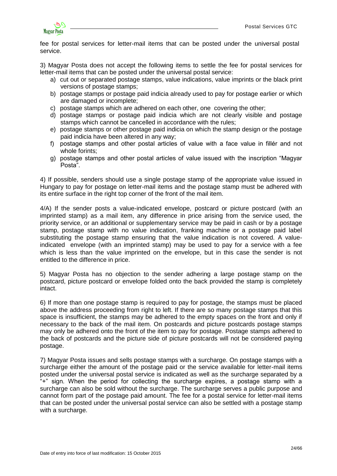

fee for postal services for letter-mail items that can be posted under the universal postal service.

3) Magyar Posta does not accept the following items to settle the fee for postal services for letter-mail items that can be posted under the universal postal service:

- a) cut out or separated postage stamps, value indications, value imprints or the black print versions of postage stamps;
- b) postage stamps or postage paid indicia already used to pay for postage earlier or which are damaged or incomplete;
- c) postage stamps which are adhered on each other, one covering the other;
- d) postage stamps or postage paid indicia which are not clearly visible and postage stamps which cannot be cancelled in accordance with the rules;
- e) postage stamps or other postage paid indicia on which the stamp design or the postage paid indicia have been altered in any way;
- f) postage stamps and other postal articles of value with a face value in fillér and not whole forints;
- g) postage stamps and other postal articles of value issued with the inscription "Magyar Posta".

4) If possible, senders should use a single postage stamp of the appropriate value issued in Hungary to pay for postage on letter-mail items and the postage stamp must be adhered with its entire surface in the right top corner of the front of the mail item.

4/A) If the sender posts a value-indicated envelope, postcard or picture postcard (with an imprinted stamp) as a mail item, any difference in price arising from the service used, the priority service, or an additional or supplementary service may be paid in cash or by a postage stamp, postage stamp with no value indication, franking machine or a postage paid label substituting the postage stamp ensuring that the value indication is not covered. A valueindicated envelope (with an imprinted stamp) may be used to pay for a service with a fee which is less than the value imprinted on the envelope, but in this case the sender is not entitled to the difference in price.

5) Magyar Posta has no objection to the sender adhering a large postage stamp on the postcard, picture postcard or envelope folded onto the back provided the stamp is completely intact.

6) If more than one postage stamp is required to pay for postage, the stamps must be placed above the address proceeding from right to left. If there are so many postage stamps that this space is insufficient, the stamps may be adhered to the empty spaces on the front and only if necessary to the back of the mail item. On postcards and picture postcards postage stamps may only be adhered onto the front of the item to pay for postage. Postage stamps adhered to the back of postcards and the picture side of picture postcards will not be considered paying postage.

7) Magyar Posta issues and sells postage stamps with a surcharge. On postage stamps with a surcharge either the amount of the postage paid or the service available for letter-mail items posted under the universal postal service is indicated as well as the surcharge separated by a "+" sign. When the period for collecting the surcharge expires, a postage stamp with a surcharge can also be sold without the surcharge. The surcharge serves a public purpose and cannot form part of the postage paid amount. The fee for a postal service for letter-mail items that can be posted under the universal postal service can also be settled with a postage stamp with a surcharge.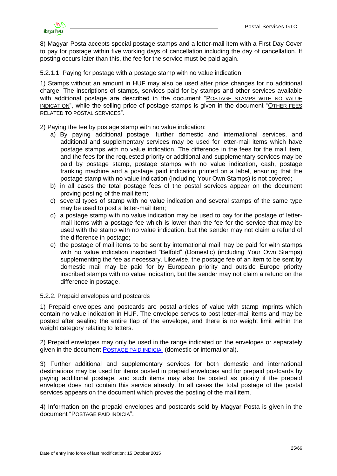

8) Magyar Posta accepts special postage stamps and a letter-mail item with a First Day Cover to pay for postage within five working days of cancellation including the day of cancellation. If posting occurs later than this, the fee for the service must be paid again.

<span id="page-24-0"></span>5.2.1.1. Paying for postage with a postage stamp with no value indication

1) Stamps without an amount in HUF may also be used after price changes for no additional charge. The inscriptions of stamps, services paid for by stamps and other services available with additional postage are described in the document "POSTAGE STAMPS WITH NO VALUE [INDICATION](http://www.posta.hu/static/internet/download/PASZF_KI11_Ertekjelzes_nelkuli_postabelyegek_20130614_elozetes.pdf)", while the selling price of postage stamps is given in the document "O[THER FEES](http://www.posta.hu/static/internet/download/PASZF_KI09_Postai_egyeb_dijak_20130614_elozetes.pdf)  [RELATED TO POSTAL SERVICES](http://www.posta.hu/static/internet/download/PASZF_KI09_Postai_egyeb_dijak_20130614_elozetes.pdf)".

2) Paying the fee by postage stamp with no value indication:

- a) By paying additional postage, further domestic and international services, and additional and supplementary services may be used for letter-mail items which have postage stamps with no value indication. The difference in the fees for the mail item, and the fees for the requested priority or additional and supplementary services may be paid by postage stamp, postage stamps with no value indication, cash, postage franking machine and a postage paid indication printed on a label, ensuring that the postage stamp with no value indication (including Your Own Stamps) is not covered;
- b) in all cases the total postage fees of the postal services appear on the document proving posting of the mail item;
- c) several types of stamp with no value indication and several stamps of the same type may be used to post a letter-mail item;
- d) a postage stamp with no value indication may be used to pay for the postage of lettermail items with a postage fee which is lower than the fee for the service that may be used with the stamp with no value indication, but the sender may not claim a refund of the difference in postage;
- e) the postage of mail items to be sent by international mail may be paid for with stamps with no value indication inscribed "Belföld" (Domestic) (including Your Own Stamps) supplementing the fee as necessary. Likewise, the postage fee of an item to be sent by domestic mail may be paid for by European priority and outside Europe priority inscribed stamps with no value indication, but the sender may not claim a refund on the difference in postage.

#### <span id="page-24-1"></span>5.2.2. Prepaid envelopes and postcards

1) Prepaid envelopes and postcards are postal articles of value with stamp imprints which contain no value indication in HUF. The envelope serves to post letter-mail items and may be posted after sealing the entire flap of the envelope, and there is no weight limit within the weight category relating to letters.

2) Prepaid envelopes may only be used in the range indicated on the envelopes or separately given in the document P[OSTAGE PAID INDICIA](http://www.posta.hu/static/internet/download/PASZF_KI13_Bermentesitesi_jelzesek.pdf) (domestic or international).

3) Further additional and supplementary services for both domestic and international destinations may be used for items posted in prepaid envelopes and for prepaid postcards by paying additional postage, and such items may also be posted as priority if the prepaid envelope does not contain this service already. In all cases the total postage of the postal services appears on the document which proves the posting of the mail item.

4) Information on the prepaid envelopes and postcards sold by Magyar Posta is given in the document "P[OSTAGE PAID INDICIA](http://www.posta.hu/static/internet/download/PASZF_KI12_Bermentesetesi_jelzesek_20130614_elozetes.pdf)".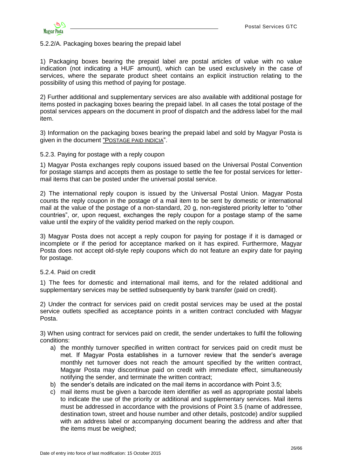

### <span id="page-25-0"></span>5.2.2/A. Packaging boxes bearing the prepaid label

1) Packaging boxes bearing the prepaid label are postal articles of value with no value indication (not indicating a HUF amount), which can be used exclusively in the case of services, where the separate product sheet contains an explicit instruction relating to the possibility of using this method of paying for postage.

2) Further additional and supplementary services are also available with additional postage for items posted in packaging boxes bearing the prepaid label. In all cases the total postage of the postal services appears on the document in proof of dispatch and the address label for the mail item.

3) Information on the packaging boxes bearing the prepaid label and sold by Magyar Posta is given in the document "P[OSTAGE PAID INDICIA](http://www.posta.hu/static/internet/download/PASZF_KI12_Bermentesetesi_jelzesek_20130614_elozetes.pdf)".

#### <span id="page-25-1"></span>5.2.3. Paying for postage with a reply coupon

1) Magyar Posta exchanges reply coupons issued based on the Universal Postal Convention for postage stamps and accepts them as postage to settle the fee for postal services for lettermail items that can be posted under the universal postal service.

2) The international reply coupon is issued by the Universal Postal Union. Magyar Posta counts the reply coupon in the postage of a mail item to be sent by domestic or international mail at the value of the postage of a non-standard, 20 g, non-registered priority letter to "other countries", or, upon request, exchanges the reply coupon for a postage stamp of the same value until the expiry of the validity period marked on the reply coupon.

3) Magyar Posta does not accept a reply coupon for paying for postage if it is damaged or incomplete or if the period for acceptance marked on it has expired. Furthermore, Magyar Posta does not accept old-style reply coupons which do not feature an expiry date for paying for postage.

#### <span id="page-25-2"></span>5.2.4. Paid on credit

1) The fees for domestic and international mail items, and for the related additional and supplementary services may be settled subsequently by bank transfer (paid on credit).

2) Under the contract for services paid on credit postal services may be used at the postal service outlets specified as acceptance points in a written contract concluded with Magyar Posta.

3) When using contract for services paid on credit, the sender undertakes to fulfil the following conditions:

- a) the monthly turnover specified in written contract for services paid on credit must be met. If Magyar Posta establishes in a turnover review that the sender's average monthly net turnover does not reach the amount specified by the written contract, Magyar Posta may discontinue paid on credit with immediate effect, simultaneously notifying the sender, and terminate the written contract;
- b) the sender's details are indicated on the mail items in accordance with Point 3.5;
- c) mail items must be given a barcode item identifier as well as appropriate postal labels to indicate the use of the priority or additional and supplementary services. Mail items must be addressed in accordance with the provisions of Point 3.5 (name of addressee, destination town, street and house number and other details, postcode) and/or supplied with an address label or accompanying document bearing the address and after that the items must be weighed;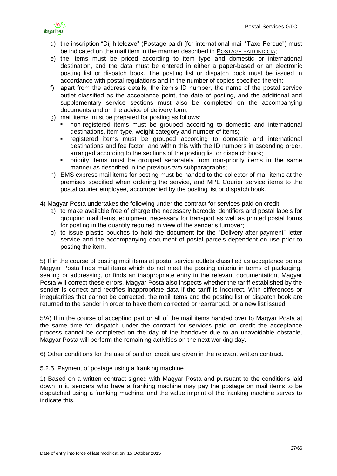

- d) the inscription "Díj hitelezve" (Postage paid) (for international mail "Taxe Percue") must be indicated on the mail item in the manner described in P[OSTAGE PAID INDICIA](http://www.posta.hu/static/internet/download/PASZF_KI12_Bermentesetesi_jelzesek_20130614_elozetes.pdf);
- e) the items must be priced according to item type and domestic or international destination, and the data must be entered in either a paper-based or an electronic posting list or dispatch book. The posting list or dispatch book must be issued in accordance with postal regulations and in the number of copies specified therein;
- f) apart from the address details, the item's ID number, the name of the postal service outlet classified as the acceptance point, the date of posting, and the additional and supplementary service sections must also be completed on the accompanying documents and on the advice of delivery form;
- g) mail items must be prepared for posting as follows:
	- non-registered items must be grouped according to domestic and international destinations, item type, weight category and number of items;
	- registered items must be grouped according to domestic and international destinations and fee factor, and within this with the ID numbers in ascending order, arranged according to the sections of the posting list or dispatch book;
	- priority items must be grouped separately from non-priority items in the same manner as described in the previous two subparagraphs;
- h) EMS express mail items for posting must be handed to the collector of mail items at the premises specified when ordering the service, and MPL Courier service items to the postal courier employee, accompanied by the posting list or dispatch book.
- 4) Magyar Posta undertakes the following under the contract for services paid on credit:
	- a) to make available free of charge the necessary barcode identifiers and postal labels for grouping mail items, equipment necessary for transport as well as printed postal forms for posting in the quantity required in view of the sender's turnover;
	- b) to issue plastic pouches to hold the document for the "Delivery-after-payment" letter service and the accompanying document of postal parcels dependent on use prior to posting the item.

5) If in the course of posting mail items at postal service outlets classified as acceptance points Magyar Posta finds mail items which do not meet the posting criteria in terms of packaging, sealing or addressing, or finds an inappropriate entry in the relevant documentation, Magyar Posta will correct these errors. Magyar Posta also inspects whether the tariff established by the sender is correct and rectifies inappropriate data if the tariff is incorrect. With differences or irregularities that cannot be corrected, the mail items and the posting list or dispatch book are returned to the sender in order to have them corrected or rearranged, or a new list issued.

5/A) If in the course of accepting part or all of the mail items handed over to Magyar Posta at the same time for dispatch under the contract for services paid on credit the acceptance process cannot be completed on the day of the handover due to an unavoidable obstacle, Magyar Posta will perform the remaining activities on the next working day.

6) Other conditions for the use of paid on credit are given in the relevant written contract.

### <span id="page-26-0"></span>5.2.5. Payment of postage using a franking machine

1) Based on a written contract signed with Magyar Posta and pursuant to the conditions laid down in it, senders who have a franking machine may pay the postage on mail items to be dispatched using a franking machine, and the value imprint of the franking machine serves to indicate this.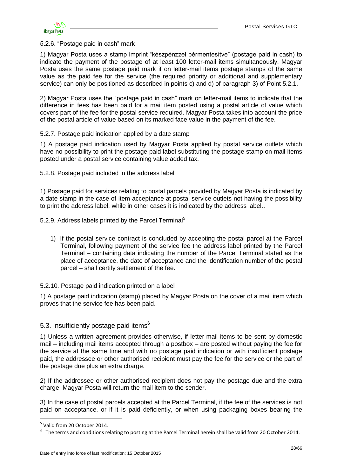<span id="page-27-0"></span>5.2.6. "Postage paid in cash" mark

1) Magyar Posta uses a stamp imprint "készpénzzel bérmentesítve" (postage paid in cash) to indicate the payment of the postage of at least 100 letter-mail items simultaneously. Magyar Posta uses the same postage paid mark if on letter-mail items postage stamps of the same value as the paid fee for the service (the required priority or additional and supplementary service) can only be positioned as described in points c) and d) of paragraph 3) of Point 5.2.1.

2) Magyar Posta uses the "postage paid in cash" mark on letter-mail items to indicate that the difference in fees has been paid for a mail item posted using a postal article of value which covers part of the fee for the postal service required. Magyar Posta takes into account the price of the postal article of value based on its marked face value in the payment of the fee.

#### <span id="page-27-1"></span>5.2.7. Postage paid indication applied by a date stamp

1) A postage paid indication used by Magyar Posta applied by postal service outlets which have no possibility to print the postage paid label substituting the postage stamp on mail items posted under a postal service containing value added tax.

<span id="page-27-2"></span>5.2.8. Postage paid included in the address label

1) Postage paid for services relating to postal parcels provided by Magyar Posta is indicated by a date stamp in the case of item acceptance at postal service outlets not having the possibility to print the address label, while in other cases it is indicated by the address label..

<span id="page-27-3"></span>5.2.9. Address labels printed by the Parcel Terminal<sup>5</sup>

1) If the postal service contract is concluded by accepting the postal parcel at the Parcel Terminal, following payment of the service fee the address label printed by the Parcel Terminal – containing data indicating the number of the Parcel Terminal stated as the place of acceptance, the date of acceptance and the identification number of the postal parcel – shall certify settlement of the fee.

#### <span id="page-27-4"></span>5.2.10. Postage paid indication printed on a label

1) A postage paid indication (stamp) placed by Magyar Posta on the cover of a mail item which proves that the service fee has been paid.

# <span id="page-27-5"></span>5.3. Insufficiently postage paid items<sup>6</sup>

1) Unless a written agreement provides otherwise, if letter-mail items to be sent by domestic mail – including mail items accepted through a postbox – are posted without paying the fee for the service at the same time and with no postage paid indication or with insufficient postage paid, the addressee or other authorised recipient must pay the fee for the service or the part of the postage due plus an extra charge.

2) If the addressee or other authorised recipient does not pay the postage due and the extra charge, Magyar Posta will return the mail item to the sender.

3) In the case of postal parcels accepted at the Parcel Terminal, if the fee of the services is not paid on acceptance, or if it is paid deficiently, or when using packaging boxes bearing the

1

<sup>&</sup>lt;sup>5</sup> Valid from 20 October 2014.

 $6$  The terms and conditions relating to posting at the Parcel Terminal herein shall be valid from 20 October 2014.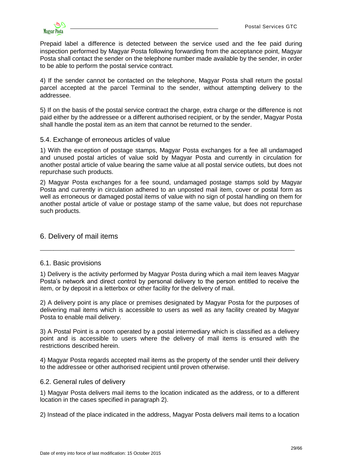

Prepaid label a difference is detected between the service used and the fee paid during inspection performed by Magyar Posta following forwarding from the acceptance point, Magyar Posta shall contact the sender on the telephone number made available by the sender, in order to be able to perform the postal service contract.

4) If the sender cannot be contacted on the telephone, Magyar Posta shall return the postal parcel accepted at the parcel Terminal to the sender, without attempting delivery to the addressee.

5) If on the basis of the postal service contract the charge, extra charge or the difference is not paid either by the addressee or a different authorised recipient, or by the sender, Magyar Posta shall handle the postal item as an item that cannot be returned to the sender.

### <span id="page-28-0"></span>5.4. Exchange of erroneous articles of value

1) With the exception of postage stamps, Magyar Posta exchanges for a fee all undamaged and unused postal articles of value sold by Magyar Posta and currently in circulation for another postal article of value bearing the same value at all postal service outlets, but does not repurchase such products.

2) Magyar Posta exchanges for a fee sound, undamaged postage stamps sold by Magyar Posta and currently in circulation adhered to an unposted mail item, cover or postal form as well as erroneous or damaged postal items of value with no sign of postal handling on them for another postal article of value or postage stamp of the same value, but does not repurchase such products.

### <span id="page-28-1"></span>6. Delivery of mail items

### <span id="page-28-2"></span>6.1. Basic provisions

1) Delivery is the activity performed by Magyar Posta during which a mail item leaves Magyar Posta's network and direct control by personal delivery to the person entitled to receive the item, or by deposit in a letterbox or other facility for the delivery of mail.

\_\_\_\_\_\_\_\_\_\_\_\_\_\_\_\_\_\_\_\_\_\_\_\_\_\_\_\_\_\_\_\_\_\_\_\_\_\_\_\_\_\_\_\_\_\_\_\_\_\_\_\_\_\_\_\_\_\_\_\_\_\_\_\_\_\_\_\_\_\_\_\_\_\_\_

2) A delivery point is any place or premises designated by Magyar Posta for the purposes of delivering mail items which is accessible to users as well as any facility created by Magyar Posta to enable mail delivery.

3) A Postal Point is a room operated by a postal intermediary which is classified as a delivery point and is accessible to users where the delivery of mail items is ensured with the restrictions described herein.

4) Magyar Posta regards accepted mail items as the property of the sender until their delivery to the addressee or other authorised recipient until proven otherwise.

### <span id="page-28-3"></span>6.2. General rules of delivery

1) Magyar Posta delivers mail items to the location indicated as the address, or to a different location in the cases specified in paragraph 2).

2) Instead of the place indicated in the address, Magyar Posta delivers mail items to a location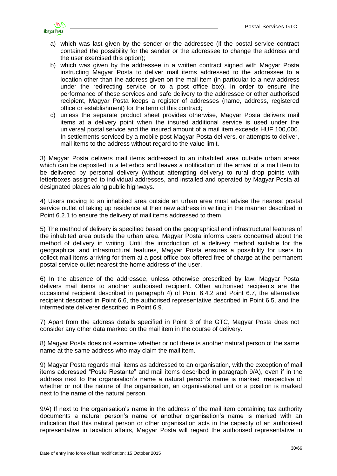

- a) which was last given by the sender or the addressee (if the postal service contract contained the possibility for the sender or the addressee to change the address and the user exercised this option);
- b) which was given by the addressee in a written contract signed with Magyar Posta instructing Magyar Posta to deliver mail items addressed to the addressee to a location other than the address given on the mail item (in particular to a new address under the redirecting service or to a post office box). In order to ensure the performance of these services and safe delivery to the addressee or other authorised recipient, Magyar Posta keeps a register of addresses (name, address, registered office or establishment) for the term of this contract;
- c) unless the separate product sheet provides otherwise, Magyar Posta delivers mail items at a delivery point when the insured additional service is used under the universal postal service and the insured amount of a mail item exceeds HUF 100,000. In settlements serviced by a mobile post Magyar Posta delivers, or attempts to deliver, mail items to the address without regard to the value limit.

3) Magyar Posta delivers mail items addressed to an inhabited area outside urban areas which can be deposited in a letterbox and leaves a notification of the arrival of a mail item to be delivered by personal delivery (without attempting delivery) to rural drop points with letterboxes assigned to individual addresses, and installed and operated by Magyar Posta at designated places along public highways.

4) Users moving to an inhabited area outside an urban area must advise the nearest postal service outlet of taking up residence at their new address in writing in the manner described in Point 6.2.1 to ensure the delivery of mail items addressed to them.

5) The method of delivery is specified based on the geographical and infrastructural features of the inhabited area outside the urban area. Magyar Posta informs users concerned about the method of delivery in writing. Until the introduction of a delivery method suitable for the geographical and infrastructural features, Magyar Posta ensures a possibility for users to collect mail items arriving for them at a post office box offered free of charge at the permanent postal service outlet nearest the home address of the user.

6) In the absence of the addressee, unless otherwise prescribed by law, Magyar Posta delivers mail items to another authorised recipient. Other authorised recipients are the occasional recipient described in paragraph 4) of Point 6.4.2 and Point 6.7, the alternative recipient described in Point 6.6, the authorised representative described in Point 6.5, and the intermediate deliverer described in Point 6.9.

7) Apart from the address details specified in Point 3 of the GTC, Magyar Posta does not consider any other data marked on the mail item in the course of delivery.

8) Magyar Posta does not examine whether or not there is another natural person of the same name at the same address who may claim the mail item.

9) Magyar Posta regards mail items as addressed to an organisation, with the exception of mail items addressed "Poste Restante" and mail items described in paragraph 9/A), even if in the address next to the organisation's name a natural person's name is marked irrespective of whether or not the nature of the organisation, an organisational unit or a position is marked next to the name of the natural person.

9/A) If next to the organisation's name in the address of the mail item containing tax authority documents a natural person's name or another organisation's name is marked with an indication that this natural person or other organisation acts in the capacity of an authorised representative in taxation affairs, Magyar Posta will regard the authorised representative in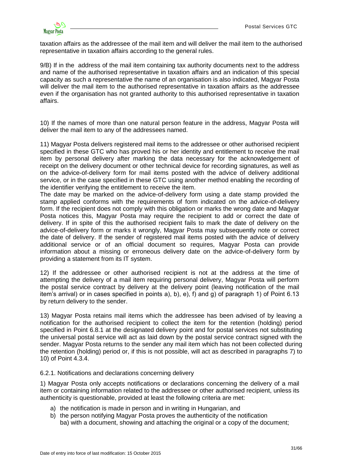

taxation affairs as the addressee of the mail item and will deliver the mail item to the authorised representative in taxation affairs according to the general rules.

9/B) If in the address of the mail item containing tax authority documents next to the address and name of the authorised representative in taxation affairs and an indication of this special capacity as such a representative the name of an organisation is also indicated, Magyar Posta will deliver the mail item to the authorised representative in taxation affairs as the addressee even if the organisation has not granted authority to this authorised representative in taxation affairs.

10) If the names of more than one natural person feature in the address, Magyar Posta will deliver the mail item to any of the addressees named.

11) Magyar Posta delivers registered mail items to the addressee or other authorised recipient specified in these GTC who has proved his or her identity and entitlement to receive the mail item by personal delivery after marking the data necessary for the acknowledgement of receipt on the delivery document or other technical device for recording signatures, as well as on the advice-of-delivery form for mail items posted with the advice of delivery additional service, or in the case specified in these GTC using another method enabling the recording of the identifier verifying the entitlement to receive the item.

The date may be marked on the advice-of-delivery form using a date stamp provided the stamp applied conforms with the requirements of form indicated on the advice-of-delivery form. If the recipient does not comply with this obligation or marks the wrong date and Magyar Posta notices this, Magyar Posta may require the recipient to add or correct the date of delivery. If in spite of this the authorised recipient fails to mark the date of delivery on the advice-of-delivery form or marks it wrongly, Magyar Posta may subsequently note or correct the date of delivery. If the sender of registered mail items posted with the advice of delivery additional service or of an official document so requires, Magyar Posta can provide information about a missing or erroneous delivery date on the advice-of-delivery form by providing a statement from its IT system.

12) If the addressee or other authorised recipient is not at the address at the time of attempting the delivery of a mail item requiring personal delivery, Magyar Posta will perform the postal service contract by delivery at the delivery point (leaving notification of the mail item's arrival) or in cases specified in points a), b), e), f) and g) of paragraph 1) of Point 6.13 by return delivery to the sender.

13) Magyar Posta retains mail items which the addressee has been advised of by leaving a notification for the authorised recipient to collect the item for the retention (holding) period specified in Point 6.8.1 at the designated delivery point and for postal services not substituting the universal postal service will act as laid down by the postal service contract signed with the sender. Magyar Posta returns to the sender any mail item which has not been collected during the retention (holding) period or, if this is not possible, will act as described in paragraphs 7) to 10) of Point 4.3.4.

<span id="page-30-0"></span>6.2.1. Notifications and declarations concerning delivery

1) Magyar Posta only accepts notifications or declarations concerning the delivery of a mail item or containing information related to the addressee or other authorised recipient, unless its authenticity is questionable, provided at least the following criteria are met:

- a) the notification is made in person and in writing in Hungarian, and
- b) the person notifying Magyar Posta proves the authenticity of the notification ba) with a document, showing and attaching the original or a copy of the document;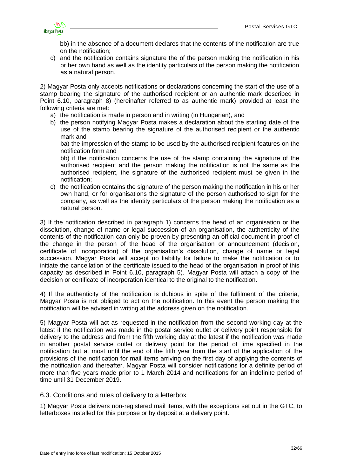

bb) in the absence of a document declares that the contents of the notification are true on the notification;

c) and the notification contains signature the of the person making the notification in his or her own hand as well as the identity particulars of the person making the notification as a natural person.

2) Magyar Posta only accepts notifications or declarations concerning the start of the use of a stamp bearing the signature of the authorised recipient or an authentic mark described in Point 6.10, paragraph 8) (hereinafter referred to as authentic mark) provided at least the following criteria are met:

- a) the notification is made in person and in writing (in Hungarian), and
- b) the person notifying Magyar Posta makes a declaration about the starting date of the use of the stamp bearing the signature of the authorised recipient or the authentic mark and

ba) the impression of the stamp to be used by the authorised recipient features on the notification form and

bb) if the notification concerns the use of the stamp containing the signature of the authorised recipient and the person making the notification is not the same as the authorised recipient, the signature of the authorised recipient must be given in the notification;

c) the notification contains the signature of the person making the notification in his or her own hand, or for organisations the signature of the person authorised to sign for the company, as well as the identity particulars of the person making the notification as a natural person.

3) If the notification described in paragraph 1) concerns the head of an organisation or the dissolution, change of name or legal succession of an organisation, the authenticity of the contents of the notification can only be proven by presenting an official document in proof of the change in the person of the head of the organisation or announcement (decision, certificate of incorporation) of the organisation's dissolution, change of name or legal succession. Magyar Posta will accept no liability for failure to make the notification or to initiate the cancellation of the certificate issued to the head of the organisation in proof of this capacity as described in Point 6.10, paragraph 5). Magyar Posta will attach a copy of the decision or certificate of incorporation identical to the original to the notification.

4) If the authenticity of the notification is dubious in spite of the fulfilment of the criteria, Magyar Posta is not obliged to act on the notification. In this event the person making the notification will be advised in writing at the address given on the notification.

5) Magyar Posta will act as requested in the notification from the second working day at the latest if the notification was made in the postal service outlet or delivery point responsible for delivery to the address and from the fifth working day at the latest if the notification was made in another postal service outlet or delivery point for the period of time specified in the notification but at most until the end of the fifth year from the start of the application of the provisions of the notification for mail items arriving on the first day of applying the contents of the notification and thereafter. Magyar Posta will consider notifications for a definite period of more than five years made prior to 1 March 2014 and notifications for an indefinite period of time until 31 December 2019.

<span id="page-31-0"></span>6.3. Conditions and rules of delivery to a letterbox

1) Magyar Posta delivers non-registered mail items, with the exceptions set out in the GTC, to letterboxes installed for this purpose or by deposit at a delivery point.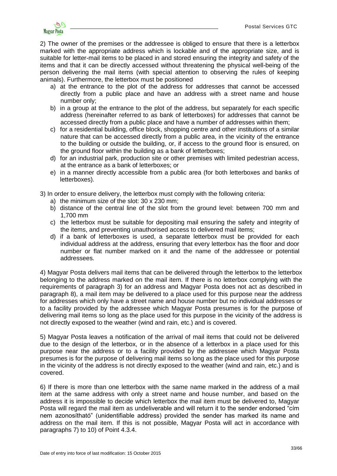

2) The owner of the premises or the addressee is obliged to ensure that there is a letterbox marked with the appropriate address which is lockable and of the appropriate size, and is suitable for letter-mail items to be placed in and stored ensuring the integrity and safety of the items and that it can be directly accessed without threatening the physical well-being of the person delivering the mail items (with special attention to observing the rules of keeping animals). Furthermore, the letterbox must be positioned

- a) at the entrance to the plot of the address for addresses that cannot be accessed directly from a public place and have an address with a street name and house number only;
- b) in a group at the entrance to the plot of the address, but separately for each specific address (hereinafter referred to as bank of letterboxes) for addresses that cannot be accessed directly from a public place and have a number of addresses within them;
- c) for a residential building, office block, shopping centre and other institutions of a similar nature that can be accessed directly from a public area, in the vicinity of the entrance to the building or outside the building, or, if access to the ground floor is ensured, on the ground floor within the building as a bank of letterboxes;
- d) for an industrial park, production site or other premises with limited pedestrian access, at the entrance as a bank of letterboxes; or
- e) in a manner directly accessible from a public area (for both letterboxes and banks of letterboxes).

3) In order to ensure delivery, the letterbox must comply with the following criteria:

- a) the minimum size of the slot: 30 x 230 mm;
- b) distance of the central line of the slot from the ground level: between 700 mm and 1,700 mm
- c) the letterbox must be suitable for depositing mail ensuring the safety and integrity of the items, and preventing unauthorised access to delivered mail items;
- d) if a bank of letterboxes is used, a separate letterbox must be provided for each individual address at the address, ensuring that every letterbox has the floor and door number or flat number marked on it and the name of the addressee or potential addressees.

4) Magyar Posta delivers mail items that can be delivered through the letterbox to the letterbox belonging to the address marked on the mail item. If there is no letterbox complying with the requirements of paragraph 3) for an address and Magyar Posta does not act as described in paragraph 8), a mail item may be delivered to a place used for this purpose near the address for addresses which only have a street name and house number but no individual addresses or to a facility provided by the addressee which Magyar Posta presumes is for the purpose of delivering mail items so long as the place used for this purpose in the vicinity of the address is not directly exposed to the weather (wind and rain, etc.) and is covered.

5) Magyar Posta leaves a notification of the arrival of mail items that could not be delivered due to the design of the letterbox, or in the absence of a letterbox in a place used for this purpose near the address or to a facility provided by the addressee which Magyar Posta presumes is for the purpose of delivering mail items so long as the place used for this purpose in the vicinity of the address is not directly exposed to the weather (wind and rain, etc.) and is covered.

6) If there is more than one letterbox with the same name marked in the address of a mail item at the same address with only a street name and house number, and based on the address it is impossible to decide which letterbox the mail item must be delivered to, Magyar Posta will regard the mail item as undeliverable and will return it to the sender endorsed "cím nem azonosítható" (unidentifiable address) provided the sender has marked its name and address on the mail item. If this is not possible, Magyar Posta will act in accordance with paragraphs 7) to 10) of Point 4.3.4.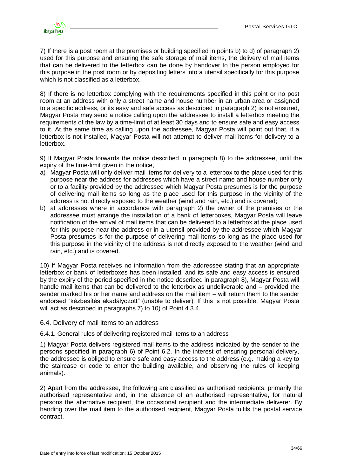

7) If there is a post room at the premises or building specified in points b) to d) of paragraph 2) used for this purpose and ensuring the safe storage of mail items, the delivery of mail items that can be delivered to the letterbox can be done by handover to the person employed for this purpose in the post room or by depositing letters into a utensil specifically for this purpose which is not classified as a letterbox.

8) If there is no letterbox complying with the requirements specified in this point or no post room at an address with only a street name and house number in an urban area or assigned to a specific address, or its easy and safe access as described in paragraph 2) is not ensured, Magyar Posta may send a notice calling upon the addressee to install a letterbox meeting the requirements of the law by a time-limit of at least 30 days and to ensure safe and easy access to it. At the same time as calling upon the addressee, Magyar Posta will point out that, if a letterbox is not installed, Magyar Posta will not attempt to deliver mail items for delivery to a letterbox.

9) If Magyar Posta forwards the notice described in paragraph 8) to the addressee, until the expiry of the time-limit given in the notice,

- a) Magyar Posta will only deliver mail items for delivery to a letterbox to the place used for this purpose near the address for addresses which have a street name and house number only or to a facility provided by the addressee which Magyar Posta presumes is for the purpose of delivering mail items so long as the place used for this purpose in the vicinity of the address is not directly exposed to the weather (wind and rain, etc.) and is covered;
- b) at addresses where in accordance with paragraph 2) the owner of the premises or the addressee must arrange the installation of a bank of letterboxes, Magyar Posta will leave notification of the arrival of mail items that can be delivered to a letterbox at the place used for this purpose near the address or in a utensil provided by the addressee which Magyar Posta presumes is for the purpose of delivering mail items so long as the place used for this purpose in the vicinity of the address is not directly exposed to the weather (wind and rain, etc.) and is covered.

10) If Magyar Posta receives no information from the addressee stating that an appropriate letterbox or bank of letterboxes has been installed, and its safe and easy access is ensured by the expiry of the period specified in the notice described in paragraph 8), Magyar Posta will handle mail items that can be delivered to the letterbox as undeliverable and – provided the sender marked his or her name and address on the mail item – will return them to the sender endorsed "kézbesítés akadályozott" (unable to deliver). If this is not possible, Magyar Posta will act as described in paragraphs 7) to 10) of Point 4.3.4.

#### <span id="page-33-0"></span>6.4. Delivery of mail items to an address

<span id="page-33-1"></span>6.4.1. General rules of delivering registered mail items to an address

1) Magyar Posta delivers registered mail items to the address indicated by the sender to the persons specified in paragraph 6) of Point 6.2. In the interest of ensuring personal delivery, the addressee is obliged to ensure safe and easy access to the address (e.g. making a key to the staircase or code to enter the building available, and observing the rules of keeping animals).

2) Apart from the addressee, the following are classified as authorised recipients: primarily the authorised representative and, in the absence of an authorised representative, for natural persons the alternative recipient, the occasional recipient and the intermediate deliverer. By handing over the mail item to the authorised recipient, Magyar Posta fulfils the postal service contract.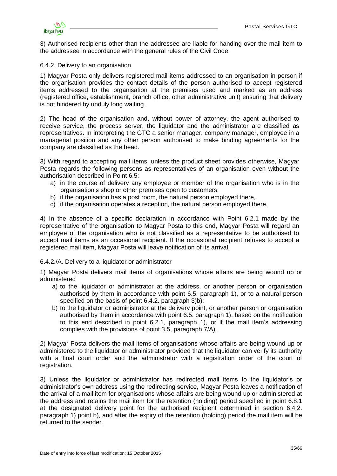

3) Authorised recipients other than the addressee are liable for handing over the mail item to the addressee in accordance with the general rules of the Civil Code.

#### <span id="page-34-0"></span>6.4.2. Delivery to an organisation

1) Magyar Posta only delivers registered mail items addressed to an organisation in person if the organisation provides the contact details of the person authorised to accept registered items addressed to the organisation at the premises used and marked as an address (registered office, establishment, branch office, other administrative unit) ensuring that delivery is not hindered by unduly long waiting.

2) The head of the organisation and, without power of attorney, the agent authorised to receive service, the process server, the liquidator and the administrator are classified as representatives. In interpreting the GTC a senior manager, company manager, employee in a managerial position and any other person authorised to make binding agreements for the company are classified as the head.

3) With regard to accepting mail items, unless the product sheet provides otherwise, Magyar Posta regards the following persons as representatives of an organisation even without the authorisation described in Point 6.5:

- a) in the course of delivery any employee or member of the organisation who is in the organisation's shop or other premises open to customers;
- b) if the organisation has a post room, the natural person employed there,
- c) if the organisation operates a reception, the natural person employed there.

4) In the absence of a specific declaration in accordance with Point 6.2.1 made by the representative of the organisation to Magyar Posta to this end, Magyar Posta will regard an employee of the organisation who is not classified as a representative to be authorised to accept mail items as an occasional recipient. If the occasional recipient refuses to accept a registered mail item, Magyar Posta will leave notification of its arrival.

<span id="page-34-1"></span>6.4.2./A. Delivery to a liquidator or administrator

1) Magyar Posta delivers mail items of organisations whose affairs are being wound up or administered

- a) to the liquidator or administrator at the address, or another person or organisation authorised by them in accordance with point 6.5. paragraph 1), or to a natural person specified on the basis of point 6.4.2. paragraph 3)b);
- b) to the liquidator or administrator at the delivery point, or another person or organisation authorised by them in accordance with point 6.5. paragraph 1), based on the notification to this end described in point 6.2.1, paragraph 1), or if the mail item's addressing complies with the provisions of point 3.5, paragraph 7/A).

2) Magyar Posta delivers the mail items of organisations whose affairs are being wound up or administered to the liquidator or administrator provided that the liquidator can verify its authority with a final court order and the administrator with a registration order of the court of registration.

3) Unless the liquidator or administrator has redirected mail items to the liquidator's or administrator's own address using the redirecting service, Magyar Posta leaves a notification of the arrival of a mail item for organisations whose affairs are being wound up or administered at the address and retains the mail item for the retention (holding) period specified in point 6.8.1 at the designated delivery point for the authorised recipient determined in section 6.4.2. paragraph 1) point b), and after the expiry of the retention (holding) period the mail item will be returned to the sender.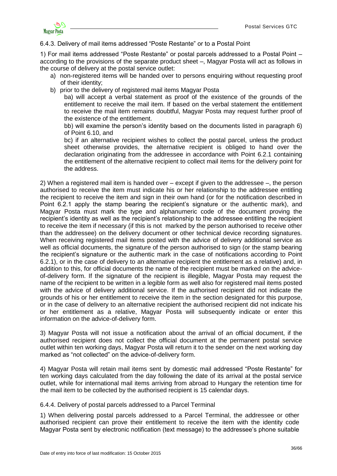

### <span id="page-35-0"></span>6.4.3. Delivery of mail items addressed "Poste Restante" or to a Postal Point

1) For mail items addressed "Poste Restante" or postal parcels addressed to a Postal Point – according to the provisions of the separate product sheet –, Magyar Posta will act as follows in the course of delivery at the postal service outlet:

- a) non-registered items will be handed over to persons enquiring without requesting proof of their identity;
- b) prior to the delivery of registered mail items Magyar Posta

ba) will accept a verbal statement as proof of the existence of the grounds of the entitlement to receive the mail item. If based on the verbal statement the entitlement to receive the mail item remains doubtful, Magyar Posta may request further proof of the existence of the entitlement.

bb) will examine the person's identity based on the documents listed in paragraph 6) of Point 6.10, and

bc) if an alternative recipient wishes to collect the postal parcel, unless the product sheet otherwise provides, the alternative recipient is obliged to hand over the declaration originating from the addressee in accordance with Point 6.2.1 containing the entitlement of the alternative recipient to collect mail items for the delivery point for the address.

2) When a registered mail item is handed over – except if given to the addressee –, the person authorised to receive the item must indicate his or her relationship to the addressee entitling the recipient to receive the item and sign in their own hand (or for the notification described in Point 6.2.1 apply the stamp bearing the recipient's signature or the authentic mark), and Magyar Posta must mark the type and alphanumeric code of the document proving the recipient's identity as well as the recipient's relationship to the addressee entitling the recipient to receive the item if necessary (if this is not marked by the person authorised to receive other than the addressee) on the delivery document or other technical device recording signatures. When receiving registered mail items posted with the advice of delivery additional service as well as official documents, the signature of the person authorised to sign (or the stamp bearing the recipient's signature or the authentic mark in the case of notifications according to Point 6.2.1), or in the case of delivery to an alternative recipient the entitlement as a relative) and, in addition to this, for official documents the name of the recipient must be marked on the adviceof-delivery form. If the signature of the recipient is illegible, Magyar Posta may request the name of the recipient to be written in a legible form as well also for registered mail items posted with the advice of delivery additional service. If the authorised recipient did not indicate the grounds of his or her entitlement to receive the item in the section designated for this purpose, or in the case of delivery to an alternative recipient the authorised recipient did not indicate his or her entitlement as a relative, Magyar Posta will subsequently indicate or enter this information on the advice-of-delivery form.

3) Magyar Posta will not issue a notification about the arrival of an official document, if the authorised recipient does not collect the official document at the permanent postal service outlet within ten working days, Magyar Posta will return it to the sender on the next working day marked as "not collected" on the advice-of-delivery form.

4) Magyar Posta will retain mail items sent by domestic mail addressed "Poste Restante" for ten working days calculated from the day following the date of its arrival at the postal service outlet, while for international mail items arriving from abroad to Hungary the retention time for the mail item to be collected by the authorised recipient is 15 calendar days.

### <span id="page-35-1"></span>6.4.4. Delivery of postal parcels addressed to a Parcel Terminal

1) When delivering postal parcels addressed to a Parcel Terminal, the addressee or other authorised recipient can prove their entitlement to receive the item with the identity code Magyar Posta sent by electronic notification (text message) to the addressee's phone suitable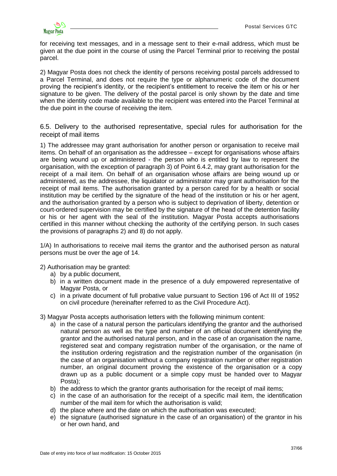

for receiving text messages, and in a message sent to their e-mail address, which must be given at the due point in the course of using the Parcel Terminal prior to receiving the postal parcel.

2) Magyar Posta does not check the identity of persons receiving postal parcels addressed to a Parcel Terminal, and does not require the type or alphanumeric code of the document proving the recipient's identity, or the recipient's entitlement to receive the item or his or her signature to be given. The delivery of the postal parcel is only shown by the date and time when the identity code made available to the recipient was entered into the Parcel Terminal at the due point in the course of receiving the item.

<span id="page-36-0"></span>6.5. Delivery to the authorised representative, special rules for authorisation for the receipt of mail items

1) The addressee may grant authorisation for another person or organisation to receive mail items. On behalf of an organisation as the addressee – except for organisations whose affairs are being wound up or administered - the person who is entitled by law to represent the organisation, with the exception of paragraph 3) of Point 6.4.2, may grant authorisation for the receipt of a mail item. On behalf of an organisation whose affairs are being wound up or administered, as the addressee, the liquidator or administrator may grant authorisation for the receipt of mail items. The authorisation granted by a person cared for by a health or social institution may be certified by the signature of the head of the institution or his or her agent, and the authorisation granted by a person who is subject to deprivation of liberty, detention or court-ordered supervision may be certified by the signature of the head of the detention facility or his or her agent with the seal of the institution. Magyar Posta accepts authorisations certified in this manner without checking the authority of the certifying person. In such cases the provisions of paragraphs 2) and 8) do not apply.

1/A) In authorisations to receive mail items the grantor and the authorised person as natural persons must be over the age of 14.

2) Authorisation may be granted:

- a) by a public document,
- b) in a written document made in the presence of a duly empowered representative of Magyar Posta, or
- c) in a private document of full probative value pursuant to Section 196 of Act III of 1952 on civil procedure (hereinafter referred to as the Civil Procedure Act).

3) Magyar Posta accepts authorisation letters with the following minimum content:

- a) in the case of a natural person the particulars identifying the grantor and the authorised natural person as well as the type and number of an official document identifying the grantor and the authorised natural person, and in the case of an organisation the name, registered seat and company registration number of the organisation, or the name of the institution ordering registration and the registration number of the organisation (in the case of an organisation without a company registration number or other registration number, an original document proving the existence of the organisation or a copy drawn up as a public document or a simple copy must be handed over to Magyar Posta);
- b) the address to which the grantor grants authorisation for the receipt of mail items;
- c) in the case of an authorisation for the receipt of a specific mail item, the identification number of the mail item for which the authorisation is valid;
- d) the place where and the date on which the authorisation was executed;
- e) the signature (authorised signature in the case of an organisation) of the grantor in his or her own hand, and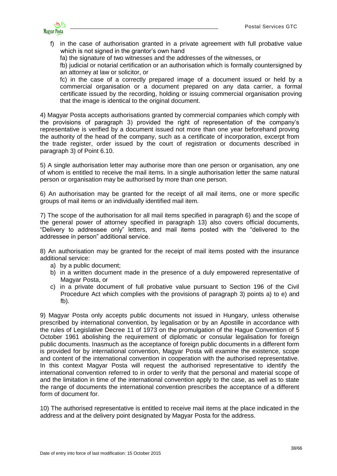

- f) in the case of authorisation granted in a private agreement with full probative value which is not signed in the grantor's own hand
	- fa) the signature of two witnesses and the addresses of the witnesses, or

fb) judicial or notarial certification or an authorisation which is formally countersigned by an attorney at law or solicitor, or

fc) in the case of a correctly prepared image of a document issued or held by a commercial organisation or a document prepared on any data carrier, a formal certificate issued by the recording, holding or issuing commercial organisation proving that the image is identical to the original document.

4) Magyar Posta accepts authorisations granted by commercial companies which comply with the provisions of paragraph 3) provided the right of representation of the company's representative is verified by a document issued not more than one year beforehand proving the authority of the head of the company, such as a certificate of incorporation, excerpt from the trade register, order issued by the court of registration or documents described in paragraph 3) of Point 6.10.

5) A single authorisation letter may authorise more than one person or organisation, any one of whom is entitled to receive the mail items. In a single authorisation letter the same natural person or organisation may be authorised by more than one person.

6) An authorisation may be granted for the receipt of all mail items, one or more specific groups of mail items or an individually identified mail item.

7) The scope of the authorisation for all mail items specified in paragraph 6) and the scope of the general power of attorney specified in paragraph 13) also covers official documents, "Delivery to addressee only" letters, and mail items posted with the "delivered to the addressee in person" additional service.

8) An authorisation may be granted for the receipt of mail items posted with the insurance additional service:

- a) by a public document;
- b) in a written document made in the presence of a duly empowered representative of Magyar Posta, or
- c) in a private document of full probative value pursuant to Section 196 of the Civil Procedure Act which complies with the provisions of paragraph 3) points a) to e) and fb).

9) Magyar Posta only accepts public documents not issued in Hungary, unless otherwise prescribed by international convention, by legalisation or by an Apostille in accordance with the rules of Legislative Decree 11 of 1973 on the promulgation of the Hague Convention of 5 October 1961 abolishing the requirement of diplomatic or consular legalisation for foreign public documents. Inasmuch as the acceptance of foreign public documents in a different form is provided for by international convention, Magyar Posta will examine the existence, scope and content of the international convention in cooperation with the authorised representative. In this context Magyar Posta will request the authorised representative to identify the international convention referred to in order to verify that the personal and material scope of and the limitation in time of the international convention apply to the case, as well as to state the range of documents the international convention prescribes the acceptance of a different form of document for.

10) The authorised representative is entitled to receive mail items at the place indicated in the address and at the delivery point designated by Magyar Posta for the address.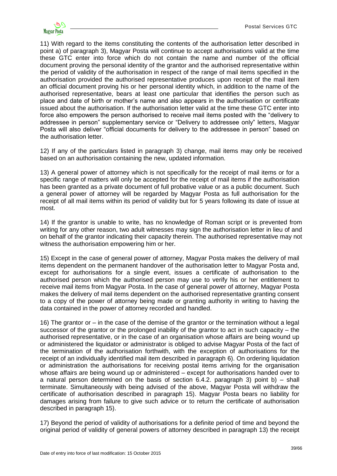

11) With regard to the items constituting the contents of the authorisation letter described in point a) of paragraph 3), Magyar Posta will continue to accept authorisations valid at the time these GTC enter into force which do not contain the name and number of the official document proving the personal identity of the grantor and the authorised representative within the period of validity of the authorisation in respect of the range of mail items specified in the authorisation provided the authorised representative produces upon receipt of the mail item an official document proving his or her personal identity which, in addition to the name of the authorised representative, bears at least one particular that identifies the person such as place and date of birth or mother's name and also appears in the authorisation or certificate issued about the authorisation. If the authorisation letter valid at the time these GTC enter into force also empowers the person authorised to receive mail items posted with the "delivery to addressee in person" supplementary service or "Delivery to addressee only" letters, Magyar Posta will also deliver "official documents for delivery to the addressee in person" based on the authorisation letter.

12) If any of the particulars listed in paragraph 3) change, mail items may only be received based on an authorisation containing the new, updated information.

13) A general power of attorney which is not specifically for the receipt of mail items or for a specific range of matters will only be accepted for the receipt of mail items if the authorisation has been granted as a private document of full probative value or as a public document. Such a general power of attorney will be regarded by Magyar Posta as full authorisation for the receipt of all mail items within its period of validity but for 5 years following its date of issue at most.

14) If the grantor is unable to write, has no knowledge of Roman script or is prevented from writing for any other reason, two adult witnesses may sign the authorisation letter in lieu of and on behalf of the grantor indicating their capacity therein. The authorised representative may not witness the authorisation empowering him or her.

15) Except in the case of general power of attorney, Magyar Posta makes the delivery of mail items dependent on the permanent handover of the authorisation letter to Magyar Posta and, except for authorisations for a single event, issues a certificate of authorisation to the authorised person which the authorised person may use to verify his or her entitlement to receive mail items from Magyar Posta. In the case of general power of attorney, Magyar Posta makes the delivery of mail items dependent on the authorised representative granting consent to a copy of the power of attorney being made or granting authority in writing to having the data contained in the power of attorney recorded and handled.

16) The grantor or – in the case of the demise of the grantor or the termination without a legal successor of the grantor or the prolonged inability of the grantor to act in such capacity – the authorised representative, or in the case of an organisation whose affairs are being wound up or administered the liquidator or administrator is obliged to advise Magyar Posta of the fact of the termination of the authorisation forthwith, with the exception of authorisations for the receipt of an individually identified mail item described in paragraph 6). On ordering liquidation or administration the authorisations for receiving postal items arriving for the organisation whose affairs are being wound up or administered – except for authorisations handed over to a natural person determined on the basis of section 6.4.2. paragraph 3) point b) – shall terminate. Simultaneously with being advised of the above, Magyar Posta will withdraw the certificate of authorisation described in paragraph 15). Magyar Posta bears no liability for damages arising from failure to give such advice or to return the certificate of authorisation described in paragraph 15).

17) Beyond the period of validity of authorisations for a definite period of time and beyond the original period of validity of general powers of attorney described in paragraph 13) the receipt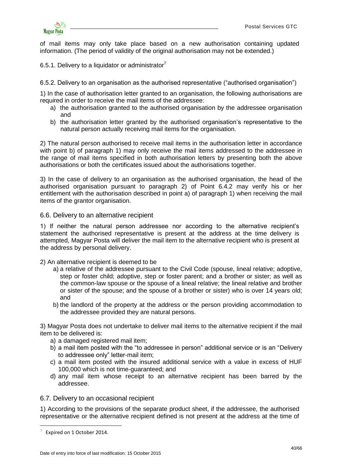of mail items may only take place based on a new authorisation containing updated information. (The period of validity of the original authorisation may not be extended.)

<span id="page-39-0"></span>6.5.1. Delivery to a liquidator or administrator $^7$ 

<span id="page-39-1"></span>6.5.2. Delivery to an organisation as the authorised representative ("authorised organisation")

1) In the case of authorisation letter granted to an organisation, the following authorisations are required in order to receive the mail items of the addressee:

- a) the authorisation granted to the authorised organisation by the addressee organisation and
- b) the authorisation letter granted by the authorised organisation's representative to the natural person actually receiving mail items for the organisation.

2) The natural person authorised to receive mail items in the authorisation letter in accordance with point b) of paragraph 1) may only receive the mail items addressed to the addressee in the range of mail items specified in both authorisation letters by presenting both the above authorisations or both the certificates issued about the authorisations together.

3) In the case of delivery to an organisation as the authorised organisation, the head of the authorised organisation pursuant to paragraph 2) of Point 6.4.2 may verify his or her entitlement with the authorisation described in point a) of paragraph 1) when receiving the mail items of the grantor organisation.

#### <span id="page-39-2"></span>6.6. Delivery to an alternative recipient

1) If neither the natural person addressee nor according to the alternative recipient's statement the authorised representative is present at the address at the time delivery is attempted, Magyar Posta will deliver the mail item to the alternative recipient who is present at the address by personal delivery.

#### 2) An alternative recipient is deemed to be

- a) a relative of the addressee pursuant to the Civil Code (spouse, lineal relative; adoptive, step or foster child; adoptive, step or foster parent; and a brother or sister; as well as the common-law spouse or the spouse of a lineal relative; the lineal relative and brother or sister of the spouse; and the spouse of a brother or sister) who is over 14 years old; and
- b) the landlord of the property at the address or the person providing accommodation to the addressee provided they are natural persons.

3) Magyar Posta does not undertake to deliver mail items to the alternative recipient if the mail item to be delivered is:

- a) a damaged registered mail item;
- b) a mail item posted with the "to addressee in person" additional service or is an "Delivery to addressee only" letter-mail item;
- c) a mail item posted with the insured additional service with a value in excess of HUF 100,000 which is not time-guaranteed; and
- d) any mail item whose receipt to an alternative recipient has been barred by the addressee.

### <span id="page-39-3"></span>6.7. Delivery to an occasional recipient

1) According to the provisions of the separate product sheet, if the addressee, the authorised representative or the alternative recipient defined is not present at the address at the time of

<u>.</u>

<sup>7</sup> Expired on 1 October 2014.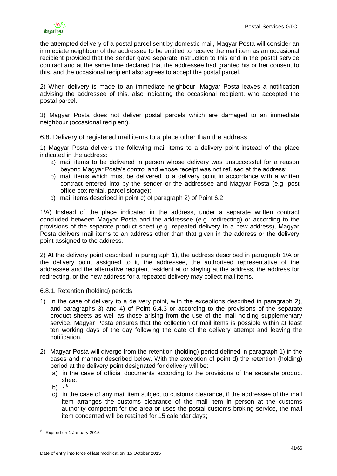

the attempted delivery of a postal parcel sent by domestic mail, Magyar Posta will consider an immediate neighbour of the addressee to be entitled to receive the mail item as an occasional recipient provided that the sender gave separate instruction to this end in the postal service contract and at the same time declared that the addressee had granted his or her consent to this, and the occasional recipient also agrees to accept the postal parcel.

2) When delivery is made to an immediate neighbour, Magyar Posta leaves a notification advising the addressee of this, also indicating the occasional recipient, who accepted the postal parcel.

3) Magyar Posta does not deliver postal parcels which are damaged to an immediate neighbour (occasional recipient).

<span id="page-40-0"></span>6.8. Delivery of registered mail items to a place other than the address

1) Magyar Posta delivers the following mail items to a delivery point instead of the place indicated in the address:

- a) mail items to be delivered in person whose delivery was unsuccessful for a reason beyond Magyar Posta's control and whose receipt was not refused at the address;
- b) mail items which must be delivered to a delivery point in accordance with a written contract entered into by the sender or the addressee and Magyar Posta (e.g. post office box rental, parcel storage);
- c) mail items described in point c) of paragraph 2) of Point 6.2.

1/A) Instead of the place indicated in the address, under a separate written contract concluded between Magyar Posta and the addressee (e.g. redirecting) or according to the provisions of the separate product sheet (e.g. repeated delivery to a new address), Magyar Posta delivers mail items to an address other than that given in the address or the delivery point assigned to the address.

2) At the delivery point described in paragraph 1), the address described in paragraph 1/A or the delivery point assigned to it, the addressee, the authorised representative of the addressee and the alternative recipient resident at or staying at the address, the address for redirecting, or the new address for a repeated delivery may collect mail items.

<span id="page-40-1"></span>6.8.1. Retention (holding) periods

- 1) In the case of delivery to a delivery point, with the exceptions described in paragraph 2), and paragraphs 3) and 4) of Point 6.4.3 or according to the provisions of the separate product sheets as well as those arising from the use of the mail holding supplementary service, Magyar Posta ensures that the collection of mail items is possible within at least ten working days of the day following the date of the delivery attempt and leaving the notification.
- 2) Magyar Posta will diverge from the retention (holding) period defined in paragraph 1) in the cases and manner described below. With the exception of point d) the retention (holding) period at the delivery point designated for delivery will be:
	- a) in the case of official documents according to the provisions of the separate product sheet;
	- b) 8

1

c) in the case of any mail item subject to customs clearance, if the addressee of the mail item arranges the customs clearance of the mail item in person at the customs authority competent for the area or uses the postal customs broking service, the mail item concerned will be retained for 15 calendar days;

<sup>8</sup> Expired on 1 January 2015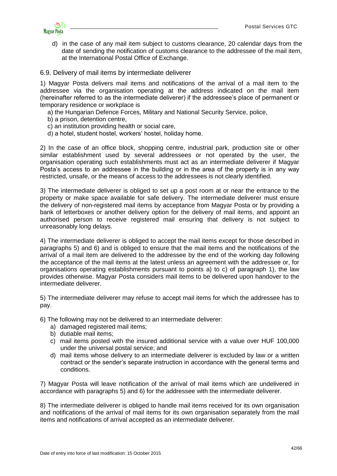

d) in the case of any mail item subject to customs clearance, 20 calendar days from the date of sending the notification of customs clearance to the addressee of the mail item, at the International Postal Office of Exchange.

<span id="page-41-0"></span>6.9. Delivery of mail items by intermediate deliverer

1) Magyar Posta delivers mail items and notifications of the arrival of a mail item to the addressee via the organisation operating at the address indicated on the mail item (hereinafter referred to as the intermediate deliverer) if the addressee's place of permanent or temporary residence or workplace is

- a) the Hungarian Defence Forces, Military and National Security Service, police,
- b) a prison, detention centre,
- c) an institution providing health or social care,
- d) a hotel, student hostel, workers' hostel, holiday home.

2) In the case of an office block, shopping centre, industrial park, production site or other similar establishment used by several addressees or not operated by the user, the organisation operating such establishments must act as an intermediate deliverer if Magyar Posta's access to an addressee in the building or in the area of the property is in any way restricted, unsafe, or the means of access to the addressees is not clearly identified.

3) The intermediate deliverer is obliged to set up a post room at or near the entrance to the property or make space available for safe delivery. The intermediate deliverer must ensure the delivery of non-registered mail items by acceptance from Magyar Posta or by providing a bank of letterboxes or another delivery option for the delivery of mail items, and appoint an authorised person to receive registered mail ensuring that delivery is not subject to unreasonably long delays.

4) The intermediate deliverer is obliged to accept the mail items except for those described in paragraphs 5) and 6) and is obliged to ensure that the mail items and the notifications of the arrival of a mail item are delivered to the addressee by the end of the working day following the acceptance of the mail items at the latest unless an agreement with the addressee or, for organisations operating establishments pursuant to points a) to c) of paragraph 1), the law provides otherwise. Magyar Posta considers mail items to be delivered upon handover to the intermediate deliverer.

5) The intermediate deliverer may refuse to accept mail items for which the addressee has to pay.

6) The following may not be delivered to an intermediate deliverer:

- a) damaged registered mail items:
- b) dutiable mail items;
- c) mail items posted with the insured additional service with a value over HUF 100,000 under the universal postal service; and
- d) mail items whose delivery to an intermediate deliverer is excluded by law or a written contract or the sender's separate instruction in accordance with the general terms and conditions.

7) Magyar Posta will leave notification of the arrival of mail items which are undelivered in accordance with paragraphs 5) and 6) for the addressee with the intermediate deliverer.

8) The intermediate deliverer is obliged to handle mail items received for its own organisation and notifications of the arrival of mail items for its own organisation separately from the mail items and notifications of arrival accepted as an intermediate deliverer.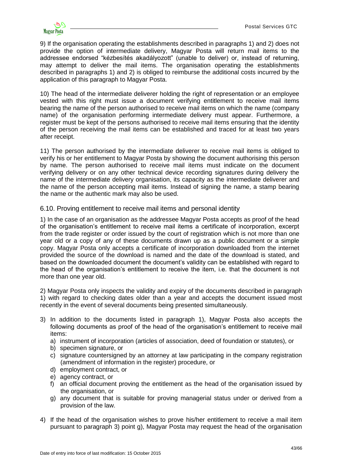

9) If the organisation operating the establishments described in paragraphs 1) and 2) does not provide the option of intermediate delivery, Magyar Posta will return mail items to the addressee endorsed "kézbesítés akadályozott" (unable to deliver) or, instead of returning, may attempt to deliver the mail items. The organisation operating the establishments described in paragraphs 1) and 2) is obliged to reimburse the additional costs incurred by the application of this paragraph to Magyar Posta.

10) The head of the intermediate deliverer holding the right of representation or an employee vested with this right must issue a document verifying entitlement to receive mail items bearing the name of the person authorised to receive mail items on which the name (company name) of the organisation performing intermediate delivery must appear. Furthermore, a register must be kept of the persons authorised to receive mail items ensuring that the identity of the person receiving the mail items can be established and traced for at least two years after receipt.

11) The person authorised by the intermediate deliverer to receive mail items is obliged to verify his or her entitlement to Magyar Posta by showing the document authorising this person by name. The person authorised to receive mail items must indicate on the document verifying delivery or on any other technical device recording signatures during delivery the name of the intermediate delivery organisation, its capacity as the intermediate deliverer and the name of the person accepting mail items. Instead of signing the name, a stamp bearing the name or the authentic mark may also be used.

<span id="page-42-0"></span>6.10. Proving entitlement to receive mail items and personal identity

1) In the case of an organisation as the addressee Magyar Posta accepts as proof of the head of the organisation's entitlement to receive mail items a certificate of incorporation, excerpt from the trade register or order issued by the court of registration which is not more than one year old or a copy of any of these documents drawn up as a public document or a simple copy. Magyar Posta only accepts a certificate of incorporation downloaded from the internet provided the source of the download is named and the date of the download is stated, and based on the downloaded document the document's validity can be established with regard to the head of the organisation's entitlement to receive the item, i.e. that the document is not more than one year old.

2) Magyar Posta only inspects the validity and expiry of the documents described in paragraph 1) with regard to checking dates older than a year and accepts the document issued most recently in the event of several documents being presented simultaneously.

- 3) In addition to the documents listed in paragraph 1), Magyar Posta also accepts the following documents as proof of the head of the organisation's entitlement to receive mail items:
	- a) instrument of incorporation (articles of association, deed of foundation or statutes), or
	- b) specimen signature, or
	- c) signature countersigned by an attorney at law participating in the company registration (amendment of information in the register) procedure, or
	- d) employment contract, or
	- e) agency contract, or
	- f) an official document proving the entitlement as the head of the organisation issued by the organisation, or
	- g) any document that is suitable for proving managerial status under or derived from a provision of the law.
- 4) If the head of the organisation wishes to prove his/her entitlement to receive a mail item pursuant to paragraph 3) point g), Magyar Posta may request the head of the organisation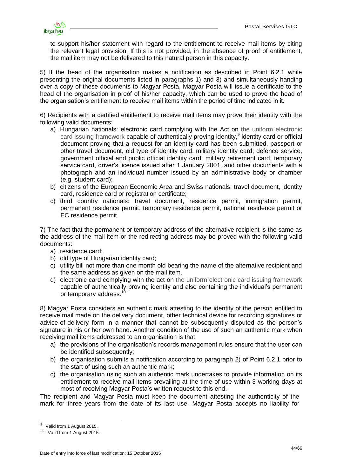

to support his/her statement with regard to the entitlement to receive mail items by citing the relevant legal provision. If this is not provided, in the absence of proof of entitlement, the mail item may not be delivered to this natural person in this capacity.

5) If the head of the organisation makes a notification as described in Point 6.2.1 while presenting the original documents listed in paragraphs 1) and 3) and simultaneously handing over a copy of these documents to Magyar Posta, Magyar Posta will issue a certificate to the head of the organisation in proof of his/her capacity, which can be used to prove the head of the organisation's entitlement to receive mail items within the period of time indicated in it.

6) Recipients with a certified entitlement to receive mail items may prove their identity with the following valid documents:

- a) Hungarian nationals: electronic card complying with the Act on the uniform electronic card issuing framework capable of authentically proving identity,<sup>9</sup> identity card or official document proving that a request for an identity card has been submitted, passport or other travel document, old type of identity card, military identity card; defence service, government official and public official identity card; military retirement card, temporary service card, driver's licence issued after 1 January 2001, and other documents with a photograph and an individual number issued by an administrative body or chamber (e.g. student card);
- b) citizens of the European Economic Area and Swiss nationals: travel document, identity card, residence card or registration certificate;
- c) third country nationals: travel document, residence permit, immigration permit, permanent residence permit, temporary residence permit, national residence permit or EC residence permit.

7) The fact that the permanent or temporary address of the alternative recipient is the same as the address of the mail item or the redirecting address may be proved with the following valid documents:

- a) residence card;
- b) old type of Hungarian identity card;
- c) utility bill not more than one month old bearing the name of the alternative recipient and the same address as given on the mail item.
- d) electronic card complying with the act on the uniform electronic card issuing framework capable of authentically proving identity and also containing the individual's permanent or temporary address.<sup>10</sup>

8) Magyar Posta considers an authentic mark attesting to the identity of the person entitled to receive mail made on the delivery document, other technical device for recording signatures or advice-of-delivery form in a manner that cannot be subsequently disputed as the person's signature in his or her own hand. Another condition of the use of such an authentic mark when receiving mail items addressed to an organisation is that

- a) the provisions of the organisation's records management rules ensure that the user can be identified subsequently;
- b) the organisation submits a notification according to paragraph 2) of Point 6.2.1 prior to the start of using such an authentic mark;
- c) the organisation using such an authentic mark undertakes to provide information on its entitlement to receive mail items prevailing at the time of use within 3 working days at most of receiving Magyar Posta's written request to this end.

The recipient and Magyar Posta must keep the document attesting the authenticity of the mark for three years from the date of its last use. Magyar Posta accepts no liability for

<sup>&</sup>lt;u>.</u> <sup>9</sup> Valid from 1 August 2015.

 $10$  Valid from 1 August 2015.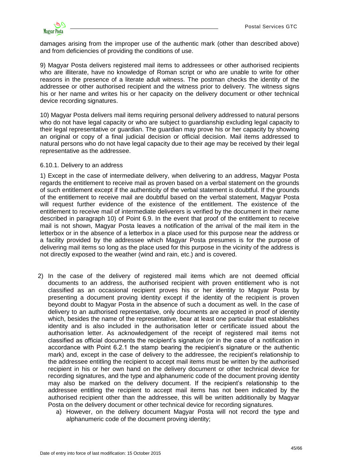damages arising from the improper use of the authentic mark (other than described above) and from deficiencies of providing the conditions of use.

9) Magyar Posta delivers registered mail items to addressees or other authorised recipients who are illiterate, have no knowledge of Roman script or who are unable to write for other reasons in the presence of a literate adult witness. The postman checks the identity of the addressee or other authorised recipient and the witness prior to delivery. The witness signs his or her name and writes his or her capacity on the delivery document or other technical device recording signatures.

10) Magyar Posta delivers mail items requiring personal delivery addressed to natural persons who do not have legal capacity or who are subject to guardianship excluding legal capacity to their legal representative or guardian. The guardian may prove his or her capacity by showing an original or copy of a final judicial decision or official decision. Mail items addressed to natural persons who do not have legal capacity due to their age may be received by their legal representative as the addressee.

#### <span id="page-44-0"></span>6.10.1. Delivery to an address

1) Except in the case of intermediate delivery, when delivering to an address, Magyar Posta regards the entitlement to receive mail as proven based on a verbal statement on the grounds of such entitlement except if the authenticity of the verbal statement is doubtful. If the grounds of the entitlement to receive mail are doubtful based on the verbal statement, Magyar Posta will request further evidence of the existence of the entitlement. The existence of the entitlement to receive mail of intermediate deliverers is verified by the document in their name described in paragraph 10) of Point 6.9. In the event that proof of the entitlement to receive mail is not shown, Magyar Posta leaves a notification of the arrival of the mail item in the letterbox or in the absence of a letterbox in a place used for this purpose near the address or a facility provided by the addressee which Magyar Posta presumes is for the purpose of delivering mail items so long as the place used for this purpose in the vicinity of the address is not directly exposed to the weather (wind and rain, etc.) and is covered.

- 2) In the case of the delivery of registered mail items which are not deemed official documents to an address, the authorised recipient with proven entitlement who is not classified as an occasional recipient proves his or her identity to Magyar Posta by presenting a document proving identity except if the identity of the recipient is proven beyond doubt to Magyar Posta in the absence of such a document as well. In the case of delivery to an authorised representative, only documents are accepted in proof of identity which, besides the name of the representative, bear at least one particular that establishes identity and is also included in the authorisation letter or certificate issued about the authorisation letter. As acknowledgement of the receipt of registered mail items not classified as official documents the recipient's signature (or in the case of a notification in accordance with Point 6.2.1 the stamp bearing the recipient's signature or the authentic mark) and, except in the case of delivery to the addressee, the recipient's relationship to the addressee entitling the recipient to accept mail items must be written by the authorised recipient in his or her own hand on the delivery document or other technical device for recording signatures, and the type and alphanumeric code of the document proving identity may also be marked on the delivery document. If the recipient's relationship to the addressee entitling the recipient to accept mail items has not been indicated by the authorised recipient other than the addressee, this will be written additionally by Magyar Posta on the delivery document or other technical device for recording signatures.
	- a) However, on the delivery document Magyar Posta will not record the type and alphanumeric code of the document proving identity;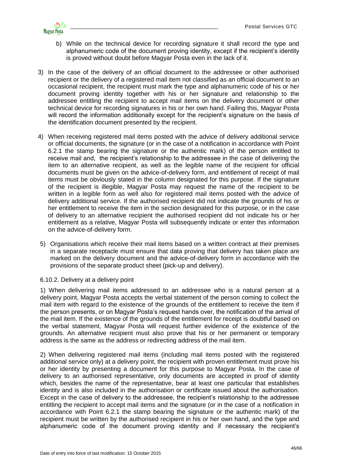

- b) While on the technical device for recording signature it shall record the type and alphanumeric code of the document proving identity, except if the recipient's identity is proved without doubt before Magyar Posta even in the lack of it.
- 3) In the case of the delivery of an official document to the addressee or other authorised recipient or the delivery of a registered mail item not classified as an official document to an occasional recipient, the recipient must mark the type and alphanumeric code of his or her document proving identity together with his or her signature and relationship to the addressee entitling the recipient to accept mail items on the delivery document or other technical device for recording signatures in his or her own hand. Failing this, Magyar Posta will record the information additionally except for the recipient's signature on the basis of the identification document presented by the recipient.
- 4) When receiving registered mail items posted with the advice of delivery additional service or official documents, the signature (or in the case of a notification in accordance with Point 6.2.1 the stamp bearing the signature or the authentic mark) of the person entitled to receive mail and, the recipient's relationship to the addressee in the case of delivering the item to an alternative recipient, as well as the legible name of the recipient for official documents must be given on the advice-of-delivery form, and entitlement of receipt of mail items must be obviously stated in the column designated for this purpose. If the signature of the recipient is illegible, Magyar Posta may request the name of the recipient to be written in a legible form as well also for registered mail items posted with the advice of delivery additional service. If the authorised recipient did not indicate the grounds of his or her entitlement to receive the item in the section designated for this purpose, or in the case of delivery to an alternative recipient the authorised recipient did not indicate his or her entitlement as a relative, Magyar Posta will subsequently indicate or enter this information on the advice-of-delivery form.
- 5) Organisations which receive their mail items based on a written contract at their premises in a separate receptacle must ensure that data proving that delivery has taken place are marked on the delivery document and the advice-of-delivery form in accordance with the provisions of the separate product sheet (pick-up and delivery).

### <span id="page-45-0"></span>6.10.2. Delivery at a delivery point

1) When delivering mail items addressed to an addressee who is a natural person at a delivery point, Magyar Posta accepts the verbal statement of the person coming to collect the mail item with regard to the existence of the grounds of the entitlement to receive the item if the person presents, or on Magyar Posta's request hands over, the notification of the arrival of the mail item. If the existence of the grounds of the entitlement for receipt is doubtful based on the verbal statement, Magyar Posta will request further evidence of the existence of the grounds. An alternative recipient must also prove that his or her permanent or temporary address is the same as the address or redirecting address of the mail item.

2) When delivering registered mail items (including mail items posted with the registered additional service only) at a delivery point, the recipient with proven entitlement must prove his or her identity by presenting a document for this purpose to Magyar Posta. In the case of delivery to an authorised representative, only documents are accepted in proof of identity which, besides the name of the representative, bear at least one particular that establishes identity and is also included in the authorisation or certificate issued about the authorisation. Except in the case of delivery to the addressee, the recipient's relationship to the addressee entitling the recipient to accept mail items and the signature (or in the case of a notification in accordance with Point 6.2.1 the stamp bearing the signature or the authentic mark) of the recipient must be written by the authorised recipient in his or her own hand, and the type and alphanumeric code of the document proving identity and if necessary the recipient's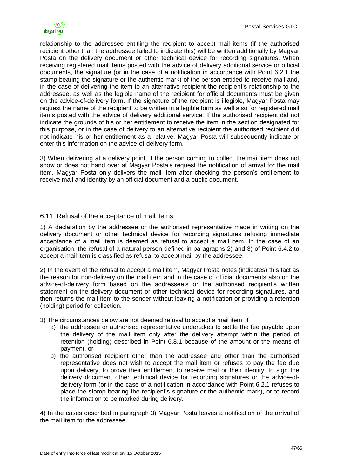relationship to the addressee entitling the recipient to accept mail items (if the authorised recipient other than the addressee failed to indicate this) will be written additionally by Magyar Posta on the delivery document or other technical device for recording signatures. When receiving registered mail items posted with the advice of delivery additional service or official documents, the signature (or in the case of a notification in accordance with Point 6.2.1 the stamp bearing the signature or the authentic mark) of the person entitled to receive mail and, in the case of delivering the item to an alternative recipient the recipient's relationship to the addressee, as well as the legible name of the recipient for official documents must be given on the advice-of-delivery form. If the signature of the recipient is illegible, Magyar Posta may request the name of the recipient to be written in a legible form as well also for registered mail items posted with the advice of delivery additional service. If the authorised recipient did not indicate the grounds of his or her entitlement to receive the item in the section designated for this purpose, or in the case of delivery to an alternative recipient the authorised recipient did not indicate his or her entitlement as a relative, Magyar Posta will subsequently indicate or enter this information on the advice-of-delivery form.

3) When delivering at a delivery point, if the person coming to collect the mail item does not show or does not hand over at Magyar Posta's request the notification of arrival for the mail item, Magyar Posta only delivers the mail item after checking the person's entitlement to receive mail and identity by an official document and a public document.

### <span id="page-46-0"></span>6.11. Refusal of the acceptance of mail items

1) A declaration by the addressee or the authorised representative made in writing on the delivery document or other technical device for recording signatures refusing immediate acceptance of a mail item is deemed as refusal to accept a mail item. In the case of an organisation, the refusal of a natural person defined in paragraphs 2) and 3) of Point 6.4.2 to accept a mail item is classified as refusal to accept mail by the addressee.

2) In the event of the refusal to accept a mail item, Magyar Posta notes (indicates) this fact as the reason for non-delivery on the mail item and in the case of official documents also on the advice-of-delivery form based on the addressee's or the authorised recipient's written statement on the delivery document or other technical device for recording signatures, and then returns the mail item to the sender without leaving a notification or providing a retention (holding) period for collection.

3) The circumstances below are not deemed refusal to accept a mail item: if

- a) the addressee or authorised representative undertakes to settle the fee payable upon the delivery of the mail item only after the delivery attempt within the period of retention (holding) described in Point 6.8.1 because of the amount or the means of payment, or
- b) the authorised recipient other than the addressee and other than the authorised representative does not wish to accept the mail item or refuses to pay the fee due upon delivery, to prove their entitlement to receive mail or their identity, to sign the delivery document other technical device for recording signatures or the advice-ofdelivery form (or in the case of a notification in accordance with Point 6.2.1 refuses to place the stamp bearing the recipient's signature or the authentic mark), or to record the information to be marked during delivery.

4) In the cases described in paragraph 3) Magyar Posta leaves a notification of the arrival of the mail item for the addressee.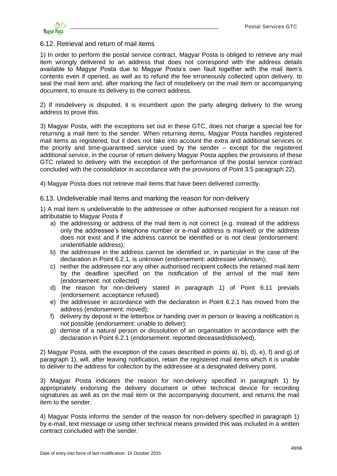

### <span id="page-47-0"></span>6.12. Retrieval and return of mail items

1) In order to perform the postal service contract, Magyar Posta is obliged to retrieve any mail item wrongly delivered to an address that does not correspond with the address details available to Magyar Posta due to Magyar Posta's own fault together with the mail item's contents even if opened, as well as to refund the fee erroneously collected upon delivery, to seal the mail item and, after marking the fact of misdelivery on the mail item or accompanying document, to ensure its delivery to the correct address.

2) If misdelivery is disputed, it is incumbent upon the party alleging delivery to the wrong address to prove this.

3) Magyar Posta, with the exceptions set out in these GTC, does not charge a special fee for returning a mail item to the sender. When returning items, Magyar Posta handles registered mail items as registered, but it does not take into account the extra and additional services or the priority and time-guaranteed service used by the sender – except for the registered additional service, in the course of return delivery Magyar Posta applies the provisions of these GTC related to delivery with the exception of the performance of the postal service contract concluded with the consolidator in accordance with the provisions of Point 3.5 paragraph 22).

4) Magyar Posta does not retrieve mail items that have been delivered correctly.

<span id="page-47-1"></span>6.13. Undeliverable mail items and marking the reason for non-delivery

1) A mail item is undeliverable to the addressee or other authorised recipient for a reason not attributable to Magyar Posta if

- a) the addressing or address of the mail item is not correct (e.g. instead of the address only the addressee's telephone number or e-mail address is marked) or the address does not exist and if the address cannot be identified or is not clear (endorsement: unidentifiable address);
- b) the addressee in the address cannot be identified or, in particular in the case of the declaration in Point 6.2.1, is unknown (endorsement: addressee unknown);
- c) neither the addressee nor any other authorised recipient collects the retained mail item by the deadline specified on the notification of the arrival of the mail item (endorsement: not collected)
- d) the reason for non-delivery stated in paragraph 1) of Point 6.11 prevails (endorsement: acceptance refused)
- e) the addressee in accordance with the declaration in Point 6.2.1 has moved from the address (endorsement: moved);
- f) delivery by deposit in the letterbox or handing over in person or leaving a notification is not possible (endorsement: unable to deliver);
- g) demise of a natural person or dissolution of an organisation in accordance with the declaration in Point 6.2.1 (endorsement: reported deceased/dissolved).

2) Magyar Posta, with the exception of the cases described in points a), b), d), e), f) and g) of paragraph 1), will, after leaving notification, retain the registered mail items which it is unable to deliver to the address for collection by the addressee at a designated delivery point.

3) Magyar Posta indicates the reason for non-delivery specified in paragraph 1) by appropriately endorsing the delivery document or other technical device for recording signatures as well as on the mail item or the accompanying document, and returns the mail item to the sender.

4) Magyar Posta informs the sender of the reason for non-delivery specified in paragraph 1) by e-mail, text message or using other technical means provided this was included in a written contract concluded with the sender.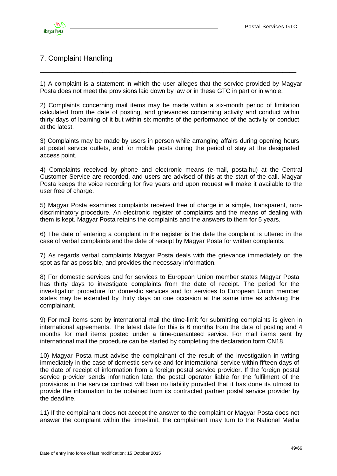

# <span id="page-48-0"></span>7. Complaint Handling

1) A complaint is a statement in which the user alleges that the service provided by Magyar Posta does not meet the provisions laid down by law or in these GTC in part or in whole.

\_\_\_\_\_\_\_\_\_\_\_\_\_\_\_\_\_\_\_\_\_\_\_\_\_\_\_\_\_\_\_\_\_\_\_\_\_\_\_\_\_\_\_\_\_\_\_\_\_\_\_\_\_\_\_\_\_\_\_\_\_\_\_\_\_\_\_\_\_\_\_\_\_\_

2) Complaints concerning mail items may be made within a six-month period of limitation calculated from the date of posting, and grievances concerning activity and conduct within thirty days of learning of it but within six months of the performance of the activity or conduct at the latest.

3) Complaints may be made by users in person while arranging affairs during opening hours at postal service outlets, and for mobile posts during the period of stay at the designated access point.

4) Complaints received by phone and electronic means (e-mail, posta.hu) at the Central Customer Service are recorded, and users are advised of this at the start of the call. Magyar Posta keeps the voice recording for five years and upon request will make it available to the user free of charge.

5) Magyar Posta examines complaints received free of charge in a simple, transparent, nondiscriminatory procedure. An electronic register of complaints and the means of dealing with them is kept. Magyar Posta retains the complaints and the answers to them for 5 years.

6) The date of entering a complaint in the register is the date the complaint is uttered in the case of verbal complaints and the date of receipt by Magyar Posta for written complaints.

7) As regards verbal complaints Magyar Posta deals with the grievance immediately on the spot as far as possible, and provides the necessary information.

8) For domestic services and for services to European Union member states Magyar Posta has thirty days to investigate complaints from the date of receipt. The period for the investigation procedure for domestic services and for services to European Union member states may be extended by thirty days on one occasion at the same time as advising the complainant.

9) For mail items sent by international mail the time-limit for submitting complaints is given in international agreements. The latest date for this is 6 months from the date of posting and 4 months for mail items posted under a time-guaranteed service. For mail items sent by international mail the procedure can be started by completing the declaration form CN18.

10) Magyar Posta must advise the complainant of the result of the investigation in writing immediately in the case of domestic service and for international service within fifteen days of the date of receipt of information from a foreign postal service provider. If the foreign postal service provider sends information late, the postal operator liable for the fulfilment of the provisions in the service contract will bear no liability provided that it has done its utmost to provide the information to be obtained from its contracted partner postal service provider by the deadline.

11) If the complainant does not accept the answer to the complaint or Magyar Posta does not answer the complaint within the time-limit, the complainant may turn to the National Media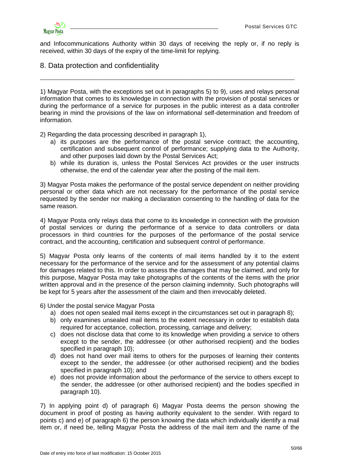

and Infocommunications Authority within 30 days of receiving the reply or, if no reply is received, within 30 days of the expiry of the time-limit for replying.

\_\_\_\_\_\_\_\_\_\_\_\_\_\_\_\_\_\_\_\_\_\_\_\_\_\_\_\_\_\_\_\_\_\_\_\_\_\_\_\_\_\_\_\_\_\_\_\_\_\_\_\_\_\_\_\_\_\_\_\_\_\_\_\_\_\_\_\_\_\_\_\_\_\_\_

## <span id="page-49-0"></span>8. Data protection and confidentiality

1) Magyar Posta, with the exceptions set out in paragraphs 5) to 9), uses and relays personal information that comes to its knowledge in connection with the provision of postal services or during the performance of a service for purposes in the public interest as a data controller bearing in mind the provisions of the law on informational self-determination and freedom of information.

2) Regarding the data processing described in paragraph 1),

- a) its purposes are the performance of the postal service contract; the accounting, certification and subsequent control of performance; supplying data to the Authority, and other purposes laid down by the Postal Services Act;
- b) while its duration is, unless the Postal Services Act provides or the user instructs otherwise, the end of the calendar year after the posting of the mail item.

3) Magyar Posta makes the performance of the postal service dependent on neither providing personal or other data which are not necessary for the performance of the postal service requested by the sender nor making a declaration consenting to the handling of data for the same reason.

4) Magyar Posta only relays data that come to its knowledge in connection with the provision of postal services or during the performance of a service to data controllers or data processors in third countries for the purposes of the performance of the postal service contract, and the accounting, certification and subsequent control of performance.

5) Magyar Posta only learns of the contents of mail items handled by it to the extent necessary for the performance of the service and for the assessment of any potential claims for damages related to this. In order to assess the damages that may be claimed, and only for this purpose, Magyar Posta may take photographs of the contents of the items with the prior written approval and in the presence of the person claiming indemnity. Such photographs will be kept for 5 years after the assessment of the claim and then irrevocably deleted.

6) Under the postal service Magyar Posta

- a) does not open sealed mail items except in the circumstances set out in paragraph 8);
- b) only examines unsealed mail items to the extent necessary in order to establish data required for acceptance, collection, processing, carriage and delivery;
- c) does not disclose data that come to its knowledge when providing a service to others except to the sender, the addressee (or other authorised recipient) and the bodies specified in paragraph 10);
- d) does not hand over mail items to others for the purposes of learning their contents except to the sender, the addressee (or other authorised recipient) and the bodies specified in paragraph 10); and
- e) does not provide information about the performance of the service to others except to the sender, the addressee (or other authorised recipient) and the bodies specified in paragraph 10).

7) In applying point d) of paragraph 6) Magyar Posta deems the person showing the document in proof of posting as having authority equivalent to the sender. With regard to points c) and e) of paragraph 6) the person knowing the data which individually identify a mail item or, if need be, telling Magyar Posta the address of the mail item and the name of the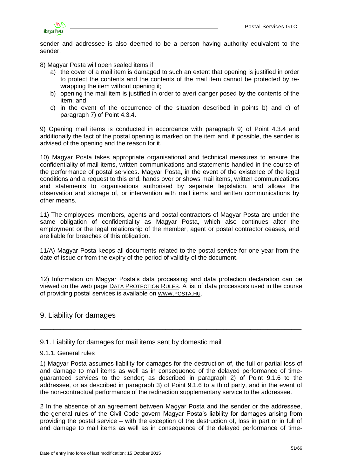

sender and addressee is also deemed to be a person having authority equivalent to the sender.

8) Magyar Posta will open sealed items if

- a) the cover of a mail item is damaged to such an extent that opening is justified in order to protect the contents and the contents of the mail item cannot be protected by rewrapping the item without opening it;
- b) opening the mail item is justified in order to avert danger posed by the contents of the item; and
- c) in the event of the occurrence of the situation described in points b) and c) of paragraph 7) of Point 4.3.4.

9) Opening mail items is conducted in accordance with paragraph 9) of Point 4.3.4 and additionally the fact of the postal opening is marked on the item and, if possible, the sender is advised of the opening and the reason for it.

10) Magyar Posta takes appropriate organisational and technical measures to ensure the confidentiality of mail items, written communications and statements handled in the course of the performance of postal services. Magyar Posta, in the event of the existence of the legal conditions and a request to this end, hands over or shows mail items, written communications and statements to organisations authorised by separate legislation, and allows the observation and storage of, or intervention with mail items and written communications by other means.

11) The employees, members, agents and postal contractors of Magyar Posta are under the same obligation of confidentiality as Magyar Posta, which also continues after the employment or the legal relationship of the member, agent or postal contractor ceases, and are liable for breaches of this obligation.

11/A) Magyar Posta keeps all documents related to the postal service for one year from the date of issue or from the expiry of the period of validity of the document.

12) Information on Magyar Posta's data processing and data protection declaration can be viewed on the web page DATA P[ROTECTION](http://www.posta.hu/adatvedelmi_szabalyzat) RULES. A list of data processors used in the course of providing postal services is available on WWW.[POSTA](http://www.posta.hu/).HU.

\_\_\_\_\_\_\_\_\_\_\_\_\_\_\_\_\_\_\_\_\_\_\_\_\_\_\_\_\_\_\_\_\_\_\_\_\_\_\_\_\_\_\_\_\_\_\_\_\_\_\_\_\_\_\_\_\_\_\_\_\_\_\_\_\_\_\_\_\_\_\_\_\_\_\_\_\_

### <span id="page-50-0"></span>9. Liability for damages

<span id="page-50-1"></span>9.1. Liability for damages for mail items sent by domestic mail

#### <span id="page-50-2"></span>9.1.1. General rules

1) Magyar Posta assumes liability for damages for the destruction of, the full or partial loss of and damage to mail items as well as in consequence of the delayed performance of timeguaranteed services to the sender; as described in paragraph 2) of Point 9.1.6 to the addressee, or as described in paragraph 3) of Point 9.1.6 to a third party, and in the event of the non-contractual performance of the redirection supplementary service to the addressee.

2 In the absence of an agreement between Magyar Posta and the sender or the addressee, the general rules of the Civil Code govern Magyar Posta's liability for damages arising from providing the postal service – with the exception of the destruction of, loss in part or in full of and damage to mail items as well as in consequence of the delayed performance of time-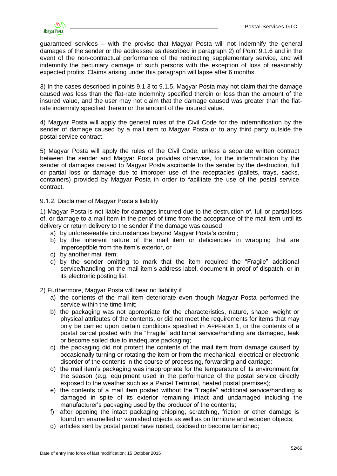

guaranteed services – with the proviso that Magyar Posta will not indemnify the general damages of the sender or the addressee as described in paragraph 2) of Point 9.1.6 and in the event of the non-contractual performance of the redirecting supplementary service, and will indemnify the pecuniary damage of such persons with the exception of loss of reasonably expected profits. Claims arising under this paragraph will lapse after 6 months.

3) In the cases described in points 9.1.3 to 9.1.5, Magyar Posta may not claim that the damage caused was less than the flat-rate indemnity specified therein or less than the amount of the insured value, and the user may not claim that the damage caused was greater than the flatrate indemnity specified therein or the amount of the insured value.

4) Magyar Posta will apply the general rules of the Civil Code for the indemnification by the sender of damage caused by a mail item to Magyar Posta or to any third party outside the postal service contract.

5) Magyar Posta will apply the rules of the Civil Code, unless a separate written contract between the sender and Magyar Posta provides otherwise, for the indemnification by the sender of damages caused to Magyar Posta ascribable to the sender by the destruction, full or partial loss or damage due to improper use of the receptacles (pallets, trays, sacks, containers) provided by Magyar Posta in order to facilitate the use of the postal service contract.

<span id="page-51-0"></span>9.1.2. Disclaimer of Magyar Posta's liability

1) Magyar Posta is not liable for damages incurred due to the destruction of, full or partial loss of, or damage to a mail item in the period of time from the acceptance of the mail item until its delivery or return delivery to the sender if the damage was caused

- a) by unforeseeable circumstances beyond Magyar Posta's control;
- b) by the inherent nature of the mail item or deficiencies in wrapping that are imperceptible from the item's exterior, or
- c) by another mail item;
- d) by the sender omitting to mark that the item required the "Fragile" additional service/handling on the mail item's address label, document in proof of dispatch, or in its electronic posting list.

#### 2) Furthermore, Magyar Posta will bear no liability if

- a) the contents of the mail item deteriorate even though Magyar Posta performed the service within the time-limit;
- b) the packaging was not appropriate for the characteristics, nature, shape, weight or physical attributes of the contents, or did not meet the requirements for items that may only be carried upon certain conditions specified in APPENDIX 1, or the contents of a postal parcel posted with the "Fragile" additional service/handling are damaged, leak or become soiled due to inadequate packaging;
- c) the packaging did not protect the contents of the mail item from damage caused by occasionally turning or rotating the item or from the mechanical, electrical or electronic disorder of the contents in the course of processing, forwarding and carriage;
- d) the mail item's packaging was inappropriate for the temperature of its environment for the season (e.g. equipment used in the performance of the postal service directly exposed to the weather such as a Parcel Terminal, heated postal premises);
- e) the contents of a mail item posted without the "Fragile" additional service/handling is damaged in spite of its exterior remaining intact and undamaged including the manufacturer's packaging used by the producer of the contents;
- f) after opening the intact packaging chipping, scratching, friction or other damage is found on enamelled or varnished objects as well as on furniture and wooden objects;
- g) articles sent by postal parcel have rusted, oxidised or become tarnished;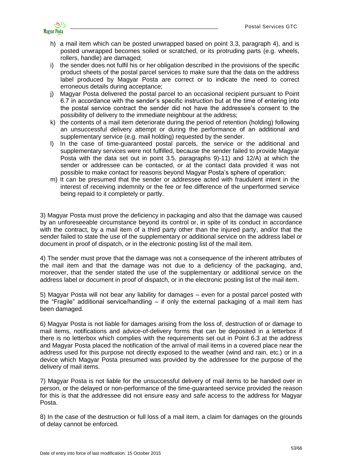

- h) a mail item which can be posted unwrapped based on point 3.3, paragraph 4), and is posted unwrapped becomes soiled or scratched, or its protruding parts (e.g. wheels, rollers, handle) are damaged;
- i) the sender does not fulfil his or her obligation described in the provisions of the specific product sheets of the postal parcel services to make sure that the data on the address label produced by Magyar Posta are correct or to indicate the need to correct erroneous details during acceptance;
- j) Magyar Posta delivered the postal parcel to an occasional recipient pursuant to Point 6.7 in accordance with the sender's specific instruction but at the time of entering into the postal service contract the sender did not have the addressee's consent to the possibility of delivery to the immediate neighbour at the address;
- k) the contents of a mail item deteriorate during the period of retention (holding) following an unsuccessful delivery attempt or during the performance of an additional and supplementary service (e.g. mail holding) requested by the sender.
- l) In the case of time-guaranteed postal parcels, the service or the additional and supplementary services were not fulfilled, because the sender failed to provide Magyar Posta with the data set out in point 3.5. paragraphs 9)-11) and 12/A) at which the sender or addressee can be contacted, or at the contact data provided it was not possible to make contact for reasons beyond Magyar Posta's sphere of operation;
- m) It can be presumed that the sender or addressee acted with fraudulent intent in the interest of receiving indemnity or the fee or fee difference of the unperformed service being repaid to it completely or partly.

3) Magyar Posta must prove the deficiency in packaging and also that the damage was caused by an unforeseeable circumstance beyond its control or, in spite of its conduct in accordance with the contract, by a mail item of a third party other than the injured party, and/or that the sender failed to state the use of the supplementary or additional service on the address label or document in proof of dispatch, or in the electronic posting list of the mail item.

4) The sender must prove that the damage was not a consequence of the inherent attributes of the mail item and that the damage was not due to a deficiency of the packaging, and, moreover, that the sender stated the use of the supplementary or additional service on the address label or document in proof of dispatch, or in the electronic posting list of the mail item.

5) Magyar Posta will not bear any liability for damages – even for a postal parcel posted with the "Fragile" additional service/handling – if only the external packaging of a mail item has been damaged.

6) Magyar Posta is not liable for damages arising from the loss of, destruction of or damage to mail items, notifications and advice-of-delivery forms that can be deposited in a letterbox if there is no letterbox which complies with the requirements set out in Point 6.3 at the address and Magyar Posta placed the notification of the arrival of mail items in a covered place near the address used for this purpose not directly exposed to the weather (wind and rain, etc.) or in a device which Magyar Posta presumed was provided by the addressee for the purpose of the delivery of mail items.

7) Magyar Posta is not liable for the unsuccessful delivery of mail items to be handed over in person, or the delayed or non-performance of the time-guaranteed service provided the reason for this is that the addressee did not ensure easy and safe access to the address for Magyar Posta.

8) In the case of the destruction or full loss of a mail item, a claim for damages on the grounds of delay cannot be enforced.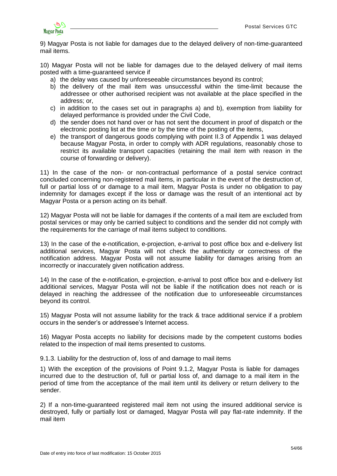

9) Magyar Posta is not liable for damages due to the delayed delivery of non-time-guaranteed mail items.

10) Magyar Posta will not be liable for damages due to the delayed delivery of mail items posted with a time-guaranteed service if

- a) the delay was caused by unforeseeable circumstances beyond its control;
- b) the delivery of the mail item was unsuccessful within the time-limit because the addressee or other authorised recipient was not available at the place specified in the address; or,
- c) in addition to the cases set out in paragraphs a) and b), exemption from liability for delayed performance is provided under the Civil Code,
- d) the sender does not hand over or has not sent the document in proof of dispatch or the electronic posting list at the time or by the time of the posting of the items,
- e) the transport of dangerous goods complying with point II.3 of Appendix 1 was delayed because Magyar Posta, in order to comply with ADR regulations, reasonably chose to restrict its available transport capacities (retaining the mail item with reason in the course of forwarding or delivery).

11) In the case of the non- or non-contractual performance of a postal service contract concluded concerning non-registered mail items, in particular in the event of the destruction of, full or partial loss of or damage to a mail item, Magyar Posta is under no obligation to pay indemnity for damages except if the loss or damage was the result of an intentional act by Magyar Posta or a person acting on its behalf.

12) Magyar Posta will not be liable for damages if the contents of a mail item are excluded from postal services or may only be carried subject to conditions and the sender did not comply with the requirements for the carriage of mail items subject to conditions.

13) In the case of the e-notification, e-projection, e-arrival to post office box and e-delivery list additional services, Magyar Posta will not check the authenticity or correctness of the notification address. Magyar Posta will not assume liability for damages arising from an incorrectly or inaccurately given notification address.

14) In the case of the e-notification, e-projection, e-arrival to post office box and e-delivery list additional services, Magyar Posta will not be liable if the notification does not reach or is delayed in reaching the addressee of the notification due to unforeseeable circumstances beyond its control.

15) Magyar Posta will not assume liability for the track & trace additional service if a problem occurs in the sender's or addressee's Internet access.

16) Magyar Posta accepts no liability for decisions made by the competent customs bodies related to the inspection of mail items presented to customs.

<span id="page-53-0"></span>9.1.3. Liability for the destruction of, loss of and damage to mail items

1) With the exception of the provisions of Point 9.1.2, Magyar Posta is liable for damages incurred due to the destruction of, full or partial loss of, and damage to a mail item in the period of time from the acceptance of the mail item until its delivery or return delivery to the sender.

2) If a non-time-guaranteed registered mail item not using the insured additional service is destroyed, fully or partially lost or damaged, Magyar Posta will pay flat-rate indemnity. If the mail item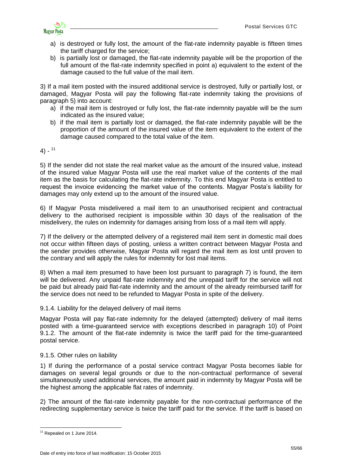

- a) is destroyed or fully lost, the amount of the flat-rate indemnity payable is fifteen times the tariff charged for the service;
- b) is partially lost or damaged, the flat-rate indemnity payable will be the proportion of the full amount of the flat-rate indemnity specified in point a) equivalent to the extent of the damage caused to the full value of the mail item.

3) If a mail item posted with the insured additional service is destroyed, fully or partially lost, or damaged, Magyar Posta will pay the following flat-rate indemnity taking the provisions of paragraph 5) into account:

- a) if the mail item is destroyed or fully lost, the flat-rate indemnity payable will be the sum indicated as the insured value;
- b) if the mail item is partially lost or damaged, the flat-rate indemnity payable will be the proportion of the amount of the insured value of the item equivalent to the extent of the damage caused compared to the total value of the item.

# 4) - 11

5) If the sender did not state the real market value as the amount of the insured value, instead of the insured value Magyar Posta will use the real market value of the contents of the mail item as the basis for calculating the flat-rate indemnity. To this end Magyar Posta is entitled to request the invoice evidencing the market value of the contents. Magyar Posta's liability for damages may only extend up to the amount of the insured value.

6) If Magyar Posta misdelivered a mail item to an unauthorised recipient and contractual delivery to the authorised recipient is impossible within 30 days of the realisation of the misdelivery, the rules on indemnity for damages arising from loss of a mail item will apply.

7) If the delivery or the attempted delivery of a registered mail item sent in domestic mail does not occur within fifteen days of posting, unless a written contract between Magyar Posta and the sender provides otherwise, Magyar Posta will regard the mail item as lost until proven to the contrary and will apply the rules for indemnity for lost mail items.

8) When a mail item presumed to have been lost pursuant to paragraph 7) is found, the item will be delivered. Any unpaid flat-rate indemnity and the unrepaid tariff for the service will not be paid but already paid flat-rate indemnity and the amount of the already reimbursed tariff for the service does not need to be refunded to Magyar Posta in spite of the delivery.

### <span id="page-54-0"></span>9.1.4. Liability for the delayed delivery of mail items

Magyar Posta will pay flat-rate indemnity for the delayed (attempted) delivery of mail items posted with a time-guaranteed service with exceptions described in paragraph 10) of Point 9.1.2. The amount of the flat-rate indemnity is twice the tariff paid for the time-guaranteed postal service.

### <span id="page-54-1"></span>9.1.5. Other rules on liability

1) If during the performance of a postal service contract Magyar Posta becomes liable for damages on several legal grounds or due to the non-contractual performance of several simultaneously used additional services, the amount paid in indemnity by Magyar Posta will be the highest among the applicable flat rates of indemnity.

2) The amount of the flat-rate indemnity payable for the non-contractual performance of the redirecting supplementary service is twice the tariff paid for the service. If the tariff is based on

<sup>&</sup>lt;u>.</u> <sup>11</sup> Repealed on 1 June 2014.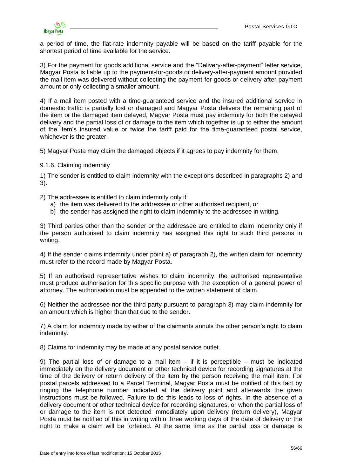

a period of time, the flat-rate indemnity payable will be based on the tariff payable for the shortest period of time available for the service.

3) For the payment for goods additional service and the "Delivery-after-payment" letter service, Magyar Posta is liable up to the payment-for-goods or delivery-after-payment amount provided the mail item was delivered without collecting the payment-for-goods or delivery-after-payment amount or only collecting a smaller amount.

4) If a mail item posted with a time-guaranteed service and the insured additional service in domestic traffic is partially lost or damaged and Magyar Posta delivers the remaining part of the item or the damaged item delayed, Magyar Posta must pay indemnity for both the delayed delivery and the partial loss of or damage to the item which together is up to either the amount of the item's insured value or twice the tariff paid for the time-guaranteed postal service, whichever is the greater.

5) Magyar Posta may claim the damaged objects if it agrees to pay indemnity for them.

<span id="page-55-0"></span>9.1.6. Claiming indemnity

1) The sender is entitled to claim indemnity with the exceptions described in paragraphs 2) and 3).

2) The addressee is entitled to claim indemnity only if

- a) the item was delivered to the addressee or other authorised recipient, or
- b) the sender has assigned the right to claim indemnity to the addressee in writing.

3) Third parties other than the sender or the addressee are entitled to claim indemnity only if the person authorised to claim indemnity has assigned this right to such third persons in writing.

4) If the sender claims indemnity under point a) of paragraph 2), the written claim for indemnity must refer to the record made by Magyar Posta.

5) If an authorised representative wishes to claim indemnity, the authorised representative must produce authorisation for this specific purpose with the exception of a general power of attorney. The authorisation must be appended to the written statement of claim.

6) Neither the addressee nor the third party pursuant to paragraph 3) may claim indemnity for an amount which is higher than that due to the sender.

7) A claim for indemnity made by either of the claimants annuls the other person's right to claim indemnity.

8) Claims for indemnity may be made at any postal service outlet.

9) The partial loss of or damage to a mail item  $-$  if it is perceptible  $-$  must be indicated immediately on the delivery document or other technical device for recording signatures at the time of the delivery or return delivery of the item by the person receiving the mail item. For postal parcels addressed to a Parcel Terminal, Magyar Posta must be notified of this fact by ringing the telephone number indicated at the delivery point and afterwards the given instructions must be followed. Failure to do this leads to loss of rights. In the absence of a delivery document or other technical device for recording signatures, or when the partial loss of or damage to the item is not detected immediately upon delivery (return delivery), Magyar Posta must be notified of this in writing within three working days of the date of delivery or the right to make a claim will be forfeited. At the same time as the partial loss or damage is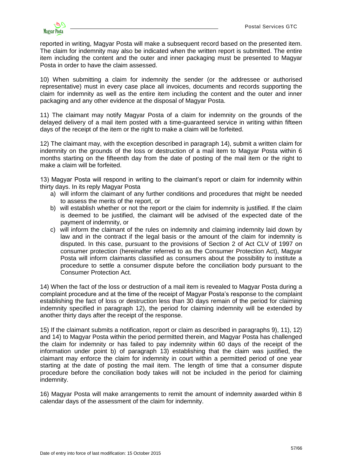

reported in writing, Magyar Posta will make a subsequent record based on the presented item. The claim for indemnity may also be indicated when the written report is submitted. The entire item including the content and the outer and inner packaging must be presented to Magyar Posta in order to have the claim assessed.

10) When submitting a claim for indemnity the sender (or the addressee or authorised representative) must in every case place all invoices, documents and records supporting the claim for indemnity as well as the entire item including the content and the outer and inner packaging and any other evidence at the disposal of Magyar Posta.

11) The claimant may notify Magyar Posta of a claim for indemnity on the grounds of the delayed delivery of a mail item posted with a time-guaranteed service in writing within fifteen days of the receipt of the item or the right to make a claim will be forfeited.

12) The claimant may, with the exception described in paragraph 14), submit a written claim for indemnity on the grounds of the loss or destruction of a mail item to Magyar Posta within 6 months starting on the fifteenth day from the date of posting of the mail item or the right to make a claim will be forfeited.

13) Magyar Posta will respond in writing to the claimant's report or claim for indemnity within thirty days. In its reply Magyar Posta

- a) will inform the claimant of any further conditions and procedures that might be needed to assess the merits of the report, or
- b) will establish whether or not the report or the claim for indemnity is justified. If the claim is deemed to be justified, the claimant will be advised of the expected date of the payment of indemnity, or
- c) will inform the claimant of the rules on indemnity and claiming indemnity laid down by law and in the contract if the legal basis or the amount of the claim for indemnity is disputed. In this case, pursuant to the provisions of Section 2 of Act CLV of 1997 on consumer protection (hereinafter referred to as the Consumer Protection Act), Magyar Posta will inform claimants classified as consumers about the possibility to institute a procedure to settle a consumer dispute before the conciliation body pursuant to the Consumer Protection Act.

14) When the fact of the loss or destruction of a mail item is revealed to Magyar Posta during a complaint procedure and at the time of the receipt of Magyar Posta's response to the complaint establishing the fact of loss or destruction less than 30 days remain of the period for claiming indemnity specified in paragraph 12), the period for claiming indemnity will be extended by another thirty days after the receipt of the response.

15) If the claimant submits a notification, report or claim as described in paragraphs 9), 11), 12) and 14) to Magyar Posta within the period permitted therein, and Magyar Posta has challenged the claim for indemnity or has failed to pay indemnity within 60 days of the receipt of the information under point b) of paragraph 13) establishing that the claim was justified, the claimant may enforce the claim for indemnity in court within a permitted period of one year starting at the date of posting the mail item. The length of time that a consumer dispute procedure before the conciliation body takes will not be included in the period for claiming indemnity.

16) Magyar Posta will make arrangements to remit the amount of indemnity awarded within 8 calendar days of the assessment of the claim for indemnity.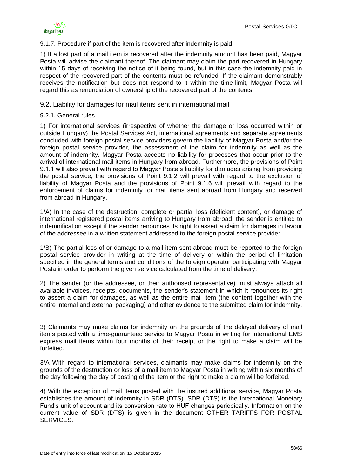

<span id="page-57-0"></span>9.1.7. Procedure if part of the item is recovered after indemnity is paid

1) If a lost part of a mail item is recovered after the indemnity amount has been paid, Magyar Posta will advise the claimant thereof. The claimant may claim the part recovered in Hungary within 15 days of receiving the notice of it being found, but in this case the indemnity paid in respect of the recovered part of the contents must be refunded. If the claimant demonstrably receives the notification but does not respond to it within the time-limit, Magyar Posta will regard this as renunciation of ownership of the recovered part of the contents.

### <span id="page-57-1"></span>9.2. Liability for damages for mail items sent in international mail

#### <span id="page-57-2"></span>9.2.1. General rules

1) For international services (irrespective of whether the damage or loss occurred within or outside Hungary) the Postal Services Act, international agreements and separate agreements concluded with foreign postal service providers govern the liability of Magyar Posta and/or the foreign postal service provider, the assessment of the claim for indemnity as well as the amount of indemnity. Magyar Posta accepts no liability for processes that occur prior to the arrival of international mail items in Hungary from abroad. Furthermore, the provisions of Point 9.1.1 will also prevail with regard to Magyar Posta's liability for damages arising from providing the postal service, the provisions of Point 9.1.2 will prevail with regard to the exclusion of liability of Magyar Posta and the provisions of Point 9.1.6 will prevail with regard to the enforcement of claims for indemnity for mail items sent abroad from Hungary and received from abroad in Hungary.

1/A) In the case of the destruction, complete or partial loss (deficient content), or damage of international registered postal items arriving to Hungary from abroad, the sender is entitled to indemnification except if the sender renounces its right to assert a claim for damages in favour of the addressee in a written statement addressed to the foreign postal service provider.

1/B) The partial loss of or damage to a mail item sent abroad must be reported to the foreign postal service provider in writing at the time of delivery or within the period of limitation specified in the general terms and conditions of the foreign operator participating with Magyar Posta in order to perform the given service calculated from the time of delivery.

2) The sender (or the addressee, or their authorised representative) must always attach all available invoices, receipts, documents, the sender's statement in which it renounces its right to assert a claim for damages, as well as the entire mail item (the content together with the entire internal and external packaging) and other evidence to the submitted claim for indemnity.

3) Claimants may make claims for indemnity on the grounds of the delayed delivery of mail items posted with a time-guaranteed service to Magyar Posta in writing for international EMS express mail items within four months of their receipt or the right to make a claim will be forfeited.

3/A With regard to international services, claimants may make claims for indemnity on the grounds of the destruction or loss of a mail item to Magyar Posta in writing within six months of the day following the day of posting of the item or the right to make a claim will be forfeited.

4) With the exception of mail items posted with the insured additional service, Magyar Posta establishes the amount of indemnity in SDR (DTS). SDR (DTS) is the International Monetary Fund's unit of account and its conversion rate to HUF changes periodically. Information on the current value of SDR (DTS) is given in the document OTHER [TARIFFS](http://www.posta.hu/static/internet/download/PASZF_KI09_Postai_egyeb_dijak_20130614_elozetes.pdf) FOR POSTAL [SERVICES.](http://www.posta.hu/static/internet/download/PASZF_KI09_Postai_egyeb_dijak_20130614_elozetes.pdf)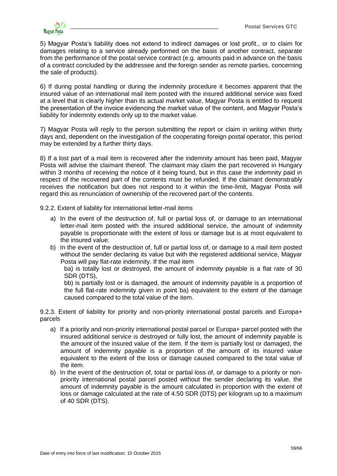

5) Magyar Posta's liability does not extend to indirect damages or lost profit., or to claim for damages relating to a service already performed on the basis of another contract, separate from the performance of the postal service contract (e.g. amounts paid in advance on the basis of a contract concluded by the addressee and the foreign sender as remote parties, concerning the sale of products).

6) If during postal handling or during the indemnity procedure it becomes apparent that the insured value of an international mail item posted with the insured additional service was fixed at a level that is clearly higher than its actual market value, Magyar Posta is entitled to request the presentation of the invoice evidencing the market value of the content, and Magyar Posta's liability for indemnity extends only up to the market value.

7) Magyar Posta will reply to the person submitting the report or claim in writing within thirty days and, dependent on the investigation of the cooperating foreign postal operator, this period may be extended by a further thirty days.

8) If a lost part of a mail item is recovered after the indemnity amount has been paid, Magyar Posta will advise the claimant thereof. The claimant may claim the part recovered in Hungary within 3 months of receiving the notice of it being found, but in this case the indemnity paid in respect of the recovered part of the contents must be refunded. If the claimant demonstrably receives the notification but does not respond to it within the time-limit, Magyar Posta will regard this as renunciation of ownership of the recovered part of the contents.

<span id="page-58-0"></span>9.2.2. Extent of liability for international letter-mail items

- a) In the event of the destruction of, full or partial loss of, or damage to an international letter-mail item posted with the insured additional service, the amount of indemnity payable is proportionate with the extent of loss or damage but is at most equivalent to the insured value.
- b) In the event of the destruction of, full or partial loss of, or damage to a mail item posted without the sender declaring its value but with the registered additional service, Magyar Posta will pay flat-rate indemnity. If the mail item

ba) is totally lost or destroyed, the amount of indemnity payable is a flat rate of 30 SDR (DTS),

bb) is partially lost or is damaged, the amount of indemnity payable is a proportion of the full flat-rate indemnity given in point ba) equivalent to the extent of the damage caused compared to the total value of the item.

<span id="page-58-1"></span>9.2.3. Extent of liability for priority and non-priority international postal parcels and Europa+ parcels

- a) If a priority and non-priority international postal parcel or Europa+ parcel posted with the insured additional service is destroyed or fully lost, the amount of indemnity payable is the amount of the insured value of the item. If the item is partially lost or damaged, the amount of indemnity payable is a proportion of the amount of its insured value equivalent to the extent of the loss or damage caused compared to the total value of the item.
- b) In the event of the destruction of, total or partial loss of, or damage to a priority or nonpriority international postal parcel posted without the sender declaring its value, the amount of indemnity payable is the amount calculated in proportion with the extent of loss or damage calculated at the rate of 4.50 SDR (DTS) per kilogram up to a maximum of 40 SDR (DTS).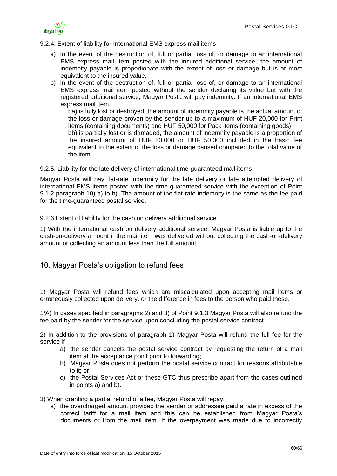

<span id="page-59-0"></span>9.2.4. Extent of liability for International EMS express mail items

- a) In the event of the destruction of, full or partial loss of, or damage to an international EMS express mail item posted with the insured additional service, the amount of indemnity payable is proportionate with the extent of loss or damage but is at most equivalent to the insured value.
- b) In the event of the destruction of, full or partial loss of, or damage to an international EMS express mail item posted without the sender declaring its value but with the registered additional service, Magyar Posta will pay indemnity. If an international EMS express mail item

ba) is fully lost or destroyed, the amount of indemnity payable is the actual amount of the loss or damage proven by the sender up to a maximum of HUF 20,000 for Print items (containing documents) and HUF 50,000 for Pack items (containing goods);

bb) is partially lost or is damaged, the amount of indemnity payable is a proportion of the insured amount of HUF 20,000 or HUF 50,000 included in the basic fee equivalent to the extent of the loss or damage caused compared to the total value of the item.

<span id="page-59-1"></span>9.2.5. Liability for the late delivery of international time-guaranteed mail items

Magyar Posta will pay flat-rate indemnity for the late delivery or late attempted delivery of international EMS items posted with the time-guaranteed service with the exception of Point 9.1.2 paragraph 10) a) to b). The amount of the flat-rate indemnity is the same as the fee paid for the time-guaranteed postal service.

<span id="page-59-2"></span>9.2.6 Extent of liability for the cash on delivery additional service

1) With the international cash on delivery additional service, Magyar Posta is liable up to the cash-on-delivery amount if the mail item was delivered without collecting the cash-on-delivery amount or collecting an amount less than the full amount.

<span id="page-59-3"></span>10. Magyar Posta's obligation to refund fees

1) Magyar Posta will refund fees which are miscalculated upon accepting mail items or erroneously collected upon delivery, or the difference in fees to the person who paid these.

\_\_\_\_\_\_\_\_\_\_\_\_\_\_\_\_\_\_\_\_\_\_\_\_\_\_\_\_\_\_\_\_\_\_\_\_\_\_\_\_\_\_\_\_\_\_\_\_\_\_\_\_\_\_\_\_\_\_\_\_\_\_\_\_\_\_\_\_\_\_\_\_\_\_\_\_\_

1/A) In cases specified in paragraphs 2) and 3) of Point 9.1.3 Magyar Posta will also refund the fee paid by the sender for the service upon concluding the postal service contract.

2) In addition to the provisions of paragraph 1) Magyar Posta will refund the full fee for the service if

- a) the sender cancels the postal service contract by requesting the return of a mail item at the acceptance point prior to forwarding;
- b) Magyar Posta does not perform the postal service contract for reasons attributable to it; or
- c) the Postal Services Act or these GTC thus prescribe apart from the cases outlined in points a) and b).

3) When granting a partial refund of a fee, Magyar Posta will repay:

a) the overcharged amount provided the sender or addressee paid a rate in excess of the correct tariff for a mail item and this can be established from Magyar Posta's documents or from the mail item. If the overpayment was made due to incorrectly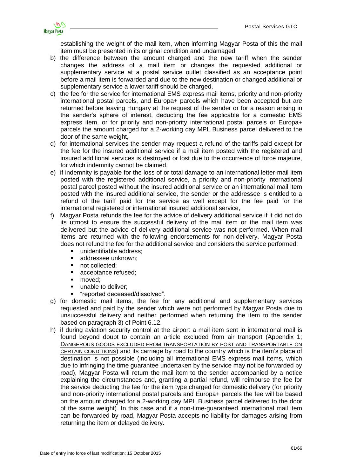

establishing the weight of the mail item, when informing Magyar Posta of this the mail item must be presented in its original condition and undamaged,

- b) the difference between the amount charged and the new tariff when the sender changes the address of a mail item or changes the requested additional or supplementary service at a postal service outlet classified as an acceptance point before a mail item is forwarded and due to the new destination or changed additional or supplementary service a lower tariff should be charged.
- c) the fee for the service for international EMS express mail items, priority and non-priority international postal parcels, and Europa+ parcels which have been accepted but are returned before leaving Hungary at the request of the sender or for a reason arising in the sender's sphere of interest, deducting the fee applicable for a domestic EMS express item, or for priority and non-priority international postal parcels or Europa+ parcels the amount charged for a 2-working day MPL Business parcel delivered to the door of the same weight,
- d) for international services the sender may request a refund of the tariffs paid except for the fee for the insured additional service if a mail item posted with the registered and insured additional services is destroyed or lost due to the occurrence of force majeure, for which indemnity cannot be claimed,
- e) if indemnity is payable for the loss of or total damage to an international letter-mail item posted with the registered additional service, a priority and non-priority international postal parcel posted without the insured additional service or an international mail item posted with the insured additional service, the sender or the addressee is entitled to a refund of the tariff paid for the service as well except for the fee paid for the international registered or international insured additional service,
- f) Magyar Posta refunds the fee for the advice of delivery additional service if it did not do its utmost to ensure the successful delivery of the mail item or the mail item was delivered but the advice of delivery additional service was not performed. When mail items are returned with the following endorsements for non-delivery, Magyar Posta does not refund the fee for the additional service and considers the service performed:
	- unidentifiable address;
	- **addressee unknown:**
	- not collected:
	- **acceptance refused;**
	- moved:
	- **unable to deliver;**
	- "reported deceased/dissolved".
- g) for domestic mail items, the fee for any additional and supplementary services requested and paid by the sender which were not performed by Magyar Posta due to unsuccessful delivery and neither performed when returning the item to the sender based on paragraph 3) of Point 6.12.
- h) if during aviation security control at the airport a mail item sent in international mail is found beyond doubt to contain an article excluded from air transport (Appendix 1; D[ANGEROUS GOODS EXCLUDED FROM TRANSPORTATION](http://www.posta.hu/static/internet/download/PASZF_KI05_Szallitasbol_kizart_veszelyes_aruk_20130614_elozetes.pdf) BY POST AND TRANSPORTABLE ON CERTAIN CONDITIONS) and its carriage by road to the country which is the item's place of destination is not possible (including all international EMS express mail items, which due to infringing the time guarantee undertaken by the service may not be forwarded by road), Magyar Posta will return the mail item to the sender accompanied by a notice explaining the circumstances and, granting a partial refund, will reimburse the fee for the service deducting the fee for the item type charged for domestic delivery (for priority and non-priority international postal parcels and Europa+ parcels the fee will be based on the amount charged for a 2-working day MPL Business parcel delivered to the door of the same weight). In this case and if a non-time-guaranteed international mail item can be forwarded by road, Magyar Posta accepts no liability for damages arising from returning the item or delayed delivery.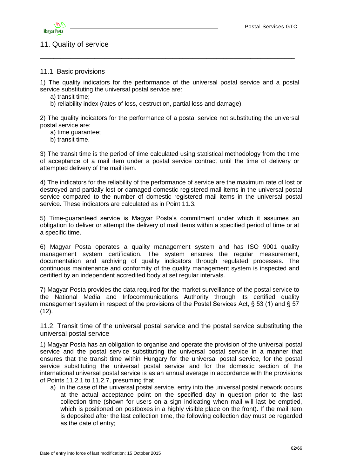



# <span id="page-61-0"></span>11. Quality of service

### <span id="page-61-1"></span>11.1. Basic provisions

1) The quality indicators for the performance of the universal postal service and a postal service substituting the universal postal service are:

\_\_\_\_\_\_\_\_\_\_\_\_\_\_\_\_\_\_\_\_\_\_\_\_\_\_\_\_\_\_\_\_\_\_\_\_\_\_\_\_\_\_\_\_\_\_\_\_\_\_\_\_\_\_\_\_\_\_\_\_\_\_\_\_\_\_\_\_\_\_\_\_\_\_\_

a) transit time;

b) reliability index (rates of loss, destruction, partial loss and damage).

2) The quality indicators for the performance of a postal service not substituting the universal postal service are:

- a) time guarantee;
- b) transit time.

3) The transit time is the period of time calculated using statistical methodology from the time of acceptance of a mail item under a postal service contract until the time of delivery or attempted delivery of the mail item.

4) The indicators for the reliability of the performance of service are the maximum rate of lost or destroyed and partially lost or damaged domestic registered mail items in the universal postal service compared to the number of domestic registered mail items in the universal postal service. These indicators are calculated as in Point 11.3.

5) Time-guaranteed service is Magyar Posta's commitment under which it assumes an obligation to deliver or attempt the delivery of mail items within a specified period of time or at a specific time.

6) Magyar Posta operates a quality management system and has ISO 9001 quality management system certification. The system ensures the regular measurement, documentation and archiving of quality indicators through regulated processes. The continuous maintenance and conformity of the quality management system is inspected and certified by an independent accredited body at set regular intervals.

7) Magyar Posta provides the data required for the market surveillance of the postal service to the National Media and Infocommunications Authority through its certified quality management system in respect of the provisions of the Postal Services Act, § 53 (1) and § 57  $(12)$ .

<span id="page-61-2"></span>11.2. Transit time of the universal postal service and the postal service substituting the universal postal service

1) Magyar Posta has an obligation to organise and operate the provision of the universal postal service and the postal service substituting the universal postal service in a manner that ensures that the transit time within Hungary for the universal postal service, for the postal service substituting the universal postal service and for the domestic section of the international universal postal service is as an annual average in accordance with the provisions of Points 11.2.1 to 11.2.7, presuming that

a) in the case of the universal postal service, entry into the universal postal network occurs at the actual acceptance point on the specified day in question prior to the last collection time (shown for users on a sign indicating when mail will last be emptied, which is positioned on postboxes in a highly visible place on the front). If the mail item is deposited after the last collection time, the following collection day must be regarded as the date of entry;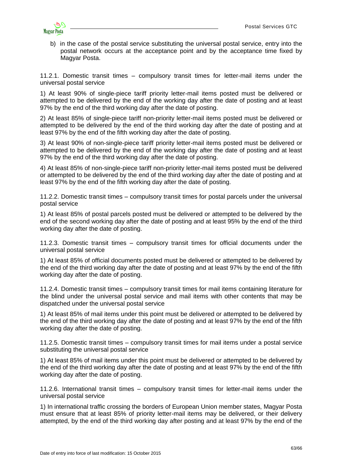

b) in the case of the postal service substituting the universal postal service, entry into the postal network occurs at the acceptance point and by the acceptance time fixed by Magyar Posta.

<span id="page-62-0"></span>11.2.1. Domestic transit times – compulsory transit times for letter-mail items under the universal postal service

1) At least 90% of single-piece tariff priority letter-mail items posted must be delivered or attempted to be delivered by the end of the working day after the date of posting and at least 97% by the end of the third working day after the date of posting.

2) At least 85% of single-piece tariff non-priority letter-mail items posted must be delivered or attempted to be delivered by the end of the third working day after the date of posting and at least 97% by the end of the fifth working day after the date of posting.

3) At least 90% of non-single-piece tariff priority letter-mail items posted must be delivered or attempted to be delivered by the end of the working day after the date of posting and at least 97% by the end of the third working day after the date of posting.

4) At least 85% of non-single-piece tariff non-priority letter-mail items posted must be delivered or attempted to be delivered by the end of the third working day after the date of posting and at least 97% by the end of the fifth working day after the date of posting.

<span id="page-62-1"></span>11.2.2. Domestic transit times – compulsory transit times for postal parcels under the universal postal service

1) At least 85% of postal parcels posted must be delivered or attempted to be delivered by the end of the second working day after the date of posting and at least 95% by the end of the third working day after the date of posting.

<span id="page-62-2"></span>11.2.3. Domestic transit times – compulsory transit times for official documents under the universal postal service

1) At least 85% of official documents posted must be delivered or attempted to be delivered by the end of the third working day after the date of posting and at least 97% by the end of the fifth working day after the date of posting.

<span id="page-62-3"></span>11.2.4. Domestic transit times – compulsory transit times for mail items containing literature for the blind under the universal postal service and mail items with other contents that may be dispatched under the universal postal service

1) At least 85% of mail items under this point must be delivered or attempted to be delivered by the end of the third working day after the date of posting and at least 97% by the end of the fifth working day after the date of posting.

<span id="page-62-4"></span>11.2.5. Domestic transit times – compulsory transit times for mail items under a postal service substituting the universal postal service

1) At least 85% of mail items under this point must be delivered or attempted to be delivered by the end of the third working day after the date of posting and at least 97% by the end of the fifth working day after the date of posting.

<span id="page-62-5"></span>11.2.6. International transit times – compulsory transit times for letter-mail items under the universal postal service

1) In international traffic crossing the borders of European Union member states, Magyar Posta must ensure that at least 85% of priority letter-mail items may be delivered, or their delivery attempted, by the end of the third working day after posting and at least 97% by the end of the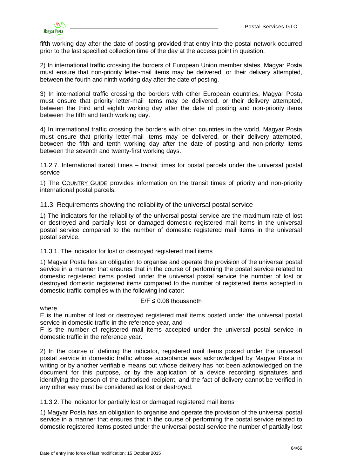

fifth working day after the date of posting provided that entry into the postal network occurred prior to the last specified collection time of the day at the access point in question.

2) In international traffic crossing the borders of European Union member states, Magyar Posta must ensure that non-priority letter-mail items may be delivered, or their delivery attempted, between the fourth and ninth working day after the date of posting.

3) In international traffic crossing the borders with other European countries, Magyar Posta must ensure that priority letter-mail items may be delivered, or their delivery attempted, between the third and eighth working day after the date of posting and non-priority items between the fifth and tenth working day.

4) In international traffic crossing the borders with other countries in the world, Magyar Posta must ensure that priority letter-mail items may be delivered, or their delivery attempted, between the fifth and tenth working day after the date of posting and non-priority items between the seventh and twenty-first working days.

<span id="page-63-0"></span>11.2.7. International transit times – transit times for postal parcels under the universal postal service

1) The C[OUNTRY](http://www.posta.hu/level/level_kulfoldre/orszaglapok) GUIDE provides information on the transit times of priority and non-priority international postal parcels.

<span id="page-63-1"></span>11.3. Requirements showing the reliability of the universal postal service

1) The indicators for the reliability of the universal postal service are the maximum rate of lost or destroyed and partially lost or damaged domestic registered mail items in the universal postal service compared to the number of domestic registered mail items in the universal postal service.

### <span id="page-63-2"></span>11.3.1. The indicator for lost or destroyed registered mail items

1) Magyar Posta has an obligation to organise and operate the provision of the universal postal service in a manner that ensures that in the course of performing the postal service related to domestic registered items posted under the universal postal service the number of lost or destroyed domestic registered items compared to the number of registered items accepted in domestic traffic complies with the following indicator:

### $E/F \leq 0.06$  thousandth

where

E is the number of lost or destroyed registered mail items posted under the universal postal service in domestic traffic in the reference year, and

F is the number of registered mail items accepted under the universal postal service in domestic traffic in the reference year.

2) In the course of defining the indicator, registered mail items posted under the universal postal service in domestic traffic whose acceptance was acknowledged by Magyar Posta in writing or by another verifiable means but whose delivery has not been acknowledged on the document for this purpose, or by the application of a device recording signatures and identifying the person of the authorised recipient, and the fact of delivery cannot be verified in any other way must be considered as lost or destroyed.

<span id="page-63-3"></span>11.3.2. The indicator for partially lost or damaged registered mail items

1) Magyar Posta has an obligation to organise and operate the provision of the universal postal service in a manner that ensures that in the course of performing the postal service related to domestic registered items posted under the universal postal service the number of partially lost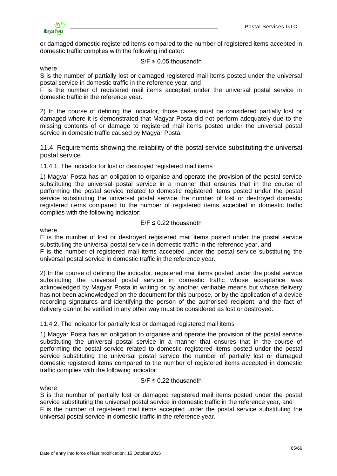

or damaged domestic registered items compared to the number of registered items accepted in domestic traffic complies with the following indicator:

 $S/F \leq 0.05$  thousandth

where

S is the number of partially lost or damaged registered mail items posted under the universal postal service in domestic traffic in the reference year, and

F is the number of registered mail items accepted under the universal postal service in domestic traffic in the reference year.

2) In the course of defining the indicator, those cases must be considered partially lost or damaged where it is demonstrated that Magyar Posta did not perform adequately due to the missing contents of or damage to registered mail items posted under the universal postal service in domestic traffic caused by Magyar Posta.

<span id="page-64-0"></span>11.4. Requirements showing the reliability of the postal service substituting the universal postal service

<span id="page-64-1"></span>11.4.1. The indicator for lost or destroyed registered mail items

1) Magyar Posta has an obligation to organise and operate the provision of the postal service substituting the universal postal service in a manner that ensures that in the course of performing the postal service related to domestic registered items posted under the postal service substituting the universal postal service the number of lost or destroyed domestic registered items compared to the number of registered items accepted in domestic traffic complies with the following indicator:

### $E/F \leq 0.22$  thousandth

#### where

E is the number of lost or destroyed registered mail items posted under the postal service substituting the universal postal service in domestic traffic in the reference year, and

F is the number of registered mail items accepted under the postal service substituting the universal postal service in domestic traffic in the reference year.

2) In the course of defining the indicator, registered mail items posted under the postal service substituting the universal postal service in domestic traffic whose acceptance was acknowledged by Magyar Posta in writing or by another verifiable means but whose delivery has not been acknowledged on the document for this purpose, or by the application of a device recording signatures and identifying the person of the authorised recipient, and the fact of delivery cannot be verified in any other way must be considered as lost or destroyed.

### <span id="page-64-2"></span>11.4.2. The indicator for partially lost or damaged registered mail items

1) Magyar Posta has an obligation to organise and operate the provision of the postal service substituting the universal postal service in a manner that ensures that in the course of performing the postal service related to domestic registered items posted under the postal service substituting the universal postal service the number of partially lost or damaged domestic registered items compared to the number of registered items accepted in domestic traffic complies with the following indicator:

### $S/F \leq 0.22$  thousandth

### where

S is the number of partially lost or damaged registered mail items posted under the postal service substituting the universal postal service in domestic traffic in the reference year, and F is the number of registered mail items accepted under the postal service substituting the universal postal service in domestic traffic in the reference year.